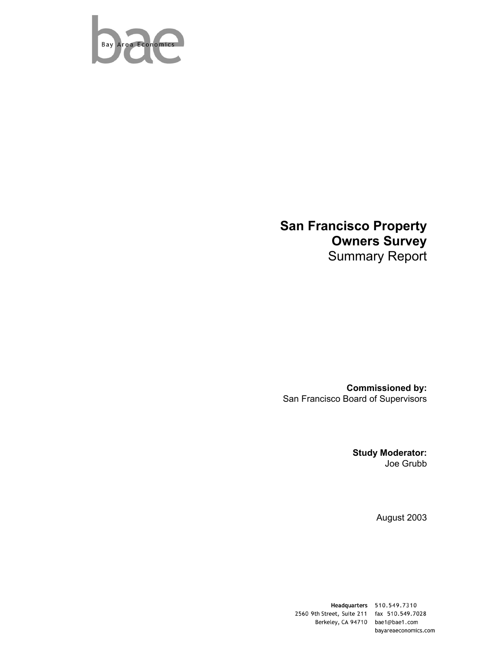

# **San Francisco Property Owners Survey**  Summary Report

**Commissioned by:**  San Francisco Board of Supervisors

> **Study Moderator:**  Joe Grubb

> > August 2003

Headquarters 510.549.7310 2560 9th Street, Suite 211 fax 510.549.7028 Berkeley, CA 94710 bae1@bae1.com bayareaeconomics.com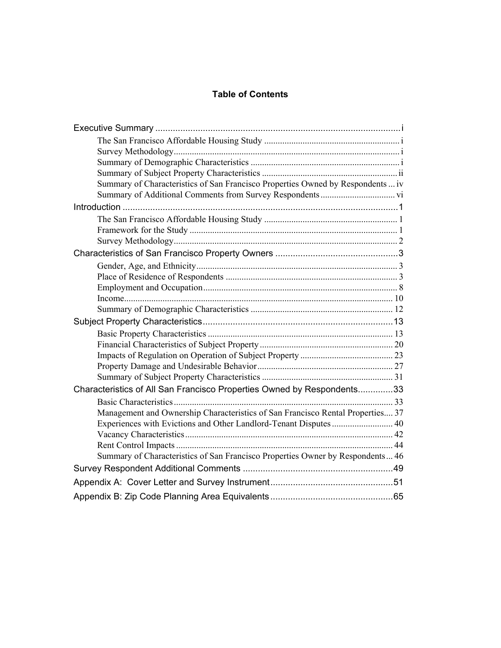# **Table of Contents**

| Summary of Characteristics of San Francisco Properties Owned by Respondents  iv |  |
|---------------------------------------------------------------------------------|--|
|                                                                                 |  |
|                                                                                 |  |
|                                                                                 |  |
|                                                                                 |  |
|                                                                                 |  |
|                                                                                 |  |
|                                                                                 |  |
|                                                                                 |  |
|                                                                                 |  |
|                                                                                 |  |
|                                                                                 |  |
|                                                                                 |  |
|                                                                                 |  |
|                                                                                 |  |
|                                                                                 |  |
|                                                                                 |  |
|                                                                                 |  |
| Characteristics of All San Francisco Properties Owned by Respondents33          |  |
|                                                                                 |  |
| Management and Ownership Characteristics of San Francisco Rental Properties 37  |  |
|                                                                                 |  |
|                                                                                 |  |
|                                                                                 |  |
| Summary of Characteristics of San Francisco Properties Owner by Respondents 46  |  |
|                                                                                 |  |
|                                                                                 |  |
|                                                                                 |  |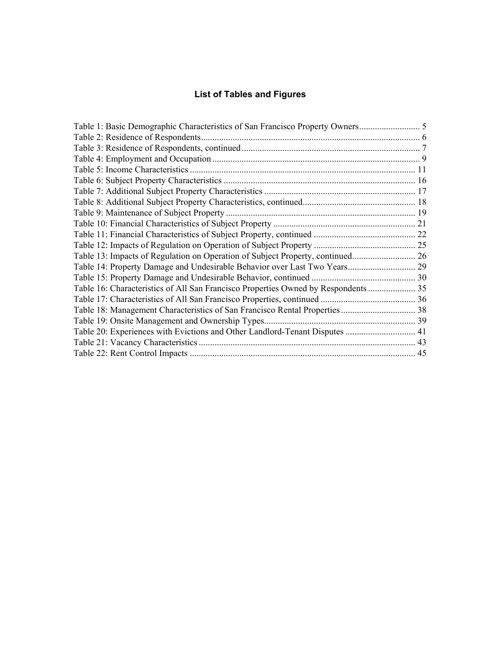# **List of Tables and Figures**

| Table 1: Basic Demographic Characteristics of San Francisco Property Owners        |  |
|------------------------------------------------------------------------------------|--|
|                                                                                    |  |
|                                                                                    |  |
|                                                                                    |  |
|                                                                                    |  |
|                                                                                    |  |
|                                                                                    |  |
|                                                                                    |  |
|                                                                                    |  |
|                                                                                    |  |
|                                                                                    |  |
|                                                                                    |  |
|                                                                                    |  |
|                                                                                    |  |
|                                                                                    |  |
| Table 16: Characteristics of All San Francisco Properties Owned by Respondents  35 |  |
|                                                                                    |  |
|                                                                                    |  |
|                                                                                    |  |
| Table 20: Experiences with Evictions and Other Landlord-Tenant Disputes  41        |  |
|                                                                                    |  |
|                                                                                    |  |
|                                                                                    |  |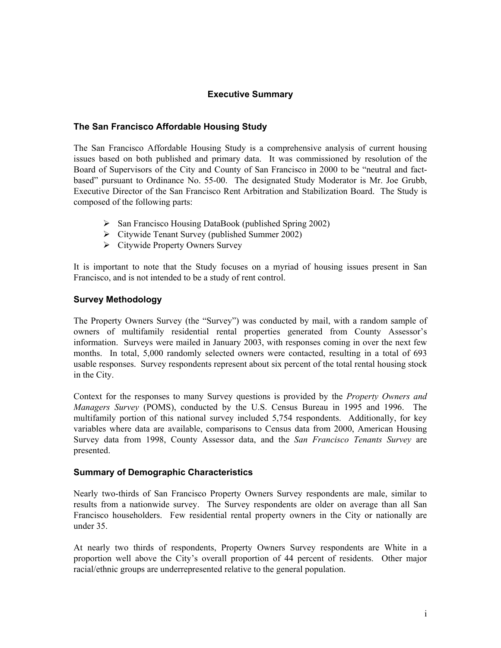# **Executive Summary**

# <span id="page-3-0"></span>**The San Francisco Affordable Housing Study**

The San Francisco Affordable Housing Study is a comprehensive analysis of current housing issues based on both published and primary data. It was commissioned by resolution of the Board of Supervisors of the City and County of San Francisco in 2000 to be "neutral and factbased" pursuant to Ordinance No. 55-00. The designated Study Moderator is Mr. Joe Grubb, Executive Director of the San Francisco Rent Arbitration and Stabilization Board. The Study is composed of the following parts:

- $\triangleright$  San Francisco Housing DataBook (published Spring 2002)
- $\triangleright$  Citywide Tenant Survey (published Summer 2002)
- $\triangleright$  Citywide Property Owners Survey

It is important to note that the Study focuses on a myriad of housing issues present in San Francisco, and is not intended to be a study of rent control.

# **Survey Methodology**

The Property Owners Survey (the "Survey") was conducted by mail, with a random sample of owners of multifamily residential rental properties generated from County Assessor's information. Surveys were mailed in January 2003, with responses coming in over the next few months. In total, 5,000 randomly selected owners were contacted, resulting in a total of 693 usable responses. Survey respondents represent about six percent of the total rental housing stock in the City.

Context for the responses to many Survey questions is provided by the *Property Owners and Managers Survey* (POMS), conducted by the U.S. Census Bureau in 1995 and 1996. The multifamily portion of this national survey included 5,754 respondents. Additionally, for key variables where data are available, comparisons to Census data from 2000, American Housing Survey data from 1998, County Assessor data, and the *San Francisco Tenants Survey* are presented.

# **Summary of Demographic Characteristics**

Nearly two-thirds of San Francisco Property Owners Survey respondents are male, similar to results from a nationwide survey. The Survey respondents are older on average than all San Francisco householders. Few residential rental property owners in the City or nationally are under 35.

At nearly two thirds of respondents, Property Owners Survey respondents are White in a proportion well above the City's overall proportion of 44 percent of residents. Other major racial/ethnic groups are underrepresented relative to the general population.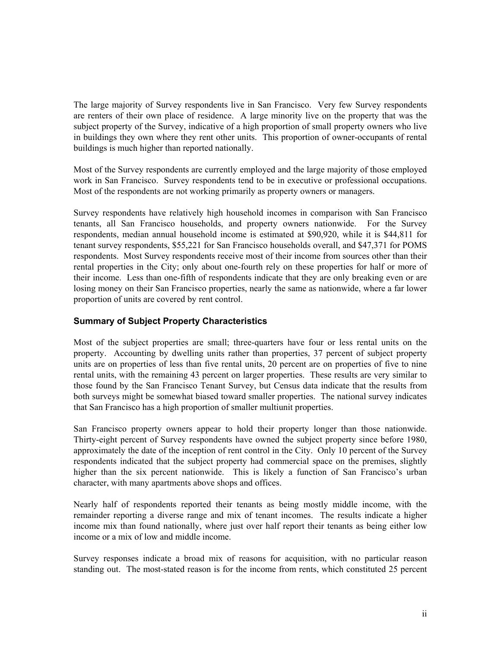<span id="page-4-0"></span>The large majority of Survey respondents live in San Francisco. Very few Survey respondents are renters of their own place of residence. A large minority live on the property that was the subject property of the Survey, indicative of a high proportion of small property owners who live in buildings they own where they rent other units. This proportion of owner-occupants of rental buildings is much higher than reported nationally.

Most of the Survey respondents are currently employed and the large majority of those employed work in San Francisco. Survey respondents tend to be in executive or professional occupations. Most of the respondents are not working primarily as property owners or managers.

Survey respondents have relatively high household incomes in comparison with San Francisco tenants, all San Francisco households, and property owners nationwide. For the Survey respondents, median annual household income is estimated at \$90,920, while it is \$44,811 for tenant survey respondents, \$55,221 for San Francisco households overall, and \$47,371 for POMS respondents. Most Survey respondents receive most of their income from sources other than their rental properties in the City; only about one-fourth rely on these properties for half or more of their income. Less than one-fifth of respondents indicate that they are only breaking even or are losing money on their San Francisco properties, nearly the same as nationwide, where a far lower proportion of units are covered by rent control.

# **Summary of Subject Property Characteristics**

Most of the subject properties are small; three-quarters have four or less rental units on the property. Accounting by dwelling units rather than properties, 37 percent of subject property units are on properties of less than five rental units, 20 percent are on properties of five to nine rental units, with the remaining 43 percent on larger properties. These results are very similar to those found by the San Francisco Tenant Survey, but Census data indicate that the results from both surveys might be somewhat biased toward smaller properties. The national survey indicates that San Francisco has a high proportion of smaller multiunit properties.

San Francisco property owners appear to hold their property longer than those nationwide. Thirty-eight percent of Survey respondents have owned the subject property since before 1980, approximately the date of the inception of rent control in the City. Only 10 percent of the Survey respondents indicated that the subject property had commercial space on the premises, slightly higher than the six percent nationwide. This is likely a function of San Francisco's urban character, with many apartments above shops and offices.

Nearly half of respondents reported their tenants as being mostly middle income, with the remainder reporting a diverse range and mix of tenant incomes. The results indicate a higher income mix than found nationally, where just over half report their tenants as being either low income or a mix of low and middle income.

Survey responses indicate a broad mix of reasons for acquisition, with no particular reason standing out. The most-stated reason is for the income from rents, which constituted 25 percent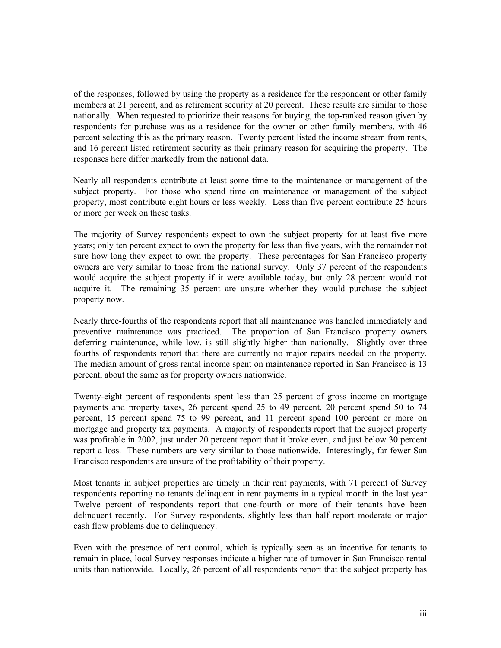of the responses, followed by using the property as a residence for the respondent or other family members at 21 percent, and as retirement security at 20 percent. These results are similar to those nationally. When requested to prioritize their reasons for buying, the top-ranked reason given by respondents for purchase was as a residence for the owner or other family members, with 46 percent selecting this as the primary reason. Twenty percent listed the income stream from rents, and 16 percent listed retirement security as their primary reason for acquiring the property. The responses here differ markedly from the national data.

Nearly all respondents contribute at least some time to the maintenance or management of the subject property. For those who spend time on maintenance or management of the subject property, most contribute eight hours or less weekly. Less than five percent contribute 25 hours or more per week on these tasks.

The majority of Survey respondents expect to own the subject property for at least five more years; only ten percent expect to own the property for less than five years, with the remainder not sure how long they expect to own the property. These percentages for San Francisco property owners are very similar to those from the national survey. Only 37 percent of the respondents would acquire the subject property if it were available today, but only 28 percent would not acquire it. The remaining 35 percent are unsure whether they would purchase the subject property now.

Nearly three-fourths of the respondents report that all maintenance was handled immediately and preventive maintenance was practiced. The proportion of San Francisco property owners deferring maintenance, while low, is still slightly higher than nationally. Slightly over three fourths of respondents report that there are currently no major repairs needed on the property. The median amount of gross rental income spent on maintenance reported in San Francisco is 13 percent, about the same as for property owners nationwide.

Twenty-eight percent of respondents spent less than 25 percent of gross income on mortgage payments and property taxes, 26 percent spend 25 to 49 percent, 20 percent spend 50 to 74 percent, 15 percent spend 75 to 99 percent, and 11 percent spend 100 percent or more on mortgage and property tax payments. A majority of respondents report that the subject property was profitable in 2002, just under 20 percent report that it broke even, and just below 30 percent report a loss. These numbers are very similar to those nationwide. Interestingly, far fewer San Francisco respondents are unsure of the profitability of their property.

Most tenants in subject properties are timely in their rent payments, with 71 percent of Survey respondents reporting no tenants delinquent in rent payments in a typical month in the last year Twelve percent of respondents report that one-fourth or more of their tenants have been delinquent recently. For Survey respondents, slightly less than half report moderate or major cash flow problems due to delinquency.

Even with the presence of rent control, which is typically seen as an incentive for tenants to remain in place, local Survey responses indicate a higher rate of turnover in San Francisco rental units than nationwide. Locally, 26 percent of all respondents report that the subject property has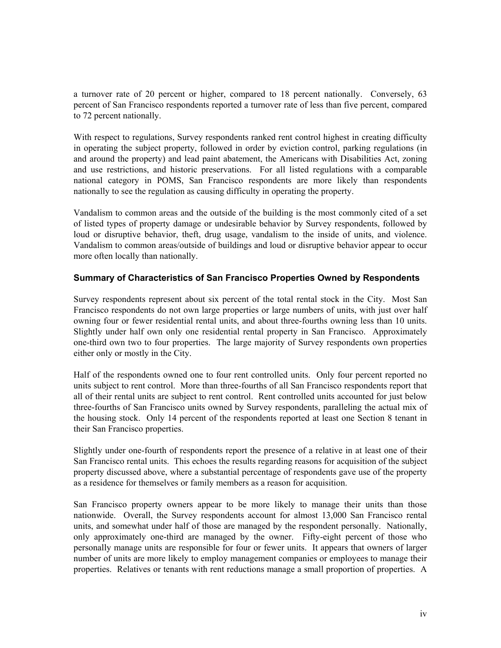<span id="page-6-0"></span>a turnover rate of 20 percent or higher, compared to 18 percent nationally. Conversely, 63 percent of San Francisco respondents reported a turnover rate of less than five percent, compared to 72 percent nationally.

With respect to regulations, Survey respondents ranked rent control highest in creating difficulty in operating the subject property, followed in order by eviction control, parking regulations (in and around the property) and lead paint abatement, the Americans with Disabilities Act, zoning and use restrictions, and historic preservations. For all listed regulations with a comparable national category in POMS, San Francisco respondents are more likely than respondents nationally to see the regulation as causing difficulty in operating the property.

Vandalism to common areas and the outside of the building is the most commonly cited of a set of listed types of property damage or undesirable behavior by Survey respondents, followed by loud or disruptive behavior, theft, drug usage, vandalism to the inside of units, and violence. Vandalism to common areas/outside of buildings and loud or disruptive behavior appear to occur more often locally than nationally.

# **Summary of Characteristics of San Francisco Properties Owned by Respondents**

Survey respondents represent about six percent of the total rental stock in the City. Most San Francisco respondents do not own large properties or large numbers of units, with just over half owning four or fewer residential rental units, and about three-fourths owning less than 10 units. Slightly under half own only one residential rental property in San Francisco. Approximately one-third own two to four properties. The large majority of Survey respondents own properties either only or mostly in the City.

Half of the respondents owned one to four rent controlled units. Only four percent reported no units subject to rent control. More than three-fourths of all San Francisco respondents report that all of their rental units are subject to rent control. Rent controlled units accounted for just below three-fourths of San Francisco units owned by Survey respondents, paralleling the actual mix of the housing stock. Only 14 percent of the respondents reported at least one Section 8 tenant in their San Francisco properties.

Slightly under one-fourth of respondents report the presence of a relative in at least one of their San Francisco rental units. This echoes the results regarding reasons for acquisition of the subject property discussed above, where a substantial percentage of respondents gave use of the property as a residence for themselves or family members as a reason for acquisition.

San Francisco property owners appear to be more likely to manage their units than those nationwide. Overall, the Survey respondents account for almost 13,000 San Francisco rental units, and somewhat under half of those are managed by the respondent personally. Nationally, only approximately one-third are managed by the owner. Fifty-eight percent of those who personally manage units are responsible for four or fewer units. It appears that owners of larger number of units are more likely to employ management companies or employees to manage their properties. Relatives or tenants with rent reductions manage a small proportion of properties. A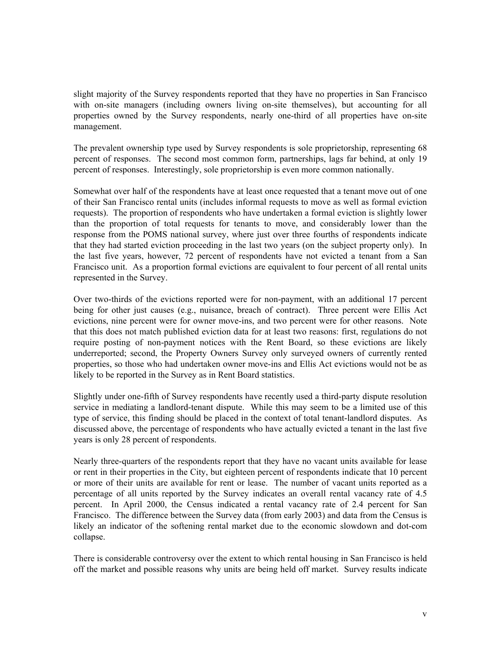slight majority of the Survey respondents reported that they have no properties in San Francisco with on-site managers (including owners living on-site themselves), but accounting for all properties owned by the Survey respondents, nearly one-third of all properties have on-site management.

The prevalent ownership type used by Survey respondents is sole proprietorship, representing 68 percent of responses. The second most common form, partnerships, lags far behind, at only 19 percent of responses. Interestingly, sole proprietorship is even more common nationally.

Somewhat over half of the respondents have at least once requested that a tenant move out of one of their San Francisco rental units (includes informal requests to move as well as formal eviction requests). The proportion of respondents who have undertaken a formal eviction is slightly lower than the proportion of total requests for tenants to move, and considerably lower than the response from the POMS national survey, where just over three fourths of respondents indicate that they had started eviction proceeding in the last two years (on the subject property only). In the last five years, however, 72 percent of respondents have not evicted a tenant from a San Francisco unit. As a proportion formal evictions are equivalent to four percent of all rental units represented in the Survey.

Over two-thirds of the evictions reported were for non-payment, with an additional 17 percent being for other just causes (e.g., nuisance, breach of contract). Three percent were Ellis Act evictions, nine percent were for owner move-ins, and two percent were for other reasons. Note that this does not match published eviction data for at least two reasons: first, regulations do not require posting of non-payment notices with the Rent Board, so these evictions are likely underreported; second, the Property Owners Survey only surveyed owners of currently rented properties, so those who had undertaken owner move-ins and Ellis Act evictions would not be as likely to be reported in the Survey as in Rent Board statistics.

Slightly under one-fifth of Survey respondents have recently used a third-party dispute resolution service in mediating a landlord-tenant dispute. While this may seem to be a limited use of this type of service, this finding should be placed in the context of total tenant-landlord disputes. As discussed above, the percentage of respondents who have actually evicted a tenant in the last five years is only 28 percent of respondents.

Nearly three-quarters of the respondents report that they have no vacant units available for lease or rent in their properties in the City, but eighteen percent of respondents indicate that 10 percent or more of their units are available for rent or lease. The number of vacant units reported as a percentage of all units reported by the Survey indicates an overall rental vacancy rate of 4.5 percent. In April 2000, the Census indicated a rental vacancy rate of 2.4 percent for San Francisco. The difference between the Survey data (from early 2003) and data from the Census is likely an indicator of the softening rental market due to the economic slowdown and dot-com collapse.

There is considerable controversy over the extent to which rental housing in San Francisco is held off the market and possible reasons why units are being held off market. Survey results indicate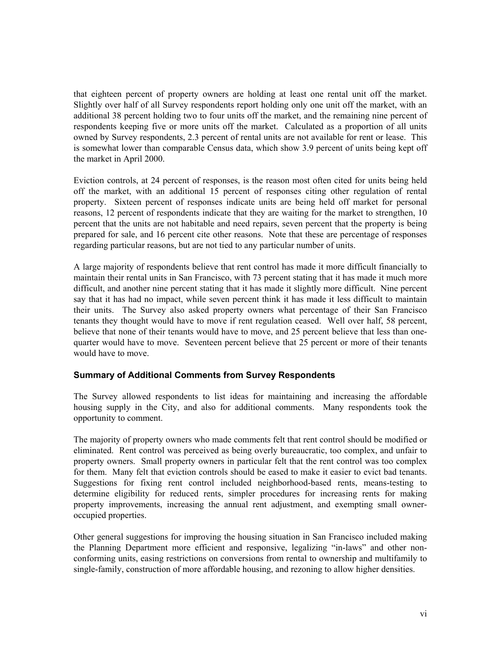<span id="page-8-0"></span>that eighteen percent of property owners are holding at least one rental unit off the market. Slightly over half of all Survey respondents report holding only one unit off the market, with an additional 38 percent holding two to four units off the market, and the remaining nine percent of respondents keeping five or more units off the market. Calculated as a proportion of all units owned by Survey respondents, 2.3 percent of rental units are not available for rent or lease. This is somewhat lower than comparable Census data, which show 3.9 percent of units being kept off the market in April 2000.

Eviction controls, at 24 percent of responses, is the reason most often cited for units being held off the market, with an additional 15 percent of responses citing other regulation of rental property. Sixteen percent of responses indicate units are being held off market for personal reasons, 12 percent of respondents indicate that they are waiting for the market to strengthen, 10 percent that the units are not habitable and need repairs, seven percent that the property is being prepared for sale, and 16 percent cite other reasons. Note that these are percentage of responses regarding particular reasons, but are not tied to any particular number of units.

A large majority of respondents believe that rent control has made it more difficult financially to maintain their rental units in San Francisco, with 73 percent stating that it has made it much more difficult, and another nine percent stating that it has made it slightly more difficult. Nine percent say that it has had no impact, while seven percent think it has made it less difficult to maintain their units. The Survey also asked property owners what percentage of their San Francisco tenants they thought would have to move if rent regulation ceased. Well over half, 58 percent, believe that none of their tenants would have to move, and 25 percent believe that less than onequarter would have to move. Seventeen percent believe that 25 percent or more of their tenants would have to move.

# **Summary of Additional Comments from Survey Respondents**

The Survey allowed respondents to list ideas for maintaining and increasing the affordable housing supply in the City, and also for additional comments. Many respondents took the opportunity to comment.

The majority of property owners who made comments felt that rent control should be modified or eliminated. Rent control was perceived as being overly bureaucratic, too complex, and unfair to property owners. Small property owners in particular felt that the rent control was too complex for them. Many felt that eviction controls should be eased to make it easier to evict bad tenants. Suggestions for fixing rent control included neighborhood-based rents, means-testing to determine eligibility for reduced rents, simpler procedures for increasing rents for making property improvements, increasing the annual rent adjustment, and exempting small owneroccupied properties.

Other general suggestions for improving the housing situation in San Francisco included making the Planning Department more efficient and responsive, legalizing "in-laws" and other nonconforming units, easing restrictions on conversions from rental to ownership and multifamily to single-family, construction of more affordable housing, and rezoning to allow higher densities.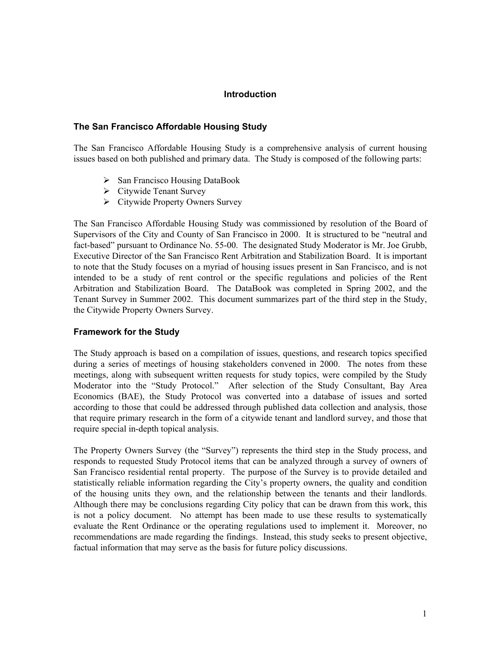# **Introduction**

# <span id="page-9-0"></span>**The San Francisco Affordable Housing Study**

The San Francisco Affordable Housing Study is a comprehensive analysis of current housing issues based on both published and primary data. The Study is composed of the following parts:

- $\triangleright$  San Francisco Housing DataBook
- $\triangleright$  Citywide Tenant Survey
- $\triangleright$  Citywide Property Owners Survey

The San Francisco Affordable Housing Study was commissioned by resolution of the Board of Supervisors of the City and County of San Francisco in 2000. It is structured to be "neutral and fact-based" pursuant to Ordinance No. 55-00. The designated Study Moderator is Mr. Joe Grubb, Executive Director of the San Francisco Rent Arbitration and Stabilization Board. It is important to note that the Study focuses on a myriad of housing issues present in San Francisco, and is not intended to be a study of rent control or the specific regulations and policies of the Rent Arbitration and Stabilization Board. The DataBook was completed in Spring 2002, and the Tenant Survey in Summer 2002. This document summarizes part of the third step in the Study, the Citywide Property Owners Survey.

# **Framework for the Study**

The Study approach is based on a compilation of issues, questions, and research topics specified during a series of meetings of housing stakeholders convened in 2000. The notes from these meetings, along with subsequent written requests for study topics, were compiled by the Study Moderator into the "Study Protocol." After selection of the Study Consultant, Bay Area Economics (BAE), the Study Protocol was converted into a database of issues and sorted according to those that could be addressed through published data collection and analysis, those that require primary research in the form of a citywide tenant and landlord survey, and those that require special in-depth topical analysis.

The Property Owners Survey (the "Survey") represents the third step in the Study process, and responds to requested Study Protocol items that can be analyzed through a survey of owners of San Francisco residential rental property. The purpose of the Survey is to provide detailed and statistically reliable information regarding the City's property owners, the quality and condition of the housing units they own, and the relationship between the tenants and their landlords. Although there may be conclusions regarding City policy that can be drawn from this work, this is not a policy document. No attempt has been made to use these results to systematically evaluate the Rent Ordinance or the operating regulations used to implement it. Moreover, no recommendations are made regarding the findings. Instead, this study seeks to present objective, factual information that may serve as the basis for future policy discussions.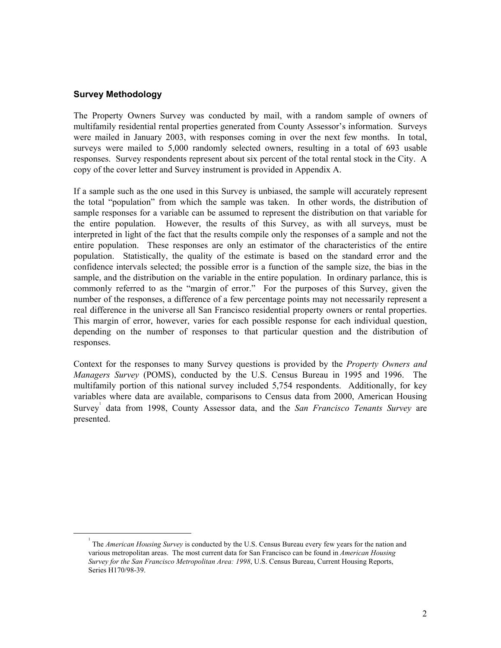# <span id="page-10-0"></span>**Survey Methodology**

The Property Owners Survey was conducted by mail, with a random sample of owners of multifamily residential rental properties generated from County Assessor's information. Surveys were mailed in January 2003, with responses coming in over the next few months. In total, surveys were mailed to 5,000 randomly selected owners, resulting in a total of 693 usable responses. Survey respondents represent about six percent of the total rental stock in the City. A copy of the cover letter and Survey instrument is provided in Appendix A.

If a sample such as the one used in this Survey is unbiased, the sample will accurately represent the total "population" from which the sample was taken. In other words, the distribution of sample responses for a variable can be assumed to represent the distribution on that variable for the entire population. However, the results of this Survey, as with all surveys, must be interpreted in light of the fact that the results compile only the responses of a sample and not the entire population. These responses are only an estimator of the characteristics of the entire population. Statistically, the quality of the estimate is based on the standard error and the confidence intervals selected; the possible error is a function of the sample size, the bias in the sample, and the distribution on the variable in the entire population. In ordinary parlance, this is commonly referred to as the "margin of error." For the purposes of this Survey, given the number of the responses, a difference of a few percentage points may not necessarily represent a real difference in the universe all San Francisco residential property owners or rental properties. This margin of error, however, varies for each possible response for each individual question, depending on the number of responses to that particular question and the distribution of responses.

Context for the responses to many Survey questions is provided by the *Property Owners and Managers Survey* (POMS), conducted by the U.S. Census Bureau in 1995 and 1996. The multifamily portion of this national survey included 5,754 respondents. Additionally, for key variables where data are available, comparisons to Census data from 2000, American Housing Survey<sup>[1](#page-10-1)</sup> data from 1998, County Assessor data, and the *San Francisco Tenants Survey* are presented.

<span id="page-10-1"></span> $\frac{1}{1}$  The *American Housing Survey* is conducted by the U.S. Census Bureau every few years for the nation and various metropolitan areas. The most current data for San Francisco can be found in *American Housing Survey for the San Francisco Metropolitan Area: 1998*, U.S. Census Bureau, Current Housing Reports, Series H170/98-39.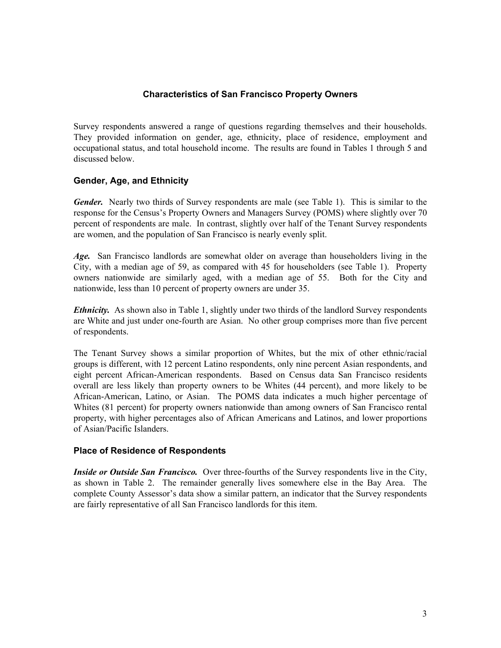# **Characteristics of San Francisco Property Owners**

<span id="page-11-0"></span>Survey respondents answered a range of questions regarding themselves and their households. They provided information on gender, age, ethnicity, place of residence, employment and occupational status, and total household income. The results are found in Tables 1 through 5 and discussed below.

# **Gender, Age, and Ethnicity**

*Gender.* Nearly two thirds of Survey respondents are male (see Table 1). This is similar to the response for the Census's Property Owners and Managers Survey (POMS) where slightly over 70 percent of respondents are male. In contrast, slightly over half of the Tenant Survey respondents are women, and the population of San Francisco is nearly evenly split.

*Age.* San Francisco landlords are somewhat older on average than householders living in the City, with a median age of 59, as compared with 45 for householders (see Table 1). Property owners nationwide are similarly aged, with a median age of 55. Both for the City and nationwide, less than 10 percent of property owners are under 35.

*Ethnicity*. As shown also in Table 1, slightly under two thirds of the landlord Survey respondents are White and just under one-fourth are Asian. No other group comprises more than five percent of respondents.

The Tenant Survey shows a similar proportion of Whites, but the mix of other ethnic/racial groups is different, with 12 percent Latino respondents, only nine percent Asian respondents, and eight percent African-American respondents. Based on Census data San Francisco residents overall are less likely than property owners to be Whites (44 percent), and more likely to be African-American, Latino, or Asian. The POMS data indicates a much higher percentage of Whites (81 percent) for property owners nationwide than among owners of San Francisco rental property, with higher percentages also of African Americans and Latinos, and lower proportions of Asian/Pacific Islanders.

# **Place of Residence of Respondents**

*Inside or Outside San Francisco.* Over three-fourths of the Survey respondents live in the City, as shown in Table 2. The remainder generally lives somewhere else in the Bay Area. The complete County Assessor's data show a similar pattern, an indicator that the Survey respondents are fairly representative of all San Francisco landlords for this item.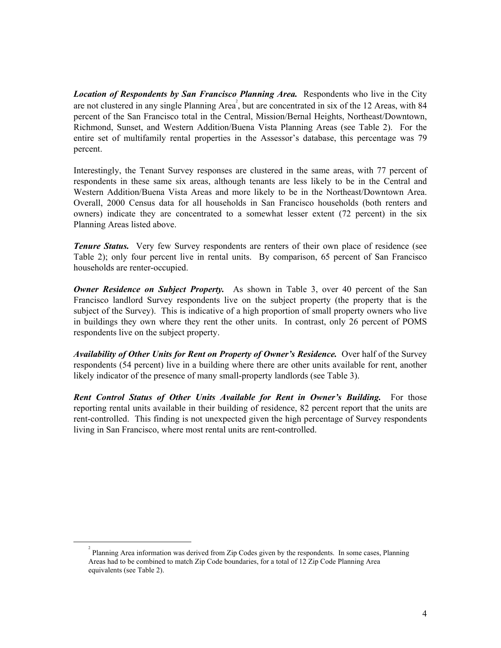*Location of Respondents by San Francisco Planning Area.* Respondents who live in the City are not clustered in any single Planning Area<sup>2</sup>, but are concentrated in six of the 12 Areas, with 84 percent of the San Francisco total in the Central, Mission/Bernal Heights, Northeast/Downtown, Richmond, Sunset, and Western Addition/Buena Vista Planning Areas (see Table 2). For the entire set of multifamily rental properties in the Assessor's database, this percentage was 79 percent.

Interestingly, the Tenant Survey responses are clustered in the same areas, with 77 percent of respondents in these same six areas, although tenants are less likely to be in the Central and Western Addition/Buena Vista Areas and more likely to be in the Northeast/Downtown Area. Overall, 2000 Census data for all households in San Francisco households (both renters and owners) indicate they are concentrated to a somewhat lesser extent (72 percent) in the six Planning Areas listed above.

*Tenure Status.* Very few Survey respondents are renters of their own place of residence (see Table 2); only four percent live in rental units. By comparison, 65 percent of San Francisco households are renter-occupied.

*Owner Residence on Subject Property.* As shown in Table 3, over 40 percent of the San Francisco landlord Survey respondents live on the subject property (the property that is the subject of the Survey). This is indicative of a high proportion of small property owners who live in buildings they own where they rent the other units. In contrast, only 26 percent of POMS respondents live on the subject property.

*Availability of Other Units for Rent on Property of Owner's Residence.* Over half of the Survey respondents (54 percent) live in a building where there are other units available for rent, another likely indicator of the presence of many small-property landlords (see Table 3).

**Rent Control Status of Other Units Available for Rent in Owner's Building.** For those reporting rental units available in their building of residence, 82 percent report that the units are rent-controlled. This finding is not unexpected given the high percentage of Survey respondents living in San Francisco, where most rental units are rent-controlled.

<span id="page-12-0"></span> $\frac{1}{2}$  Planning Area information was derived from Zip Codes given by the respondents. In some cases, Planning Areas had to be combined to match Zip Code boundaries, for a total of 12 Zip Code Planning Area equivalents (see Table 2).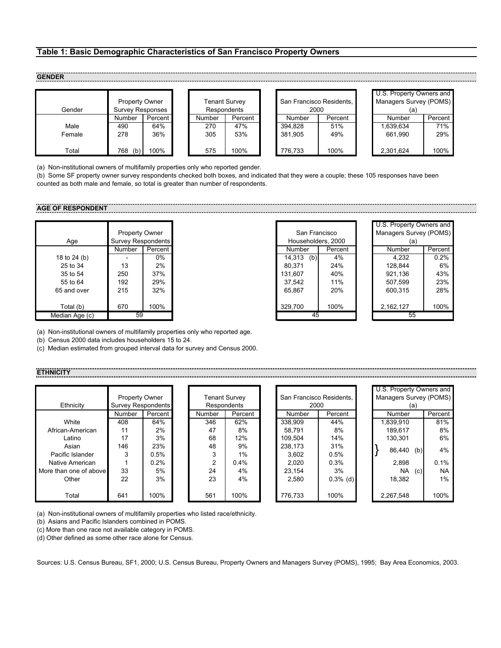#### <span id="page-13-0"></span>**Table 1: Basic Demographic Characteristics of San Francisco Property Owners**

#### **GENDER**

| Gender | <b>Property Owner</b><br><b>Survey Responses</b> |         |  |        | Tenant Survev<br>Respondents |  |         | San Francisco Residents.<br>2000 | U.S. Property Owners and<br><b>Managers Survey (POMS)</b> |         |
|--------|--------------------------------------------------|---------|--|--------|------------------------------|--|---------|----------------------------------|-----------------------------------------------------------|---------|
|        | Number                                           | Percent |  | Number | Percent                      |  | Number  | Percent                          | Number                                                    | Percent |
| Male   | 490                                              | 64%     |  | 270    | 47%                          |  | 394.828 | 51%                              | 1,639,634                                                 | 71%     |
| Female | 278                                              | 36%     |  | 305    | 53%                          |  | 381.905 | 49%                              | 661.990                                                   | 29%     |
| Total  | 768<br>(b)                                       | 100%    |  | 575    | 100%                         |  | 776,733 | 100%                             | 2,301,624                                                 | 100%    |

| San Francisco Residents,<br>2000 |         |  |  |  |  |  |  |
|----------------------------------|---------|--|--|--|--|--|--|
| Number                           | Percent |  |  |  |  |  |  |
| 394.828                          | 51%     |  |  |  |  |  |  |
| 381,905                          | 49%     |  |  |  |  |  |  |
| 776.733                          | 100%    |  |  |  |  |  |  |

| U.S. Property Owners and<br>Managers Survey (POMS) |         |  |  |  |  |  |  |  |
|----------------------------------------------------|---------|--|--|--|--|--|--|--|
| (a)                                                |         |  |  |  |  |  |  |  |
| Number                                             | Percent |  |  |  |  |  |  |  |
| 1.639.634                                          | 71%     |  |  |  |  |  |  |  |
| 661.990                                            | 29%     |  |  |  |  |  |  |  |
|                                                    |         |  |  |  |  |  |  |  |
| 2,301,624                                          | 100%    |  |  |  |  |  |  |  |

(a) Non-institutional owners of multifamily properties only who reported gender.

(b) Some SF property owner survey respondents checked both boxes, and indicated that they were a couple; these 105 responses have been counted as both male and female, so total is greater than number of respondents.

# **AGE OF RESPONDENT**

|                | Property Owner            |      |  |  |  |
|----------------|---------------------------|------|--|--|--|
| Age            | <b>Survey Respondents</b> |      |  |  |  |
|                | Number<br>Percent         |      |  |  |  |
| 18 to 24 (b)   |                           | 0%   |  |  |  |
| 25 to 34       | 13                        | 2%   |  |  |  |
| 35 to 54       | 250                       | 37%  |  |  |  |
| 55 to 64       | 192                       | 29%  |  |  |  |
| 65 and over    | 215                       | 32%  |  |  |  |
|                |                           |      |  |  |  |
| Total (b)      | 670                       | 100% |  |  |  |
| Median Age (c) | 59                        |      |  |  |  |

|                |                       |         |  |                    |         |                        |         |  |  | U.S. Property Owners and |  |
|----------------|-----------------------|---------|--|--------------------|---------|------------------------|---------|--|--|--------------------------|--|
|                | <b>Property Owner</b> |         |  | San Francisco      |         | Managers Survey (POMS) |         |  |  |                          |  |
| Age            | Survey Respondents    |         |  | Householders, 2000 |         | (a)                    |         |  |  |                          |  |
|                | Number                | Percent |  | Number             | Percent | Number                 | Percent |  |  |                          |  |
| 18 to 24 (b)   |                       | 0%      |  | 14.313<br>(b)      | 4%      | 4,232                  | 0.2%    |  |  |                          |  |
| 25 to 34       | 13                    | 2%      |  | 80.371             | 24%     | 128.844                | 6%      |  |  |                          |  |
| 35 to 54       | 250                   | 37%     |  | 131.607            | 40%     | 921,136                | 43%     |  |  |                          |  |
| 55 to 64       | 192                   | 29%     |  | 37.542             | 11%     | 507,599                | 23%     |  |  |                          |  |
| 65 and over    | 215                   | 32%     |  | 65.867             | 20%     | 600.315                | 28%     |  |  |                          |  |
| Total (b)      | 670                   | 100%    |  | 329.700            | 100%    | 2,162,127              | 100%    |  |  |                          |  |
| ledian Age (c) | 59                    |         |  | 45                 |         | 55                     |         |  |  |                          |  |

| U.S. Property Owners and      |         |  |  |  |  |  |  |
|-------------------------------|---------|--|--|--|--|--|--|
| Managers Survey (POMS)<br>(a) |         |  |  |  |  |  |  |
| Number                        | Percent |  |  |  |  |  |  |
| 4,232                         | 0.2%    |  |  |  |  |  |  |
| 128.844                       | 6%      |  |  |  |  |  |  |
| 921,136                       | 43%     |  |  |  |  |  |  |
| 507,599                       | 23%     |  |  |  |  |  |  |
| 600.315                       | 28%     |  |  |  |  |  |  |
|                               |         |  |  |  |  |  |  |
| 2,162,127                     | 100%    |  |  |  |  |  |  |
|                               |         |  |  |  |  |  |  |

(a) Non-institutional owners of multifamily properties only who reported age.

(b) Census 2000 data includes householders 15 to 24.

(c) Median estimated from grouped interval data for survey and Census 2000.

#### **ETHNICIT**

|                        |                       |           |                                                  |               |             |  |                               |             |  |  | U.S. Property Owners and |     |           |
|------------------------|-----------------------|-----------|--------------------------------------------------|---------------|-------------|--|-------------------------------|-------------|--|--|--------------------------|-----|-----------|
|                        | <b>Property Owner</b> |           | San Francisco Residents.<br><b>Tenant Survey</b> |               |             |  | <b>Managers Survey (POMS)</b> |             |  |  |                          |     |           |
| Ethnicity              | Survey Respondents    |           |                                                  |               | Respondents |  |                               | 2000        |  |  |                          | (a) |           |
|                        | <b>Number</b>         | Percent I |                                                  | <b>Number</b> | Percent     |  | Number                        | Percent     |  |  | Number                   |     | Percent   |
| White                  | 408                   | 64%       |                                                  | 346           | 62%         |  | 338.909                       | 44%         |  |  | 1,839,910                |     | 81%       |
| African-American       | 11                    | 2%        |                                                  | 47            | 8%          |  | 58.791                        | 8%          |  |  | 189.617                  |     | 8%        |
| Latino                 | 17                    | 3%        |                                                  | 68            | 12%         |  | 109.504                       | 14%         |  |  | 130.301                  |     | 6%        |
| Asian                  | 146                   | 23%       |                                                  | 48            | 9%          |  | 238.173                       | 31%         |  |  |                          |     |           |
| Pacific Islander       | 3                     | 0.5%      |                                                  | 3             | $1\%$       |  | 3.602                         | 0.5%        |  |  | 86,440                   | (b) | 4%        |
| Native American        |                       | 0.2%      |                                                  | $\mathbf{2}$  | 0.4%        |  | 2.020                         | 0.3%        |  |  | 2.898                    |     | 0.1%      |
| More than one of above | 33                    | 5%        |                                                  | 24            | 4%          |  | 23.154                        | 3%          |  |  | NA.                      | (c) | <b>NA</b> |
| Other                  | 22                    | 3%        |                                                  | 23            | 4%          |  | 2.580                         | $0.3\%$ (d) |  |  | 18,382                   |     | 1%        |
| Total                  | 641                   | 100%      |                                                  | 561           | 100%        |  | 776.733                       | 100%        |  |  | 2.267.548                |     | 100%      |

|                          |            |         | U.S. Property Owners and |     |         |  |  |
|--------------------------|------------|---------|--------------------------|-----|---------|--|--|
| San Francisco Residents. |            |         | Managers Survey (POMS)   |     |         |  |  |
| 2000                     |            |         |                          | (a) |         |  |  |
| Number                   | Percent    |         | Number                   |     | Percent |  |  |
| 338.909                  | 44%        |         | 1.839.910                |     | 81%     |  |  |
| 58.791                   | 8%         | 189.617 |                          |     | 8%      |  |  |
| 109.504                  | 14%        | 130.301 |                          |     | 6%      |  |  |
| 238.173                  | 31%        |         |                          | 4%  |         |  |  |
| 3.602                    | 0.5%       |         | 86.440                   | (b) |         |  |  |
| 2.020                    | 0.3%       |         | 2.898                    |     | 0.1%    |  |  |
| 23.154                   | 3%         |         | NA                       | (c) | NA      |  |  |
| 2.580                    | $0.3%$ (d) |         | 18.382                   |     | 1%      |  |  |
|                          |            |         |                          |     |         |  |  |
| 776.733                  | 100%       |         | 2.267.548                |     | 100%    |  |  |

|  | (a) Non-institutional owners of multifamily properties who listed race/ethnicity. |
|--|-----------------------------------------------------------------------------------|

(b) Asians and Pacific Islanders combined in POMS.

(c) More than one race not available category in POMS.

(d) Other defined as some other race alone for Census.

Sources: U.S. Census Bureau, SF1, 2000; U.S. Census Bureau, Property Owners and Managers Survey (POMS), 1995; Bay Area Economics, 2003.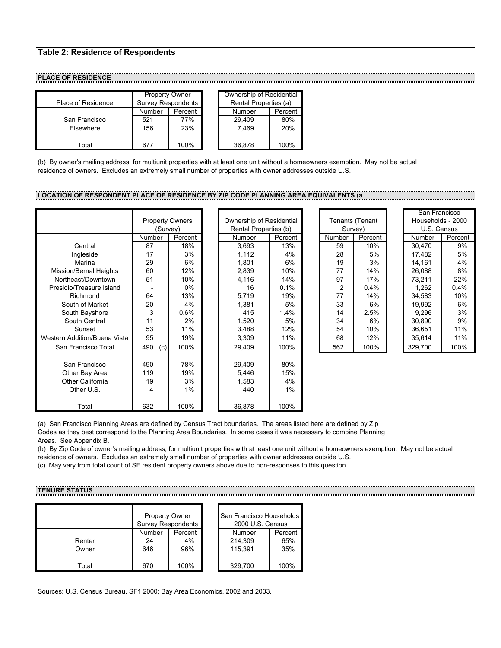### <span id="page-14-0"></span>**Table 2: Residence of Respondents**

# **PLACE OF RESIDENCE**

|                    | <b>Property Owner</b>     |         | Ownership of Residential |         |
|--------------------|---------------------------|---------|--------------------------|---------|
| Place of Residence | <b>Survey Respondents</b> |         | Rental Properties (a)    |         |
|                    | Number                    | Percent | Number                   | Percent |
| San Francisco      | 521                       | 77%     | 29.409                   | 80%     |
| Elsewhere          | 156                       | 23%     | 7.469                    | 20%     |
| Total              | 677                       | 100%    | 36,878                   | 100%    |

(b) By owner's mailing address, for multiunit properties with at least one unit without a homeowners exemption. May not be actual residence of owners. Excludes an extremely small number of properties with owner addresses outside U.S.

# **LOCATION OF RESPONDENT PLACE OF RESIDENCE BY ZIP CODE PLANNING AREA EQUIVALENTS (a**

|                              |            |                        |                          |         |        |                 | San Francisco     |         |
|------------------------------|------------|------------------------|--------------------------|---------|--------|-----------------|-------------------|---------|
|                              |            | <b>Property Owners</b> | Ownership of Residential |         |        | Tenants (Tenant | Households - 2000 |         |
|                              |            | (Survey)               | Rental Properties (b)    |         |        | Survey)         | U.S. Census       |         |
|                              | Number     | Percent                | <b>Number</b>            | Percent | Number | Percent         | <b>Number</b>     | Percent |
| Central                      | 87         | 18%                    | 3,693                    | 13%     | 59     | 10%             | 30,470            | 9%      |
| Ingleside                    | 17         | 3%                     | 1,112                    | 4%      | 28     | 5%              | 17,482            | 5%      |
| Marina                       | 29         | 6%                     | 1,801                    | 6%      | 19     | 3%              | 14,161            | 4%      |
| Mission/Bernal Heights       | 60         | 12%                    | 2,839                    | 10%     | 77     | 14%             | 26,088            | 8%      |
| Northeast/Downtown           | 51         | 10%                    | 4,116                    | 14%     | 97     | 17%             | 73,211            | 22%     |
| Presidio/Treasure Island     |            | 0%                     | 16                       | 0.1%    | 2      | 0.4%            | 1,262             | 0.4%    |
| Richmond                     | 64         | 13%                    | 5,719                    | 19%     | 77     | 14%             | 34,583            | 10%     |
| South of Market              | 20         | 4%                     | 1,381                    | 5%      | 33     | 6%              | 19,992            | 6%      |
| South Bayshore               | 3          | 0.6%                   | 415                      | 1.4%    | 14     | 2.5%            | 9,296             | 3%      |
| South Central                | 11         | 2%                     | 1,520                    | 5%      | 34     | 6%              | 30,890            | 9%      |
| Sunset                       | 53         | 11%                    | 3,488                    | 12%     | 54     | 10%             | 36,651            | 11%     |
| Western Addition/Buena Vista | 95         | 19%                    | 3,309                    | 11%     | 68     | 12%             | 35,614            | 11%     |
| San Francisco Total          | 490<br>(c) | 100%                   | 29,409                   | 100%    | 562    | 100%            | 329,700           | 100%    |
| San Francisco                | 490        | 78%                    | 29,409                   | 80%     |        |                 |                   |         |
| Other Bay Area               | 119        | 19%                    | 5,446                    | 15%     |        |                 |                   |         |
| <b>Other California</b>      | 19         | 3%                     | 1,583                    | 4%      |        |                 |                   |         |
| Other U.S.                   | 4          | $1\%$                  | 440                      | $1\%$   |        |                 |                   |         |
| Total                        | 632        | 100%                   | 36,878                   | 100%    |        |                 |                   |         |

|  | San Francisco     |         |
|--|-------------------|---------|
|  | Households - 2000 |         |
|  | U.S. Census       |         |
|  | Number            | Percent |
|  | 30.470            | 9%      |
|  | 17.482            | 5%      |
|  | 14,161            | 4%      |
|  | 26.088            | 8%      |
|  | 73,211            | 22%     |
|  | 1.262             | $0.4\%$ |
|  | 34.583            | 10%     |
|  | 19.992            | 6%      |
|  | 9.296             | 3%      |
|  | 30,890            | 9%      |
|  | 36,651            | 11%     |
|  | 35.614            | 11%     |
|  | 329,700           | 100%    |

(a) San Francisco Planning Areas are defined by Census Tract boundaries. The areas listed here are defined by Zip Codes as they best correspond to the Planning Area Boundaries. In some cases it was necessary to combine Planning

Areas. See Appendix B.

(b) By Zip Code of owner's mailing address, for multiunit properties with at least one unit without a homeowners exemption. May not be actual residence of owners. Excludes an extremely small number of properties with owner addresses outside U.S.

(c) May vary from total count of SF resident property owners above due to non-responses to this question.

**TENURE STATUS**

|        | <b>Property Owner</b> | <b>Survey Respondents</b> | San Francisco Households<br>2000 U.S. Census |         |
|--------|-----------------------|---------------------------|----------------------------------------------|---------|
|        | Number                | Percent                   | Number                                       | Percent |
| Renter | 24                    | 4%                        | 214,309                                      | 65%     |
| Owner  | 646                   | 96%                       | 115.391                                      | 35%     |
| Total  | 670                   | 100%                      | 329.700                                      | 100%    |

Sources: U.S. Census Bureau, SF1 2000; Bay Area Economics, 2002 and 2003.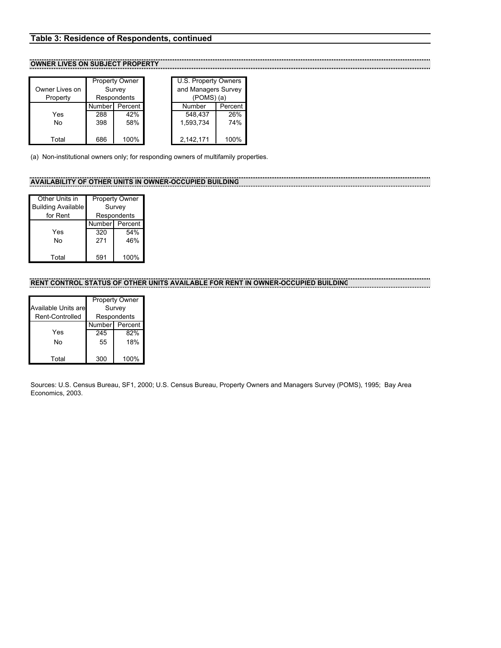## <span id="page-15-0"></span>**Table 3: Residence of Respondents, continued**

## **OWNER LIVES ON SUBJECT PROPERTY**

| Owner Lives on |        | <b>Property Owner</b><br>Survey | U.S. Property Owners<br>and Managers Survey |         |
|----------------|--------|---------------------------------|---------------------------------------------|---------|
| Property       | Number | Respondents<br>Percent          | $(POMS)$ $(a)$<br>Number                    | Percent |
| Yes            | 288    | 42%                             | 548,437                                     | 26%     |
| No             | 398    | 58%                             | 1,593,734                                   | 74%     |
| Total          | 686    | 100%                            | 2,142,171                                   | 100%    |

|         | <b>Property Owner</b> | U.S. Property Owners             |         |  |
|---------|-----------------------|----------------------------------|---------|--|
|         | Survey<br>Respondents | and Managers Survey<br>(POMS)(a) |         |  |
| Numberl | Percent               | Number                           | Percent |  |
| 288     | 42%                   | 548.437                          | 26%     |  |
| 398     | 58%                   | 1,593,734                        | 74%     |  |
| 686     | 100%                  | 2,142,171                        | 100%    |  |

(a) Non-institutional owners only; for responding owners of multifamily properties.

## **AVAILABILITY OF OTHER UNITS IN OWNER-OCCUPIED BUILDING**

| Other Units in            |     | <b>Property Owner</b> |
|---------------------------|-----|-----------------------|
| <b>Building Available</b> |     | Survey                |
| for Rent                  |     | Respondents           |
|                           |     | Number Percent        |
| Yes                       | 320 | 54%                   |
| N٥                        | 271 | 46%                   |
|                           |     |                       |
| Total                     | 591 | 100%                  |

# **RENT CONTROL STATUS OF OTHER UNITS AVAILABLE FOR RENT IN OWNER-OCCUPIED BUILDING**

|                            |        | <b>Property Owner</b> |
|----------------------------|--------|-----------------------|
| <b>Available Units are</b> |        | Survey                |
| Rent-Controlled            |        | Respondents           |
|                            | Number | Percent               |
| Yes                        | 245    | 82%                   |
| N٥                         | 55     | 18%                   |
| Total                      | 300    | 100%                  |

Sources: U.S. Census Bureau, SF1, 2000; U.S. Census Bureau, Property Owners and Managers Survey (POMS), 1995; Bay Area Economics, 2003.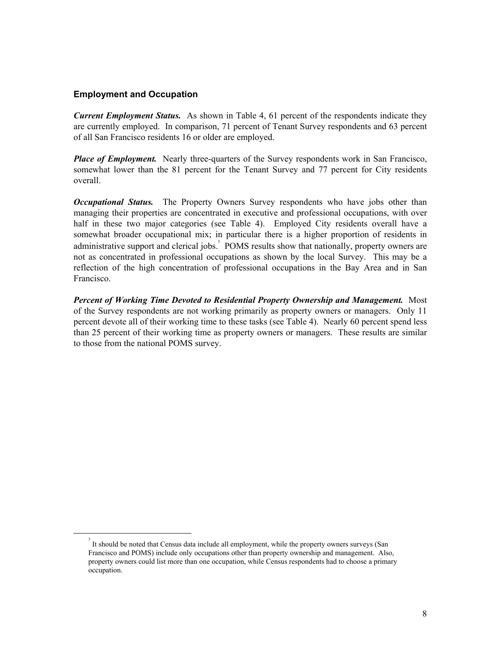# <span id="page-16-0"></span>**Employment and Occupation**

*Current Employment Status.* As shown in Table 4, 61 percent of the respondents indicate they are currently employed. In comparison, 71 percent of Tenant Survey respondents and 63 percent of all San Francisco residents 16 or older are employed.

*Place of Employment.* Nearly three-quarters of the Survey respondents work in San Francisco, somewhat lower than the 81 percent for the Tenant Survey and 77 percent for City residents overall.

*Occupational Status.* The Property Owners Survey respondents who have jobs other than managing their properties are concentrated in executive and professional occupations, with over half in these two major categories (see Table 4). Employed City residents overall have a somewhat broader occupational mix; in particular there is a higher proportion of residents in administrative support and clerical jobs.<sup>3</sup> POMS results show that nationally, property owners are not as concentrated in professional occupations as shown by the local Survey. This may be a reflection of the high concentration of professional occupations in the Bay Area and in San Francisco.

*Percent of Working Time Devoted to Residential Property Ownership and Management.* Most of the Survey respondents are not working primarily as property owners or managers. Only 11 percent devote all of their working time to these tasks (see Table 4). Nearly 60 percent spend less than 25 percent of their working time as property owners or managers. These results are similar to those from the national POMS survey.

<span id="page-16-1"></span> <sup>3</sup> It should be noted that Census data include all employment, while the property owners surveys (San Francisco and POMS) include only occupations other than property ownership and management. Also, property owners could list more than one occupation, while Census respondents had to choose a primary occupation.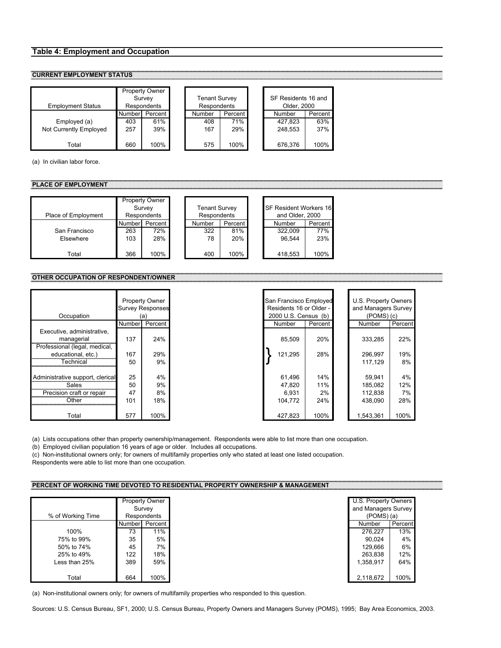#### <span id="page-17-0"></span>**Table 4: Employment and Occupation**

#### **CURRENT EMPLOYMENT STATUS**

| <b>Employment Status</b> |        | <b>Property Owner</b><br>Survey<br><b>Respondents</b> | <b>Tenant Survey</b><br>Respondents |         | SF Residents 16 and<br>Older, 2000 |         |
|--------------------------|--------|-------------------------------------------------------|-------------------------------------|---------|------------------------------------|---------|
|                          | Number | Percent                                               | Number                              | Percent | Number                             | Percent |
| Employed (a)             | 403    | 61%                                                   | 408                                 | 71%     | 427.823                            | 63%     |
| Not Currently Employed   | 257    | 39%                                                   | 167                                 | 29%     | 248.553                            | 37%     |
| Total                    | 660    | 100%                                                  | 575                                 | 100%    | 676.376                            | 100%    |

(a) In civilian labor force.

#### **PLACE OF EMPLOYMENT**

| Place of Employment |        | <b>Property Owner</b><br>Survey<br>Respondents | <b>Tenant Survey</b><br>Respondents |         | <b>SF Resident Workers 16</b><br>and Older, 2000 |         |
|---------------------|--------|------------------------------------------------|-------------------------------------|---------|--------------------------------------------------|---------|
|                     | Number | Percent                                        | Number                              | Percent | Number                                           | Percent |
| San Francisco       | 263    | 72%                                            | 322                                 | 81%     | 322,009                                          | 77%     |
| Elsewhere           | 103    | 28%                                            | 78                                  | 20%     | 96.544                                           | 23%     |
|                     |        |                                                |                                     |         |                                                  |         |
| Total               | 366    | 100%                                           | 400                                 | 100%    | 418,553                                          | 100%    |

#### **OTHER OCCUPATION OF RESPONDENT/OWNER**

| Occupation                                                                |                | <b>Property Owner</b><br><b>Survey Responses</b><br>(a) | San Francisco Employed<br>Residents 16 or Older -<br>2000 U.S. Census (b) |                  | U.S. Property Owners<br>and Managers Survey<br>$(POMS)$ (c) |
|---------------------------------------------------------------------------|----------------|---------------------------------------------------------|---------------------------------------------------------------------------|------------------|-------------------------------------------------------------|
|                                                                           | Number         | Percent                                                 | Number                                                                    | Percent          | Number                                                      |
| Executive, administrative,<br>managerial<br>Professional (legal, medical, | 137            | 24%                                                     | 85,509                                                                    | 20%              | 333,285                                                     |
| educational, etc.)<br>ГесһnісаІ                                           | 167<br>50      | 29%<br>9%                                               | 121.295                                                                   | 28%              | 296.997<br>117,129                                          |
| Administrative support, clerical<br>Sales<br>Precision craft or repair    | 25<br>50<br>47 | 4%<br>9%<br>8%                                          | 61.496<br>47.820<br>6.931                                                 | 14%<br>11%<br>2% | 59.941<br>185,082<br>112,838                                |
| Other                                                                     | 101            | 18%                                                     | 104.772                                                                   | 24%              | 438.090                                                     |
| Total                                                                     | 577            | 100%                                                    | 427,823                                                                   | 100%             | 1,543,361                                                   |

| Occupation                                                             |           | <b>Property Owner</b><br><b>Survey Responses</b><br>(a) |  |         | San Francisco Employed<br>Residents 16 or Older -<br>2000 U.S. Census (b) | U.S. Property Owners<br>and Managers Survey<br>$(POMS)$ (c) |           |
|------------------------------------------------------------------------|-----------|---------------------------------------------------------|--|---------|---------------------------------------------------------------------------|-------------------------------------------------------------|-----------|
|                                                                        | Numberl   | Percent                                                 |  | Number  | Percent                                                                   | Number                                                      | Percent   |
| xecutive, administrative,<br>managerial<br>ofessional (legal, medical, | 137       | 24%                                                     |  | 85,509  | 20%                                                                       | 333,285                                                     | 22%       |
| educational, etc.)<br>Technical                                        | 167<br>50 | 29%<br>9%                                               |  | 121.295 | 28%                                                                       | 296.997<br>117,129                                          | 19%<br>8% |
| ninistrative support, clerical                                         | 25        | 4%                                                      |  | 61,496  | 14%                                                                       | 59,941                                                      | 4%        |
| Sales                                                                  | 50        | 9%                                                      |  | 47,820  | 11%                                                                       | 185,082                                                     | 12%       |
|                                                                        | 47        | 8%                                                      |  | 6.931   | 2%                                                                        | 112,838                                                     | 7%        |
| റther                                                                  | 101       | 18%                                                     |  | 104.772 | 24%                                                                       | 438.090                                                     | 28%       |
| Total                                                                  | 577       | 100%                                                    |  | 427,823 | 100%                                                                      | 1,543,361                                                   | 100%      |

(a) Lists occupations other than property ownership/management. Respondents were able to list more than one occupation.

(b) Employed civilian population 16 years of age or older. Includes all occupations.

(c) Non-institutional owners only; for owners of multifamily properties only who stated at least one listed occupation.

Respondents were able to list more than one occupation.

#### **PERCENT OF WORKING TIME DEVOTED TO RESIDENTIAL PROPERTY OWNERSHIP & MANAGEMENT**

|                   |        | <b>Property Owner</b> | U.S. Property Owners |        |
|-------------------|--------|-----------------------|----------------------|--------|
|                   |        | Survey                | and Managers Survey  |        |
| % of Working Time |        | Respondents           | $(POMS)$ (a)         |        |
|                   | Number | Percent               | Number               | Percen |
| 100%              | 73     | 11%                   | 276,227              |        |
| 75% to 99%        | 35     | 5%                    | 90.024               |        |
| 50% to 74%        | 45     | 7%                    | 129,666              |        |
| 25% to 49%        | 122    | 18%                   | 263,838              |        |
| Less than 25%     | 389    | 59%                   | 1.358.917            |        |
|                   |        |                       |                      |        |
| Total             | 664    | 100%                  | 2,118,672            |        |

| Property Owner |             | U.S. Property Owners |                     |  |
|----------------|-------------|----------------------|---------------------|--|
|                | Survey      |                      | and Managers Survey |  |
|                | Respondents | $(POMS)$ (a)         |                     |  |
| Number         | Percent     | Number               | Percent             |  |
| 73             | 11%         | 276,227              | 13%                 |  |
| 35             | 5%          | 90,024               | 4%                  |  |
| 45             | 7%          | 129,666              | 6%                  |  |
| 122            | 18%         | 263,838              | 12%                 |  |
| 389            | 59%         | 1,358,917            | 64%                 |  |
|                |             |                      |                     |  |
| 664            | 100%        | 2,118,672            | 100%                |  |

(a) Non-institutional owners only; for owners of multifamily properties who responded to this question.

Sources: U.S. Census Bureau, SF1, 2000; U.S. Census Bureau, Property Owners and Managers Survey (POMS), 1995; Bay Area Economics, 2003.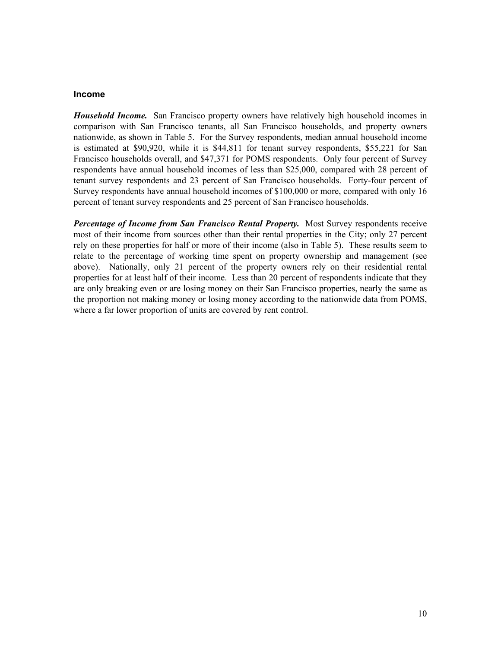### <span id="page-18-0"></span>**Income**

*Household Income.* San Francisco property owners have relatively high household incomes in comparison with San Francisco tenants, all San Francisco households, and property owners nationwide, as shown in Table 5. For the Survey respondents, median annual household income is estimated at \$90,920, while it is \$44,811 for tenant survey respondents, \$55,221 for San Francisco households overall, and \$47,371 for POMS respondents. Only four percent of Survey respondents have annual household incomes of less than \$25,000, compared with 28 percent of tenant survey respondents and 23 percent of San Francisco households. Forty-four percent of Survey respondents have annual household incomes of \$100,000 or more, compared with only 16 percent of tenant survey respondents and 25 percent of San Francisco households.

*Percentage of Income from San Francisco Rental Property.* Most Survey respondents receive most of their income from sources other than their rental properties in the City; only 27 percent rely on these properties for half or more of their income (also in Table 5). These results seem to relate to the percentage of working time spent on property ownership and management (see above). Nationally, only 21 percent of the property owners rely on their residential rental properties for at least half of their income. Less than 20 percent of respondents indicate that they are only breaking even or are losing money on their San Francisco properties, nearly the same as the proportion not making money or losing money according to the nationwide data from POMS, where a far lower proportion of units are covered by rent control.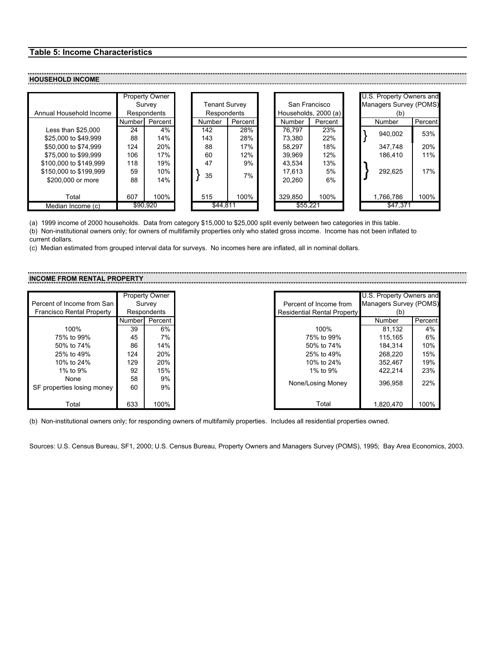# <span id="page-19-0"></span>**Table 5: Income Characteristics**

#### **HOUSEHOLD INCOME**

| Annual Household Income       | <b>Property Owner</b><br>Survey<br>Respondents |         | Tenant Survey<br>Respondents |        | San Francisco<br>Households, 2000 (a) |         |         | U.S. Property Owners and<br>Managers Survey (POMS)<br>(b) |           |                      |
|-------------------------------|------------------------------------------------|---------|------------------------------|--------|---------------------------------------|---------|---------|-----------------------------------------------------------|-----------|----------------------|
|                               | Number                                         | Percent |                              | Number | Percent                               | Number  | Percent |                                                           | Number    | Percent <sup>1</sup> |
| Less than \$25,000            | 24                                             | 4%      |                              | 142    | 28%                                   | 76.797  | 23%     |                                                           |           | 53%                  |
| \$25,000 to \$49,999          | 88                                             | 14%     |                              | 143    | 28%                                   | 73.380  | 22%     |                                                           | 940,002   |                      |
| \$50,000 to \$74,999          | 124                                            | 20%     |                              | 88     | 17%                                   | 58.297  | 18%     |                                                           | 347.748   | 20%                  |
| \$75,000 to \$99,999          | 106                                            | 17%     |                              | 60     | 12%                                   | 39.969  | 12%     |                                                           | 186.410   | 11%                  |
| \$100,000 to \$149,999        | 118                                            | 19%     |                              | 47     | 9%                                    | 43.534  | 13%     |                                                           |           |                      |
| \$150,000 to \$199,999        | 59                                             | 10%     |                              | 35     | 7%                                    | 17.613  | 5%      |                                                           | 292,625   | 17%                  |
| \$200,000 or more             | 88                                             | 14%     |                              |        |                                       | 20.260  | 6%      |                                                           |           |                      |
| Total                         | 607                                            | 100%    |                              | 515    | 100%                                  | 329,850 | 100%    |                                                           | 1,766,786 | 100%                 |
| \$90.920<br>Median Income (c) |                                                |         | \$44.811                     |        | \$55.221                              |         |         | \$47,371                                                  |           |                      |

(a) 1999 income of 2000 households. Data from category \$15,000 to \$25,000 split evenly between two categories in this table. (b) Non-institutional owners only; for owners of multifamily properties only who stated gross income. Income has not been inflated to current dollars.

(c) Median estimated from grouped interval data for surveys. No incomes here are inflated, all in nominal dollars.

# **INCOME FROM RENTAL PROPERTY**

|                                  |        | Property Owner |                                    | U.S. Property Owners and |         |
|----------------------------------|--------|----------------|------------------------------------|--------------------------|---------|
| Percent of Income from San       |        | Survey         | Percent of Income from             | Managers Survey (POMS)   |         |
| <b>Francisco Rental Property</b> |        | Respondents    | <b>Residential Rental Property</b> | (b)                      |         |
|                                  | Number | Percent I      |                                    | Number                   | Percent |
| 100%                             | 39     | 6%             | 100%                               | 81.132                   | 4%      |
| 75% to 99%                       | 45     | 7%             | 75% to 99%                         | 115.165                  | 6%      |
| 50% to 74%                       | 86     | 14%            | 50% to 74%                         | 184.314                  | 10%     |
| 25% to 49%                       | 124    | 20%            | 25% to 49%                         | 268.220                  | 15%     |
| 10% to 24%                       | 129    | 20%            | 10% to 24%                         | 352.467                  | 19%     |
| 1% to $9%$                       | 92     | 15%            | 1% to $9%$                         | 422.214                  | 23%     |
| None                             | 58     | 9%             |                                    |                          | 22%     |
| SF properties losing money       | 60     | 9%             | None/Losing Money                  | 396.958                  |         |
|                                  |        |                |                                    |                          |         |
| Total                            | 633    | 100%           | Total                              | 1,820,470                | 100%    |

(b) Non-institutional owners only; for responding owners of multifamily properties. Includes all residential properties owned.

Sources: U.S. Census Bureau, SF1, 2000; U.S. Census Bureau, Property Owners and Managers Survey (POMS), 1995; Bay Area Economics, 2003.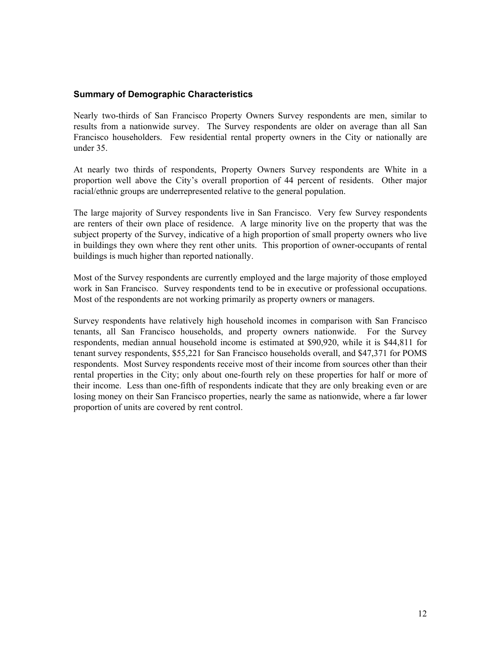# <span id="page-20-0"></span>**Summary of Demographic Characteristics**

Nearly two-thirds of San Francisco Property Owners Survey respondents are men, similar to results from a nationwide survey. The Survey respondents are older on average than all San Francisco householders. Few residential rental property owners in the City or nationally are under 35.

At nearly two thirds of respondents, Property Owners Survey respondents are White in a proportion well above the City's overall proportion of 44 percent of residents. Other major racial/ethnic groups are underrepresented relative to the general population.

The large majority of Survey respondents live in San Francisco. Very few Survey respondents are renters of their own place of residence. A large minority live on the property that was the subject property of the Survey, indicative of a high proportion of small property owners who live in buildings they own where they rent other units. This proportion of owner-occupants of rental buildings is much higher than reported nationally.

Most of the Survey respondents are currently employed and the large majority of those employed work in San Francisco. Survey respondents tend to be in executive or professional occupations. Most of the respondents are not working primarily as property owners or managers.

Survey respondents have relatively high household incomes in comparison with San Francisco tenants, all San Francisco households, and property owners nationwide. For the Survey respondents, median annual household income is estimated at \$90,920, while it is \$44,811 for tenant survey respondents, \$55,221 for San Francisco households overall, and \$47,371 for POMS respondents. Most Survey respondents receive most of their income from sources other than their rental properties in the City; only about one-fourth rely on these properties for half or more of their income. Less than one-fifth of respondents indicate that they are only breaking even or are losing money on their San Francisco properties, nearly the same as nationwide, where a far lower proportion of units are covered by rent control.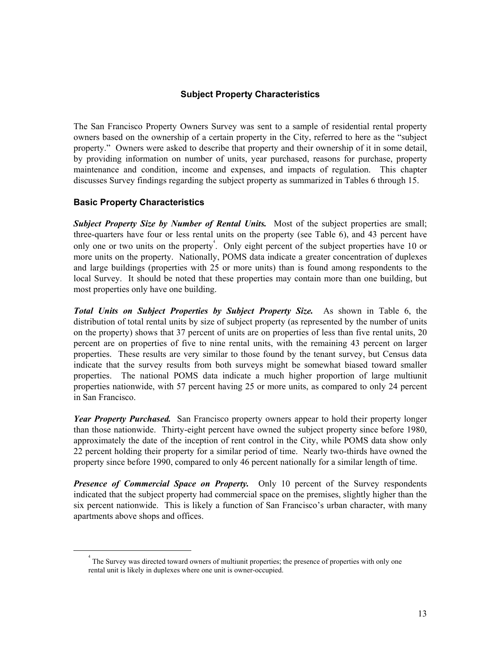# **Subject Property Characteristics**

<span id="page-21-0"></span>The San Francisco Property Owners Survey was sent to a sample of residential rental property owners based on the ownership of a certain property in the City, referred to here as the "subject property." Owners were asked to describe that property and their ownership of it in some detail, by providing information on number of units, year purchased, reasons for purchase, property maintenance and condition, income and expenses, and impacts of regulation. This chapter discusses Survey findings regarding the subject property as summarized in Tables 6 through 15.

# **Basic Property Characteristics**

**Subject Property Size by Number of Rental Units.** Most of the subject properties are small; three-quarters have four or less rental units on the property (see Table 6), and 43 percent have only one or two units on the property<sup>4</sup>[.](#page-21-1) Only eight percent of the subject properties have 10 or more units on the property. Nationally, POMS data indicate a greater concentration of duplexes and large buildings (properties with 25 or more units) than is found among respondents to the local Survey. It should be noted that these properties may contain more than one building, but most properties only have one building.

*Total Units on Subject Properties by Subject Property Size.* As shown in Table 6, the distribution of total rental units by size of subject property (as represented by the number of units on the property) shows that 37 percent of units are on properties of less than five rental units, 20 percent are on properties of five to nine rental units, with the remaining 43 percent on larger properties. These results are very similar to those found by the tenant survey, but Census data indicate that the survey results from both surveys might be somewhat biased toward smaller properties. The national POMS data indicate a much higher proportion of large multiunit properties nationwide, with 57 percent having 25 or more units, as compared to only 24 percent in San Francisco.

*Year Property Purchased.* San Francisco property owners appear to hold their property longer than those nationwide. Thirty-eight percent have owned the subject property since before 1980, approximately the date of the inception of rent control in the City, while POMS data show only 22 percent holding their property for a similar period of time. Nearly two-thirds have owned the property since before 1990, compared to only 46 percent nationally for a similar length of time.

*Presence of Commercial Space on Property.* Only 10 percent of the Survey respondents indicated that the subject property had commercial space on the premises, slightly higher than the six percent nationwide. This is likely a function of San Francisco's urban character, with many apartments above shops and offices.

<span id="page-21-1"></span> $\overline{4}$  The Survey was directed toward owners of multiunit properties; the presence of properties with only one rental unit is likely in duplexes where one unit is owner-occupied.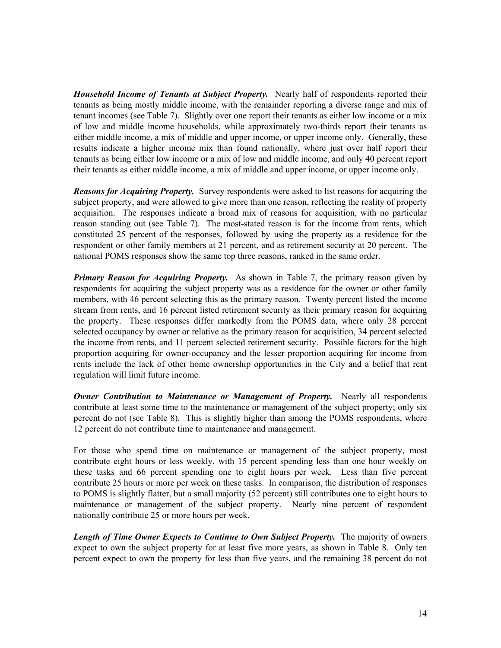*Household Income of Tenants at Subject Property.* Nearly half of respondents reported their tenants as being mostly middle income, with the remainder reporting a diverse range and mix of tenant incomes (see Table 7). Slightly over one report their tenants as either low income or a mix of low and middle income households, while approximately two-thirds report their tenants as either middle income, a mix of middle and upper income, or upper income only. Generally, these results indicate a higher income mix than found nationally, where just over half report their tenants as being either low income or a mix of low and middle income, and only 40 percent report their tenants as either middle income, a mix of middle and upper income, or upper income only.

*Reasons for Acquiring Property.* Survey respondents were asked to list reasons for acquiring the subject property, and were allowed to give more than one reason, reflecting the reality of property acquisition. The responses indicate a broad mix of reasons for acquisition, with no particular reason standing out (see Table 7). The most-stated reason is for the income from rents, which constituted 25 percent of the responses, followed by using the property as a residence for the respondent or other family members at 21 percent, and as retirement security at 20 percent. The national POMS responses show the same top three reasons, ranked in the same order.

*Primary Reason for Acquiring Property.* As shown in Table 7, the primary reason given by respondents for acquiring the subject property was as a residence for the owner or other family members, with 46 percent selecting this as the primary reason. Twenty percent listed the income stream from rents, and 16 percent listed retirement security as their primary reason for acquiring the property. These responses differ markedly from the POMS data, where only 28 percent selected occupancy by owner or relative as the primary reason for acquisition, 34 percent selected the income from rents, and 11 percent selected retirement security. Possible factors for the high proportion acquiring for owner-occupancy and the lesser proportion acquiring for income from rents include the lack of other home ownership opportunities in the City and a belief that rent regulation will limit future income.

*Owner Contribution to Maintenance or Management of Property.* Nearly all respondents contribute at least some time to the maintenance or management of the subject property; only six percent do not (see Table 8). This is slightly higher than among the POMS respondents, where 12 percent do not contribute time to maintenance and management.

For those who spend time on maintenance or management of the subject property, most contribute eight hours or less weekly, with 15 percent spending less than one hour weekly on these tasks and 66 percent spending one to eight hours per week. Less than five percent contribute 25 hours or more per week on these tasks. In comparison, the distribution of responses to POMS is slightly flatter, but a small majority (52 percent) still contributes one to eight hours to maintenance or management of the subject property. Nearly nine percent of respondent nationally contribute 25 or more hours per week.

*Length of Time Owner Expects to Continue to Own Subject Property.* The majority of owners expect to own the subject property for at least five more years, as shown in Table 8. Only ten percent expect to own the property for less than five years, and the remaining 38 percent do not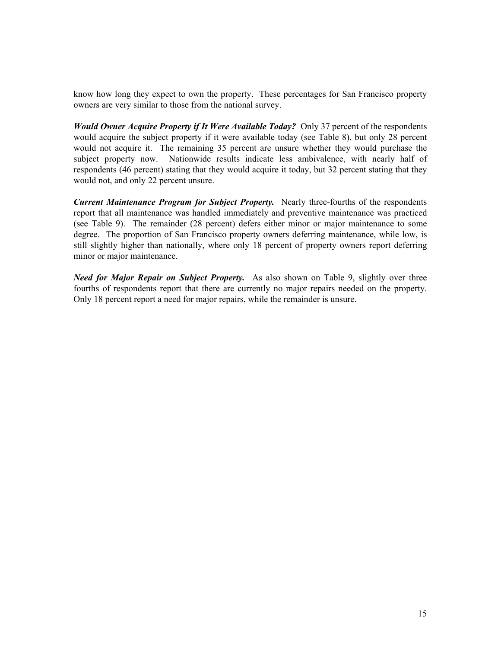know how long they expect to own the property. These percentages for San Francisco property owners are very similar to those from the national survey.

*Would Owner Acquire Property if It Were Available Today?* Only 37 percent of the respondents would acquire the subject property if it were available today (see Table 8), but only 28 percent would not acquire it. The remaining 35 percent are unsure whether they would purchase the subject property now. Nationwide results indicate less ambivalence, with nearly half of respondents (46 percent) stating that they would acquire it today, but 32 percent stating that they would not, and only 22 percent unsure.

*Current Maintenance Program for Subject Property.* Nearly three-fourths of the respondents report that all maintenance was handled immediately and preventive maintenance was practiced (see Table 9). The remainder (28 percent) defers either minor or major maintenance to some degree. The proportion of San Francisco property owners deferring maintenance, while low, is still slightly higher than nationally, where only 18 percent of property owners report deferring minor or major maintenance.

*Need for Major Repair on Subject Property.* As also shown on Table 9, slightly over three fourths of respondents report that there are currently no major repairs needed on the property. Only 18 percent report a need for major repairs, while the remainder is unsure.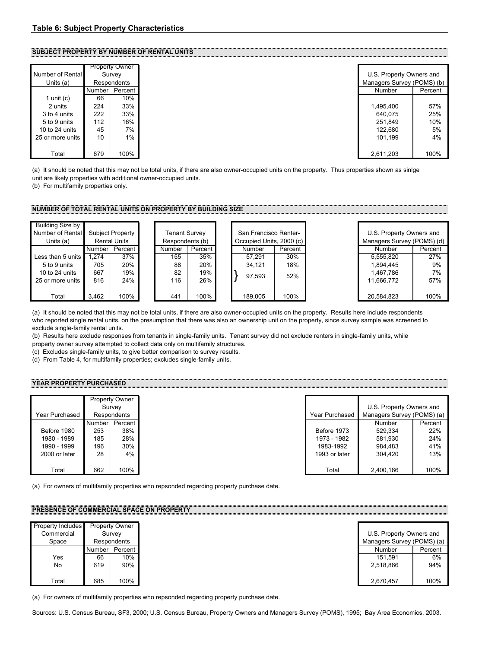#### <span id="page-24-0"></span>**SUBJECT PROPERTY BY NUMBER OF RENTAL UNITS**

| Number of Rental |        | <b>Property Owner</b><br>Survey |
|------------------|--------|---------------------------------|
|                  |        |                                 |
| Units (a)        |        | Respondents                     |
|                  | Number | Percent                         |
| 1 unit $(c)$     | 66     | 10%                             |
| 2 units          | 224    | 33%                             |
| 3 to 4 units     | 222    | 33%                             |
| 5 to 9 units     | 112    | 16%                             |
| 10 to 24 units   | 45     | 7%                              |
| 25 or more units | 10     | 1%                              |
|                  |        |                                 |
| Total            | 679    | 100%                            |

|        | <b>Property Owner</b> |  |
|--------|-----------------------|--|
|        | Survey                |  |
|        | Respondents           |  |
| Number | Percent               |  |
| 66     | 10%                   |  |
| 224    | 33%                   |  |
| 222    | 33%                   |  |
| 112    | 16%                   |  |
| 45     | 7%                    |  |
| 10     | $1\%$                 |  |
| 679    | 100%                  |  |

(a) It should be noted that this may not be total units, if there are also owner-occupied units on the property. Thus properties shown as sinlge unit are likely properties with additional owner-occupied units.

(b) For multifamily properties only.

#### **NUMBER OF TOTAL RENTAL UNITS ON PROPERTY BY BUILDING SIZE**

| Building Size by<br>Number of Rental<br>Units (a) | <b>Rental Units</b> |           | San Francisco Renter-<br>Subject Property<br>Tenant Survey<br>Respondents (b)<br>Occupied Units, 2000 (c) |        | U.S. Property Owners and<br>Managers Survey (POMS) (d) |         |         |  |            |         |
|---------------------------------------------------|---------------------|-----------|-----------------------------------------------------------------------------------------------------------|--------|--------------------------------------------------------|---------|---------|--|------------|---------|
|                                                   | <b>Number</b>       | Percent I |                                                                                                           | Number | Percent I                                              | Number  | Percent |  | Number     | Percent |
| Less than 5 units                                 | 1.274               | 37%       |                                                                                                           | 155    | 35%                                                    | 57.291  | 30%     |  | 5.555.820  | 27%     |
| 5 to 9 units                                      | 705                 | 20%       |                                                                                                           | 88     | 20%                                                    | 34.121  | 18%     |  | 1.894.445  | 9%      |
| 10 to 24 units                                    | 667                 | 19%       |                                                                                                           | 82     | 19%                                                    | 97.593  | 52%     |  | 1,467,786  | 7%      |
| 25 or more units                                  | 816                 | 24%       |                                                                                                           | 116    | 26%                                                    |         |         |  | 11.666.772 | 57%     |
| Total                                             | 3.462               | 100%      |                                                                                                           | 441    | 100%                                                   | 189.005 | 100%    |  | 20,584,823 | 100%    |

(a) It should be noted that this may not be total units, if there are also owner-occupied units on the property. Results here include respondents who reported single rental units, on the presumption that there was also an ownership unit on the property, since survey sample was screened to exclude single-family rental units.

(b) Results here exclude responses from tenants in single-family units. Tenant survey did not exclude renters in single-family units, while property owner survey attempted to collect data only on multifamily structures.

(c) Excludes single-family units, to give better comparison to survey results.

(d) From Table 4, for multifamily properties; excludes single-family units.

#### **YEAR PROPERTY PURCHASED**

|                | <b>Property Owner</b> |                |  |  |
|----------------|-----------------------|----------------|--|--|
|                |                       | Survey         |  |  |
| Year Purchased |                       | Respondents    |  |  |
|                |                       | Number Percent |  |  |
| Before 1980    | 253                   | 38%            |  |  |
| 1980 - 1989    | 185                   | 28%            |  |  |
| 1990 - 1999    | 196                   | 30%            |  |  |
| 2000 or later  | 28                    | 4%             |  |  |
|                |                       |                |  |  |
| Total          | 662                   | 100%           |  |  |

|               |               | <b>Property Owner</b> |                |                            |
|---------------|---------------|-----------------------|----------------|----------------------------|
|               |               | Survey                |                | U.S. Property Owners and   |
| ear Purchased |               | Respondents           | Year Purchased | Managers Survey (POMS) (a) |
|               | <b>Number</b> | Percent I             |                | Number                     |
| Before 1980   | 253           | 38%                   | Before 1973    | 529.334                    |
| 1980 - 1989   | 185           | 28%                   | 1973 - 1982    | 581,930                    |
| 1990 - 1999   | 196           | 30%                   | 1983-1992      | 984,483                    |
| 2000 or later | 28            | 4%                    | 1993 or later  | 304.420                    |
|               |               |                       |                |                            |
| Total         | 662           | 100%                  | Total          | 2,400,166                  |

(a) For owners of multifamily properties who repsonded regarding property purchase date.

# **PRESENCE OF COMMERCIAL SPACE ON PROPERTY**

| <b>Property Includes</b> |        | <b>Property Owner</b> |
|--------------------------|--------|-----------------------|
| Commercial               |        | Survey                |
| Space                    |        | Respondents           |
|                          | Number | Percent I             |
| Yes                      | 66     | 10%                   |
| No                       | 619    | 90%                   |
|                          |        |                       |
| Total                    | 685    | 100%                  |

(a) For owners of multifamily properties who repsonded regarding property purchase date.

Sources: U.S. Census Bureau, SF3, 2000; U.S. Census Bureau, Property Owners and Managers Survey (POMS), 1995; Bay Area Economics, 2003.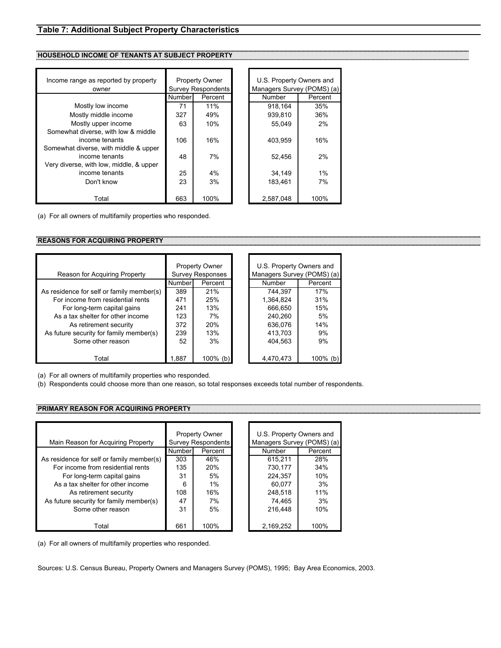## <span id="page-25-0"></span>**Table 7: Additional Subject Property Characteristics**

### **HOUSEHOLD INCOME OF TENANTS AT SUBJECT PROPERTY**

| Income range as reported by property<br>owner |        | <b>Property Owner</b><br><b>Survey Respondents</b> | U.S. Property Owners and<br>Managers Survey (POMS) (a) |         |  |
|-----------------------------------------------|--------|----------------------------------------------------|--------------------------------------------------------|---------|--|
|                                               | Number | Percent                                            | <b>Number</b>                                          | Percent |  |
| Mostly low income                             | 71     | 11%                                                | 918.164                                                | 35%     |  |
| Mostly middle income                          | 327    | 49%                                                | 939.810                                                | 36%     |  |
| Mostly upper income                           | 63     | 10%                                                | 55.049                                                 | 2%      |  |
| Somewhat diverse, with low & middle           |        |                                                    |                                                        |         |  |
| income tenants                                | 106    | 16%                                                | 403.959                                                | 16%     |  |
| Somewhat diverse, with middle & upper         |        |                                                    |                                                        |         |  |
| income tenants                                | 48     | 7%                                                 | 52,456                                                 | 2%      |  |
| Very diverse, with low, middle, & upper       |        |                                                    |                                                        |         |  |
| income tenants                                | 25     | 4%                                                 | 34.149                                                 | 1%      |  |
| Don't know                                    | 23     | 3%                                                 | 183.461                                                | 7%      |  |
|                                               |        |                                                    |                                                        |         |  |
| Total                                         | 663    | 100%                                               | 2.587.048                                              | 100%    |  |

(a) For all owners of multifamily properties who responded.

## **REASONS FOR ACQUIRING PROPERTY**

| Reason for Acquiring Property             |        | <b>Property Owner</b><br><b>Survey Responses</b> | U.S. Property Owners and<br>Managers Survey (POMS) (a) |         |  |
|-------------------------------------------|--------|--------------------------------------------------|--------------------------------------------------------|---------|--|
|                                           | Number | Percent                                          | Number                                                 | Percent |  |
| As residence for self or family member(s) | 389    | 21%                                              | 744.397                                                | 17%     |  |
| For income from residential rents         | 471    | 25%                                              | 1,364,824                                              | 31%     |  |
| For long-term capital gains               | 241    | 13%                                              | 666,650                                                | 15%     |  |
| As a tax shelter for other income         | 123    | 7%                                               | 240.260                                                | 5%      |  |
| As retirement security                    | 372    | 20%                                              | 636,076                                                | 14%     |  |
| As future security for family member(s)   | 239    | 13%                                              | 413,703                                                | 9%      |  |
| Some other reason                         | 52     | 3%                                               | 404.563                                                | 9%      |  |
|                                           |        |                                                  |                                                        |         |  |
| Total                                     | 1.887  | $100\%$ (b)                                      | 4,470,473                                              | 100%    |  |

(a) For all owners of multifamily properties who responded.

(b) Respondents could choose more than one reason, so total responses exceeds total number of respondents.

#### **PRIMARY REASON FOR ACQUIRING PROPERTY**

|                                           |                           | <b>Property Owner</b> |  | U.S. Property Owners and   |         |  |
|-------------------------------------------|---------------------------|-----------------------|--|----------------------------|---------|--|
| Main Reason for Acquiring Property        | <b>Survey Respondents</b> |                       |  | Managers Survey (POMS) (a) |         |  |
|                                           | Number                    | Percent               |  | Number                     | Percent |  |
| As residence for self or family member(s) | 303                       | 46%                   |  | 615.211                    | 28%     |  |
| For income from residential rents         | 135                       | 20%                   |  | 730,177                    | 34%     |  |
| For long-term capital gains               | 31                        | 5%                    |  | 224,357                    | 10%     |  |
| As a tax shelter for other income         | 6                         | 1%                    |  | 60.077                     | 3%      |  |
| As retirement security                    | 108                       | 16%                   |  | 248,518                    | 11%     |  |
| As future security for family member(s)   | 47                        | 7%                    |  | 74,465                     | 3%      |  |
| Some other reason                         | 31                        | 5%                    |  | 216,448                    | 10%     |  |
|                                           |                           |                       |  |                            |         |  |
| Total                                     | 661                       | 100%                  |  | 2,169,252                  | 100%    |  |

(a) For all owners of multifamily properties who responded.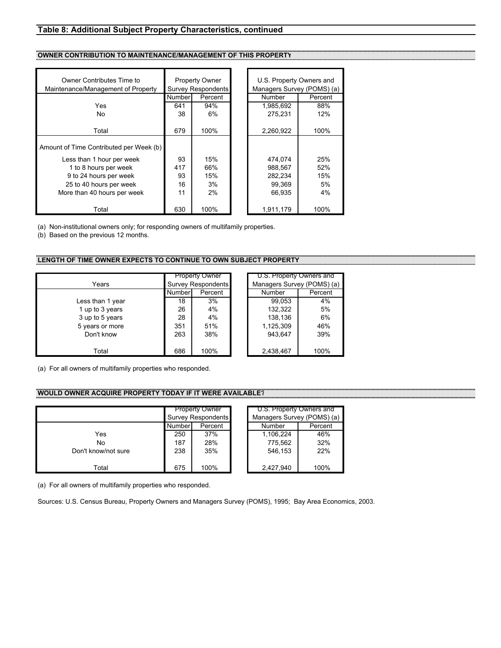#### <span id="page-26-0"></span>**Table 8: Additional Subject Property Characteristics, continued**

#### **OWNER CONTRIBUTION TO MAINTENANCE/MANAGEMENT OF THIS PROPERT**

| Owner Contributes Time to<br>Maintenance/Management of Property | <b>Property Owner</b><br>Survey Respondents |         | U.S. Property Owners and<br>Managers Survey (POMS) (a) |         |
|-----------------------------------------------------------------|---------------------------------------------|---------|--------------------------------------------------------|---------|
|                                                                 | Number                                      | Percent | <b>Number</b>                                          | Percent |
| Yes                                                             | 641                                         | 94%     | 1,985,692                                              | 88%     |
| No.                                                             | 38                                          | 6%      | 275.231                                                | 12%     |
|                                                                 |                                             |         |                                                        |         |
| Total                                                           | 679                                         | 100%    | 2,260,922                                              | 100%    |
| Amount of Time Contributed per Week (b)                         |                                             |         |                                                        |         |
| Less than 1 hour per week                                       | 93                                          | 15%     | 474.074                                                | 25%     |
| 1 to 8 hours per week                                           | 417                                         | 66%     | 988.567                                                | 52%     |
| 9 to 24 hours per week                                          | 93                                          | 15%     | 282,234                                                | 15%     |
| 25 to 40 hours per week                                         | 16                                          | 3%      | 99,369                                                 | 5%      |
| More than 40 hours per week                                     | 11                                          | 2%      | 66,935                                                 | 4%      |
|                                                                 |                                             |         |                                                        |         |
| Total                                                           | 630                                         | 100%    | 1,911,179                                              | 100%    |

(a) Non-institutional owners only; for responding owners of multifamily properties.

(b) Based on the previous 12 months.

#### **LENGTH OF TIME OWNER EXPECTS TO CONTINUE TO OWN SUBJECT PROPERTY**

|                  |                    | <b>Property Owner</b> |                        | U.S. Property Owners an |        |
|------------------|--------------------|-----------------------|------------------------|-------------------------|--------|
| Years            | Survey Respondents |                       | Managers Survey (POMS) |                         |        |
|                  | Number             | Percent               |                        | Number                  | Percen |
| Less than 1 year | 18                 | 3%                    |                        | 99,053                  | 4%     |
| 1 up to 3 years  | 26                 | 4%                    |                        | 132,322                 | 5%     |
| 3 up to 5 years  | 28                 | 4%                    |                        | 138,136                 | 6%     |
| 5 years or more  | 351                | 51%                   |                        | 1,125,309               | 46%    |
| Don't know       | 263                | 38%                   |                        | 943.647                 | 39%    |
|                  |                    |                       |                        |                         |        |
| Total            | 686                | 100%                  |                        | 2,438,467               | 100%   |

| <b>Property Owner</b> |                           |  | U.S. Property Owners and   |         |  |  |  |
|-----------------------|---------------------------|--|----------------------------|---------|--|--|--|
|                       | <b>Survey Respondents</b> |  | Managers Survey (POMS) (a) |         |  |  |  |
| Numberl               | Percent                   |  | Number                     | Percent |  |  |  |
| 18                    | 3%                        |  | 99.053                     | 4%      |  |  |  |
| 26                    | 4%                        |  | 132.322                    | 5%      |  |  |  |
| 28                    | 4%                        |  | 138,136                    | 6%      |  |  |  |
| 351                   | 51%                       |  | 1,125,309                  | 46%     |  |  |  |
| 263                   | 38%                       |  | 943.647                    | 39%     |  |  |  |
|                       |                           |  |                            |         |  |  |  |
| 686                   | 100%                      |  | 2,438,467                  | 100%    |  |  |  |

 $(a)$ 

(a) For all owners of multifamily properties who responded.

# **WOULD OWNER ACQUIRE PROPERTY TODAY IF IT WERE AVAILABLE?**

|                     | <b>Property Owner</b> |      | U.S. Property Owners and |         |  |
|---------------------|-----------------------|------|--------------------------|---------|--|
|                     | Survey Respondents    |      | Managers Survey (POMS) ( |         |  |
|                     | Number<br>Percent     |      | Number                   | Percent |  |
| Yes                 | 250                   | 37%  | 1,106,224                | 46%     |  |
| No                  | 187                   | 28%  | 775.562                  | 32%     |  |
| Don't know/not sure | 238                   | 35%  | 546,153                  | 22%     |  |
| Total               | 675                   | 100% | 2,427,940                | 100%    |  |

(a) For all owners of multifamily properties who responded.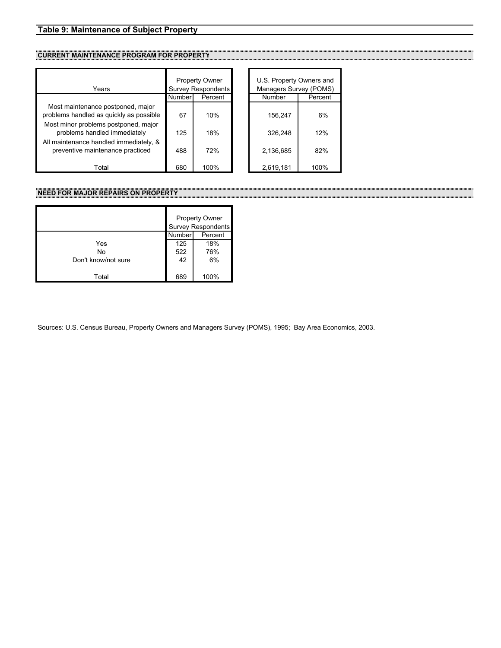# <span id="page-27-0"></span>**Table 9: Maintenance of Subject Property**

# **CURRENT MAINTENANCE PROGRAM FOR PROPERTY**

| Years                                                                        | <b>Property Owner</b><br>Survey Respondents |         | U.S. Property Owners and<br>Managers Survey (POMS) |         |
|------------------------------------------------------------------------------|---------------------------------------------|---------|----------------------------------------------------|---------|
|                                                                              | Number                                      | Percent | Number                                             | Percent |
| Most maintenance postponed, major<br>problems handled as quickly as possible | 67                                          | 10%     | 156.247                                            | 6%      |
| Most minor problems postponed, major<br>problems handled immediately         | 125                                         | 18%     | 326.248                                            | 12%     |
| All maintenance handled immediately, &<br>preventive maintenance practiced   | 488                                         | 72%     | 2,136,685                                          | 82%     |
| Total                                                                        | 680                                         | 100%    | 2,619,181                                          | 100%    |

# **NEED FOR MAJOR REPAIRS ON PROPERTY**

|                     | <b>Property Owner</b><br><b>Survey Respondents</b> |         |  |
|---------------------|----------------------------------------------------|---------|--|
|                     | Number                                             | Percent |  |
| Yes                 | 125                                                | 18%     |  |
| No                  | 522                                                | 76%     |  |
| Don't know/not sure | 42                                                 | 6%      |  |
| Total               | 689                                                | 100%    |  |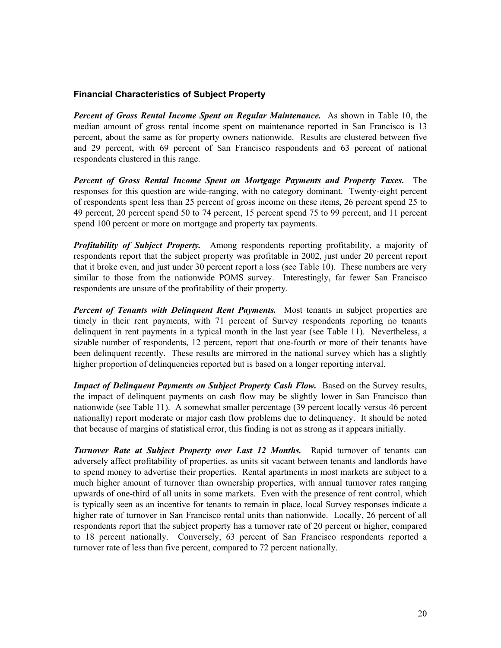# <span id="page-28-0"></span>**Financial Characteristics of Subject Property**

*Percent of Gross Rental Income Spent on Regular Maintenance.* As shown in Table 10, the median amount of gross rental income spent on maintenance reported in San Francisco is 13 percent, about the same as for property owners nationwide. Results are clustered between five and 29 percent, with 69 percent of San Francisco respondents and 63 percent of national respondents clustered in this range.

*Percent of Gross Rental Income Spent on Mortgage Payments and Property Taxes.* The responses for this question are wide-ranging, with no category dominant. Twenty-eight percent of respondents spent less than 25 percent of gross income on these items, 26 percent spend 25 to 49 percent, 20 percent spend 50 to 74 percent, 15 percent spend 75 to 99 percent, and 11 percent spend 100 percent or more on mortgage and property tax payments.

*Profitability of Subject Property.* Among respondents reporting profitability, a majority of respondents report that the subject property was profitable in 2002, just under 20 percent report that it broke even, and just under 30 percent report a loss (see Table 10). These numbers are very similar to those from the nationwide POMS survey. Interestingly, far fewer San Francisco respondents are unsure of the profitability of their property.

*Percent of Tenants with Delinquent Rent Payments.* Most tenants in subject properties are timely in their rent payments, with 71 percent of Survey respondents reporting no tenants delinquent in rent payments in a typical month in the last year (see Table 11). Nevertheless, a sizable number of respondents, 12 percent, report that one-fourth or more of their tenants have been delinquent recently. These results are mirrored in the national survey which has a slightly higher proportion of delinquencies reported but is based on a longer reporting interval.

*Impact of Delinquent Payments on Subject Property Cash Flow.* Based on the Survey results, the impact of delinquent payments on cash flow may be slightly lower in San Francisco than nationwide (see Table 11). A somewhat smaller percentage (39 percent locally versus 46 percent nationally) report moderate or major cash flow problems due to delinquency. It should be noted that because of margins of statistical error, this finding is not as strong as it appears initially.

*Turnover Rate at Subject Property over Last 12 Months.* Rapid turnover of tenants can adversely affect profitability of properties, as units sit vacant between tenants and landlords have to spend money to advertise their properties. Rental apartments in most markets are subject to a much higher amount of turnover than ownership properties, with annual turnover rates ranging upwards of one-third of all units in some markets. Even with the presence of rent control, which is typically seen as an incentive for tenants to remain in place, local Survey responses indicate a higher rate of turnover in San Francisco rental units than nationwide. Locally, 26 percent of all respondents report that the subject property has a turnover rate of 20 percent or higher, compared to 18 percent nationally. Conversely, 63 percent of San Francisco respondents reported a turnover rate of less than five percent, compared to 72 percent nationally.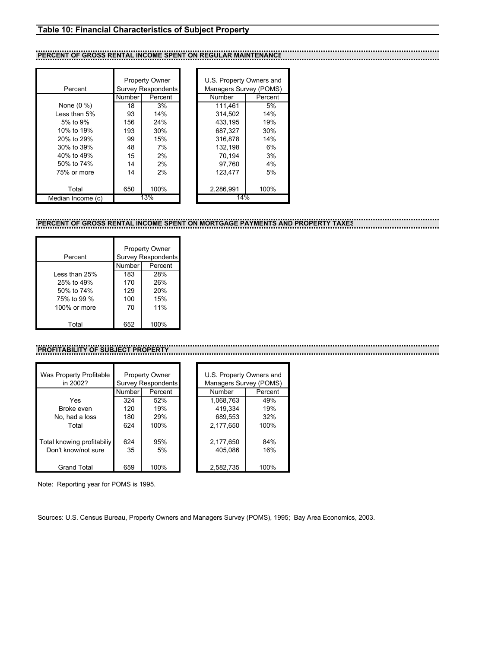# <span id="page-29-0"></span>**Table 10: Financial Characteristics of Subject Property**

# **PERCENT OF GROSS RENTAL INCOME SPENT ON REGULAR MAINTENANCE**

|                   |        | <b>Property Owner</b> |  | U.S. Property Owners and |         |
|-------------------|--------|-----------------------|--|--------------------------|---------|
| Percent           |        | Survey Respondents    |  | Managers Survey (POMS    |         |
|                   | Number | Percent               |  | Number                   | Percent |
| None (0 %)        | 18     | 3%                    |  | 111.461                  | 5%      |
| Less than 5%      | 93     | 14%                   |  | 314.502                  | 14%     |
| 5% to 9%          | 156    | 24%                   |  | 433.195                  | 19%     |
| 10% to 19%        | 193    | 30%                   |  | 687.327                  | 30%     |
| 20% to 29%        | 99     | 15%                   |  | 316.878                  | 14%     |
| 30% to 39%        | 48     | 7%                    |  | 132,198                  | 6%      |
| 40% to 49%        | 15     | 2%                    |  | 70.194                   | 3%      |
| 50% to 74%        | 14     | 2%                    |  | 97.760                   | 4%      |
| 75% or more       | 14     | 2%                    |  | 123.477                  | 5%      |
|                   |        |                       |  |                          |         |
| Total             | 650    | 100%                  |  | 2,286,991                | 100%    |
| Median Income (c) |        | 13%                   |  | 14%                      |         |

|   |           | U.S. Property Owners and |  |  |  |  |  |  |  |
|---|-----------|--------------------------|--|--|--|--|--|--|--|
| s |           | Managers Survey (POMS)   |  |  |  |  |  |  |  |
|   | Number    | Percent                  |  |  |  |  |  |  |  |
|   | 111,461   | .5%                      |  |  |  |  |  |  |  |
|   | 314.502   | 14%                      |  |  |  |  |  |  |  |
|   | 433.195   | 19%                      |  |  |  |  |  |  |  |
|   | 687.327   | 30%                      |  |  |  |  |  |  |  |
|   | 316.878   | 14%                      |  |  |  |  |  |  |  |
|   | 132.198   | 6%                       |  |  |  |  |  |  |  |
|   | 70,194    | 3%                       |  |  |  |  |  |  |  |
|   | 97,760    | 4%                       |  |  |  |  |  |  |  |
|   | 123.477   | 5%                       |  |  |  |  |  |  |  |
|   |           |                          |  |  |  |  |  |  |  |
|   | 2,286,991 | 100%                     |  |  |  |  |  |  |  |
|   | 14%       |                          |  |  |  |  |  |  |  |

# **PERCENT OF GROSS RENTAL INCOME SPENT ON MORTGAGE PAYMENTS AND PROPERTY TAXES**

| Percent       | <b>Property Owner</b><br><b>Survey Respondents</b> |      |  |  |
|---------------|----------------------------------------------------|------|--|--|
|               | Number<br>Percent                                  |      |  |  |
| Less than 25% | 183                                                | 28%  |  |  |
| 25% to 49%    | 170                                                | 26%  |  |  |
| 50% to 74%    | 129                                                | 20%  |  |  |
| 75% to 99 %   | 100                                                | 15%  |  |  |
| 100% or more  | 70                                                 | 11%  |  |  |
| Total         | 652                                                | 100% |  |  |

# **PROFITABILITY OF SUBJECT PROPERTY**

| Was Property Profitable    | <b>Property Owner</b> |                           |  | U.S. Property Owners and |         |  |
|----------------------------|-----------------------|---------------------------|--|--------------------------|---------|--|
| in 2002?                   |                       | <b>Survey Respondents</b> |  | Managers Survey (POMS)   |         |  |
|                            | Number                | Percent                   |  | Number                   | Percent |  |
| Yes                        | 324                   | 52%                       |  | 1.068.763                | 49%     |  |
| Broke even                 | 120                   | 19%                       |  | 419,334                  | 19%     |  |
| No, had a loss             | 180                   | 29%                       |  | 689,553                  | 32%     |  |
| Total                      | 624                   | 100%                      |  | 2.177.650                | 100%    |  |
|                            |                       |                           |  |                          |         |  |
| Total knowing profitabiliy | 624                   | 95%                       |  | 2,177,650                | 84%     |  |
| Don't know/not sure        | 35                    | 5%                        |  | 405,086                  | 16%     |  |
|                            |                       |                           |  |                          |         |  |
| <b>Grand Total</b>         | 659                   | 100%                      |  | 2,582,735                | 100%    |  |

Note: Reporting year for POMS is 1995.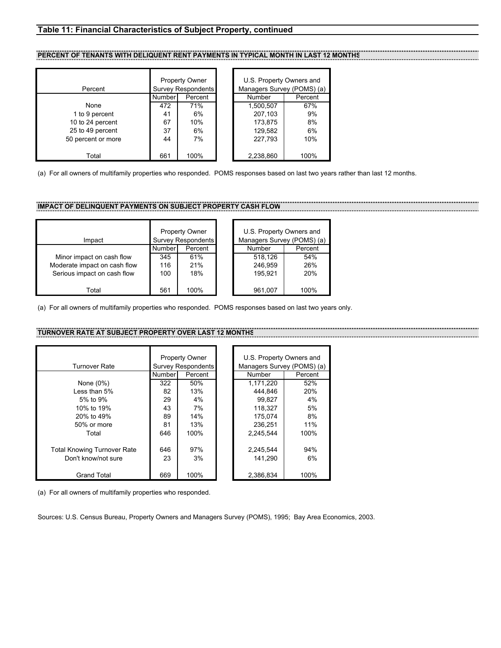# <span id="page-30-0"></span>**Table 11: Financial Characteristics of Subject Property, continued**

#### **PERCENT OF TENANTS WITH DELIQUENT RENT PAYMENTS IN TYPICAL MONTH IN LAST 12 MONTHS**

| Percent            | <b>Property Owner</b><br><b>Survey Respondents</b> |         | U.S. Property Owners and<br>Managers Survey (POMS) (a) |         |
|--------------------|----------------------------------------------------|---------|--------------------------------------------------------|---------|
|                    | Number                                             | Percent | Number                                                 | Percent |
| None               | 472                                                | 71%     | 1,500,507                                              | 67%     |
| 1 to 9 percent     | 41                                                 | 6%      | 207.103                                                | 9%      |
| 10 to 24 percent   | 67                                                 | 10%     | 173.875                                                | 8%      |
| 25 to 49 percent   | 37                                                 | 6%      | 129.582                                                | 6%      |
| 50 percent or more | 44                                                 | 7%      | 227.793                                                | 10%     |
| Total              | 661                                                | 100%    | 2,238,860                                              | 100%    |

(a) For all owners of multifamily properties who responded. POMS responses based on last two years rather than last 12 months.

# **IMPACT OF DELINQUENT PAYMENTS ON SUBJECT PROPERTY CASH FLOW**

| Impact                       | Property Owner<br><b>Survey Respondents</b> |         | U.S. Property Owners an<br>Managers Survey (POMS) |        |
|------------------------------|---------------------------------------------|---------|---------------------------------------------------|--------|
|                              | Number                                      | Percent | Number                                            | Percen |
| Minor impact on cash flow    | 345                                         | 61%     | 518.126                                           | 54%    |
| Moderate impact on cash flow | 116                                         | 21%     | 246.959                                           | 26%    |
| Serious impact on cash flow  | 100                                         | 18%     | 195.921                                           | 20%    |
|                              |                                             |         |                                                   |        |
| Total                        | 561                                         | 100%    | 961.007                                           | 100%   |

|         | <b>Property Owner</b><br><b>Survey Respondents</b> | U.S. Property Owners and<br>Managers Survey (POMS) (a) |         |
|---------|----------------------------------------------------|--------------------------------------------------------|---------|
| Numberl | Percent                                            | Number                                                 | Percent |
| 345     | 61%                                                | 518.126                                                | 54%     |
| 116     | 21%                                                | 246.959                                                | 26%     |
| 100     | 18%                                                | 195.921                                                | 20%     |
| 561     | 100%                                               | 961.007                                                | 100%    |

............

. . . . . .

(a) For all owners of multifamily properties who responded. POMS responses based on last two years only.

## **TURNOVER RATE AT SUBJECT PROPERTY OVER LAST 12 MON**

|                                    |        | <b>Property Owner</b>     |  | U.S. Property Owners an |         |  |
|------------------------------------|--------|---------------------------|--|-------------------------|---------|--|
| <b>Turnover Rate</b>               |        | <b>Survey Respondents</b> |  | Managers Survey (POMS)  |         |  |
|                                    | Number | Percent                   |  | <b>Number</b>           | Percent |  |
| None $(0\%)$                       | 322    | 50%                       |  | 1,171,220               | 52%     |  |
| Less than 5%                       | 82     | 13%                       |  | 444.846                 | 20%     |  |
| 5% to 9%                           | 29     | 4%                        |  | 99.827                  | 4%      |  |
| 10% to 19%                         | 43     | 7%                        |  | 118.327                 | 5%      |  |
| 20% to 49%                         | 89     | 14%                       |  | 175,074                 | 8%      |  |
| 50% or more                        | 81     | 13%                       |  | 236.251                 | 11%     |  |
| Total                              | 646    | 100%                      |  | 2.245.544               | 100%    |  |
| <b>Total Knowing Turnover Rate</b> | 646    | 97%                       |  | 2.245.544               | 94%     |  |
| Don't know/not sure                | 23     | 3%                        |  | 141.290                 | 6%      |  |
| <b>Grand Total</b>                 | 669    | 100%                      |  | 2,386,834               | 100%    |  |

| <b>Property Owner</b>     |         | U.S. Property Owners and   |         |  |  |  |
|---------------------------|---------|----------------------------|---------|--|--|--|
| <b>Survey Respondents</b> |         | Managers Survey (POMS) (a) |         |  |  |  |
| Number                    | Percent | <b>Number</b>              | Percent |  |  |  |
| 322                       | 50%     | 1,171,220                  | 52%     |  |  |  |
| 82                        | 13%     | 444.846                    | 20%     |  |  |  |
| 29                        | 4%      | 99.827                     | 4%      |  |  |  |
| 43                        | 7%      | 118.327                    | 5%      |  |  |  |
| 89                        | 14%     | 175.074                    | 8%      |  |  |  |
| 81                        | 13%     | 236.251                    | 11%     |  |  |  |
| 646                       | 100%    | 2.245.544                  | 100%    |  |  |  |
|                           |         |                            |         |  |  |  |
| 646                       | 97%     | 2,245,544                  | 94%     |  |  |  |
| 23                        | 3%      | 141.290                    | 6%      |  |  |  |
|                           |         |                            |         |  |  |  |
| 669                       | 100%    | 2.386.834                  | 100%    |  |  |  |

(a) For all owners of multifamily properties who responded.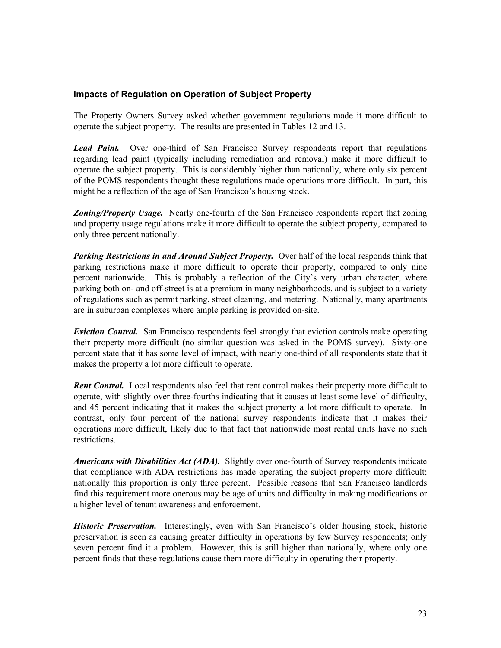# <span id="page-31-0"></span>**Impacts of Regulation on Operation of Subject Property**

The Property Owners Survey asked whether government regulations made it more difficult to operate the subject property. The results are presented in Tables 12 and 13.

*Lead Paint.* Over one-third of San Francisco Survey respondents report that regulations regarding lead paint (typically including remediation and removal) make it more difficult to operate the subject property. This is considerably higher than nationally, where only six percent of the POMS respondents thought these regulations made operations more difficult. In part, this might be a reflection of the age of San Francisco's housing stock.

**Zoning/Property Usage.** Nearly one-fourth of the San Francisco respondents report that zoning and property usage regulations make it more difficult to operate the subject property, compared to only three percent nationally.

*Parking Restrictions in and Around Subject Property.* Over half of the local responds think that parking restrictions make it more difficult to operate their property, compared to only nine percent nationwide. This is probably a reflection of the City's very urban character, where parking both on- and off-street is at a premium in many neighborhoods, and is subject to a variety of regulations such as permit parking, street cleaning, and metering. Nationally, many apartments are in suburban complexes where ample parking is provided on-site.

*Eviction Control.* San Francisco respondents feel strongly that eviction controls make operating their property more difficult (no similar question was asked in the POMS survey). Sixty-one percent state that it has some level of impact, with nearly one-third of all respondents state that it makes the property a lot more difficult to operate.

*Rent Control.* Local respondents also feel that rent control makes their property more difficult to operate, with slightly over three-fourths indicating that it causes at least some level of difficulty, and 45 percent indicating that it makes the subject property a lot more difficult to operate. In contrast, only four percent of the national survey respondents indicate that it makes their operations more difficult, likely due to that fact that nationwide most rental units have no such restrictions.

*Americans with Disabilities Act (ADA).* Slightly over one-fourth of Survey respondents indicate that compliance with ADA restrictions has made operating the subject property more difficult; nationally this proportion is only three percent. Possible reasons that San Francisco landlords find this requirement more onerous may be age of units and difficulty in making modifications or a higher level of tenant awareness and enforcement.

*Historic Preservation.* Interestingly, even with San Francisco's older housing stock, historic preservation is seen as causing greater difficulty in operations by few Survey respondents; only seven percent find it a problem. However, this is still higher than nationally, where only one percent finds that these regulations cause them more difficulty in operating their property.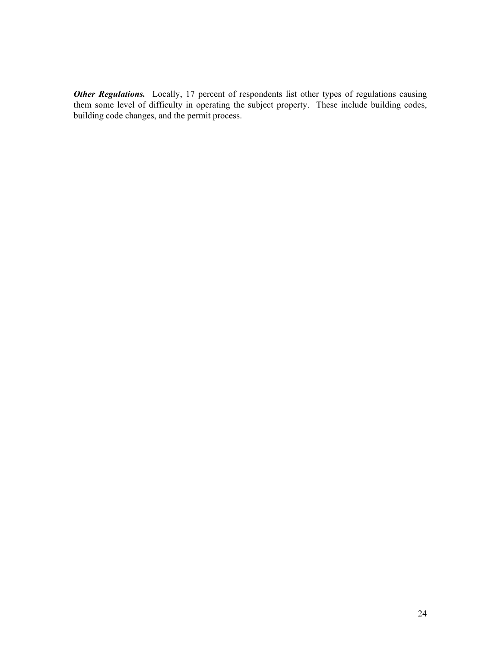**Other Regulations.** Locally, 17 percent of respondents list other types of regulations causing them some level of difficulty in operating the subject property. These include building codes, building code changes, and the permit process.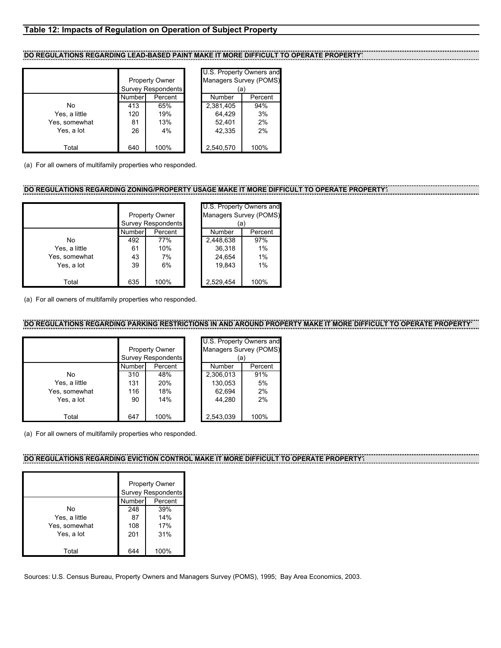# <span id="page-33-0"></span>**Table 12: Impacts of Regulation on Operation of Subject Property**

## DO REGULATIONS REGARDING LEAD-BASED PAINT MAKE IT MORE DIFFICULT TO OPERATE PROPERTY

|               |                           |         | U.S. Property Owners a |         |
|---------------|---------------------------|---------|------------------------|---------|
|               | <b>Property Owner</b>     |         | Managers Survey (POM   |         |
|               | <b>Survey Respondents</b> |         | (a)                    |         |
|               | Number                    | Percent | Number                 | Percent |
| No            | 413                       | 65%     | 2,381,405              | 94%     |
| Yes, a little | 120                       | 19%     | 64.429                 | 3%      |
| Yes, somewhat | 81                        | 13%     | 52,401                 | 2%      |
| Yes, a lot    | 26                        | 4%      | 42.335                 | 2%      |
|               |                           |         |                        |         |
| Total         | 640                       | 100%    | 2,540,570              | 100%    |

| <b>U.U. I TUPCITY OWNICIS AND</b><br>Managers Survey (POMS)<br>(a) |         |  |  |  |  |  |  |
|--------------------------------------------------------------------|---------|--|--|--|--|--|--|
| Number                                                             | Percent |  |  |  |  |  |  |
| 2,381,405                                                          | 94%     |  |  |  |  |  |  |
| 64.429                                                             | 3%      |  |  |  |  |  |  |
| 52,401                                                             | 2%      |  |  |  |  |  |  |
| 42.335                                                             | 2%      |  |  |  |  |  |  |
|                                                                    |         |  |  |  |  |  |  |
| 2,540,570                                                          | 100%    |  |  |  |  |  |  |

(a) For all owners of multifamily properties who responded.

#### **DO REGULATIONS REGARDING ZONING/PROPERTY USAGE MAKE IT MORE DIFFICULT TO OPERATE PROPERTY?**

|               |                           |         | U.S. Property Owners a |         |
|---------------|---------------------------|---------|------------------------|---------|
|               | <b>Property Owner</b>     |         | Managers Survey (POM   |         |
|               | <b>Survey Respondents</b> |         |                        | (a)     |
|               | Number                    | Percent | Number                 | Percent |
| No            | 492                       | 77%     | 2,448,638              | 97%     |
| Yes, a little | 61                        | 10%     | 36,318                 | 1%      |
| Yes, somewhat | 43                        | 7%      | 24,654                 | 1%      |
| Yes, a lot    | 39                        | 6%      | 19.843                 | 1%      |
|               |                           |         |                        |         |
| Total         | 635                       | 100%    | 2,529,454              | 100%    |

| U.S. Property Owners and |         |  |  |  |  |  |  |  |
|--------------------------|---------|--|--|--|--|--|--|--|
| Managers Survey (POMS)   |         |  |  |  |  |  |  |  |
| (a)                      |         |  |  |  |  |  |  |  |
| Number                   | Percent |  |  |  |  |  |  |  |
| 2.448.638                | 97%     |  |  |  |  |  |  |  |
| 36.318                   | 1%      |  |  |  |  |  |  |  |
| 24,654                   | 1%      |  |  |  |  |  |  |  |
| 19,843                   | 1%      |  |  |  |  |  |  |  |
|                          |         |  |  |  |  |  |  |  |
| 2.529.454                | 100%    |  |  |  |  |  |  |  |

(a) For all owners of multifamily properties who responded.

## DO REGULATIONS REGARDING PARKING RESTRICTIONS IN AND AROUND PROPERTY MAKE IT MORE DIFFICULT TO OPERATE PROPER

|               | <b>Property Owner</b><br><b>Survey Respondents</b> |         | U.S. Property Owners and<br>Managers Survey (POMS)<br>a. |         |
|---------------|----------------------------------------------------|---------|----------------------------------------------------------|---------|
|               | Number                                             | Percent | Number                                                   | Percent |
| No            | 310                                                | 48%     | 2,306,013                                                | 91%     |
| Yes, a little | 131                                                | 20%     | 130,053                                                  | 5%      |
| Yes, somewhat | 116                                                | 18%     | 62,694                                                   | 2%      |
| Yes, a lot    | 90                                                 | 14%     | 44.280                                                   | 2%      |
| Total         | 647                                                | 100%    | 2.543.039                                                | 100%    |

(a) For all owners of multifamily properties who responded.

#### **DO REGULATIONS REGARDING EVICTION CONTROL MAKE IT MORE DIFFICULT TO OPERATE PROPERTY?**

|               | <b>Property Owner</b><br><b>Survey Respondents</b> |         |  |  |
|---------------|----------------------------------------------------|---------|--|--|
|               | Number                                             | Percent |  |  |
| No            | 248                                                | 39%     |  |  |
| Yes, a little | 87                                                 | 14%     |  |  |
| Yes, somewhat | 108                                                | 17%     |  |  |
| Yes, a lot    | 201                                                | 31%     |  |  |
| Total         |                                                    | 100%    |  |  |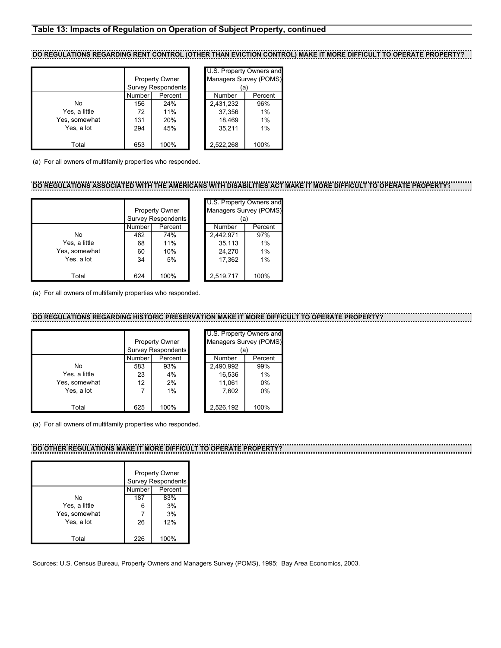### <span id="page-34-0"></span>**Table 13: Impacts of Regulation on Operation of Subject Property, continued**

**DO REGULATIONS REGARDING RENT CONTROL (OTHER THAN EVICTION CONTROL) MAKE IT MORE DIFFICULT TO OPERATE PROPERTY?**

|               |        | <b>Property Owner</b>     | U.S. Property Owners and<br>Managers Survey (POMS) |         |  |
|---------------|--------|---------------------------|----------------------------------------------------|---------|--|
|               |        | <b>Survey Respondents</b> | (a)                                                |         |  |
|               | Number | Percent                   | Number                                             | Percent |  |
| No            | 156    | 24%                       | 2,431,232                                          | 96%     |  |
| Yes, a little | 72     | 11%                       | 37,356                                             | 1%      |  |
| Yes, somewhat | 131    | 20%                       | 18,469                                             | 1%      |  |
| Yes, a lot    | 294    | 45%                       | 35,211                                             | 1%      |  |
|               |        |                           |                                                    |         |  |
| Total         | 653    | 100%                      | 2,522,268                                          | 100%    |  |

(a) For all owners of multifamily properties who responded.

# **DO REGULATIONS ASSOCIATED WITH THE AMERICANS WITH DISABILITIES ACT MAKE IT MORE DIFFICULT TO OPERATE PROPERTY?**

|               | <b>Property Owner</b><br>Survey Respondents |         | U.S. Property Owners and<br>Managers Survey (POMS)<br>(a) |         |
|---------------|---------------------------------------------|---------|-----------------------------------------------------------|---------|
|               | Number                                      | Percent | <b>Number</b>                                             | Percent |
| No            | 462                                         | 74%     | 2,442,971                                                 | 97%     |
| Yes, a little | 68                                          | 11%     | 35,113                                                    | 1%      |
| Yes, somewhat | 60                                          | 10%     | 24.270                                                    | 1%      |
| Yes, a lot    | 34                                          | 5%      | 17,362                                                    | 1%      |
| Total         | 624                                         | 100%    | 2,519,717                                                 | 100%    |

(a) For all owners of multifamily properties who responded.

# **DO REGULATIONS REGARDING HISTORIC PRESERVATION MAKE IT MORE DIFFICULT TO OPERATE PROPERTY?**

|               | <b>Property Owner</b><br><b>Survey Respondents</b> |         | U.S. Property Owners and<br>Managers Survey (POMS<br>(a) |         |
|---------------|----------------------------------------------------|---------|----------------------------------------------------------|---------|
|               | Number                                             | Percent | Number                                                   | Percent |
| No            | 583                                                | 93%     | 2,490,992                                                | 99%     |
| Yes, a little | 23                                                 | 4%      | 16,536                                                   | 1%      |
| Yes, somewhat | 12                                                 | 2%      | 11,061                                                   | 0%      |
| Yes, a lot    | 7                                                  | 1%      | 7.602                                                    | 0%      |
| Total         | 625                                                | 100%    | 2,526,192                                                | 100%    |

(a) For all owners of multifamily properties who responded.

#### DO OTHER REGULATIONS MAKE IT MORE DIFFICULT TO OPERATE PROPERT

|               | <b>Property Owner</b><br><b>Survey Respondents</b> |         |
|---------------|----------------------------------------------------|---------|
|               | Number                                             | Percent |
| No            | 187                                                | 83%     |
| Yes, a little | 6                                                  | 3%      |
| Yes, somewhat |                                                    | 3%      |
| Yes, a lot    | 26                                                 | 12%     |
| Total         | 226                                                | 100%    |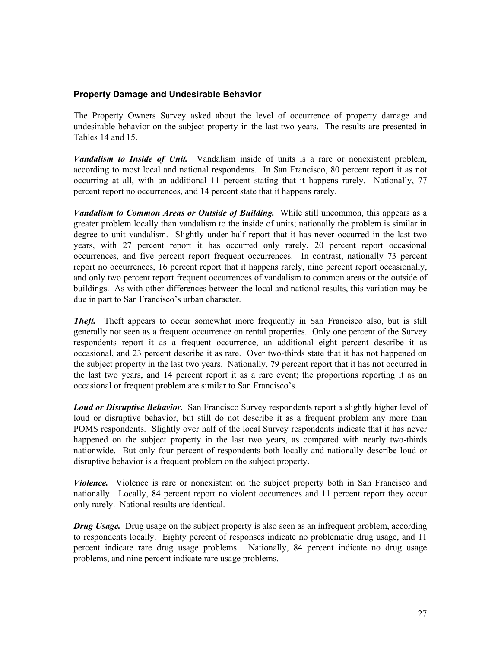# <span id="page-35-0"></span>**Property Damage and Undesirable Behavior**

The Property Owners Survey asked about the level of occurrence of property damage and undesirable behavior on the subject property in the last two years. The results are presented in Tables 14 and 15.

*Vandalism to Inside of Unit.* Vandalism inside of units is a rare or nonexistent problem, according to most local and national respondents. In San Francisco, 80 percent report it as not occurring at all, with an additional 11 percent stating that it happens rarely. Nationally, 77 percent report no occurrences, and 14 percent state that it happens rarely.

*Vandalism to Common Areas or Outside of Building.* While still uncommon, this appears as a greater problem locally than vandalism to the inside of units; nationally the problem is similar in degree to unit vandalism. Slightly under half report that it has never occurred in the last two years, with 27 percent report it has occurred only rarely, 20 percent report occasional occurrences, and five percent report frequent occurrences. In contrast, nationally 73 percent report no occurrences, 16 percent report that it happens rarely, nine percent report occasionally, and only two percent report frequent occurrences of vandalism to common areas or the outside of buildings. As with other differences between the local and national results, this variation may be due in part to San Francisco's urban character.

*Theft.* Theft appears to occur somewhat more frequently in San Francisco also, but is still generally not seen as a frequent occurrence on rental properties. Only one percent of the Survey respondents report it as a frequent occurrence, an additional eight percent describe it as occasional, and 23 percent describe it as rare. Over two-thirds state that it has not happened on the subject property in the last two years. Nationally, 79 percent report that it has not occurred in the last two years, and 14 percent report it as a rare event; the proportions reporting it as an occasional or frequent problem are similar to San Francisco's.

**Loud or Disruptive Behavior.** San Francisco Survey respondents report a slightly higher level of loud or disruptive behavior, but still do not describe it as a frequent problem any more than POMS respondents. Slightly over half of the local Survey respondents indicate that it has never happened on the subject property in the last two years, as compared with nearly two-thirds nationwide. But only four percent of respondents both locally and nationally describe loud or disruptive behavior is a frequent problem on the subject property.

*Violence.* Violence is rare or nonexistent on the subject property both in San Francisco and nationally. Locally, 84 percent report no violent occurrences and 11 percent report they occur only rarely. National results are identical.

*Drug Usage.* Drug usage on the subject property is also seen as an infrequent problem, according to respondents locally. Eighty percent of responses indicate no problematic drug usage, and 11 percent indicate rare drug usage problems. Nationally, 84 percent indicate no drug usage problems, and nine percent indicate rare usage problems.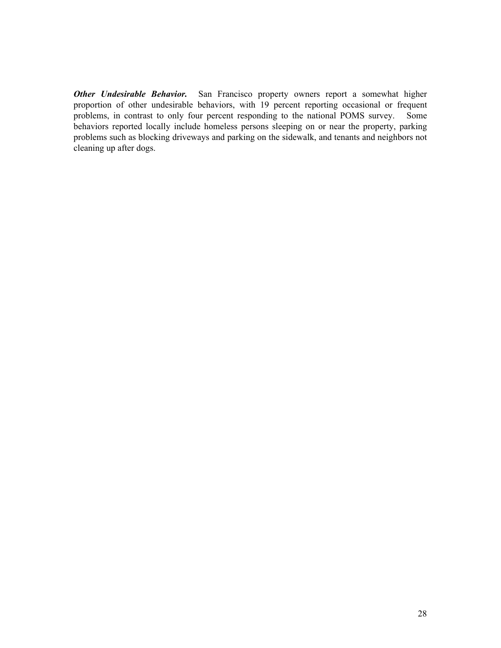*Other Undesirable Behavior.* San Francisco property owners report a somewhat higher proportion of other undesirable behaviors, with 19 percent reporting occasional or frequent problems, in contrast to only four percent responding to the national POMS survey. Some behaviors reported locally include homeless persons sleeping on or near the property, parking problems such as blocking driveways and parking on the sidewalk, and tenants and neighbors not cleaning up after dogs.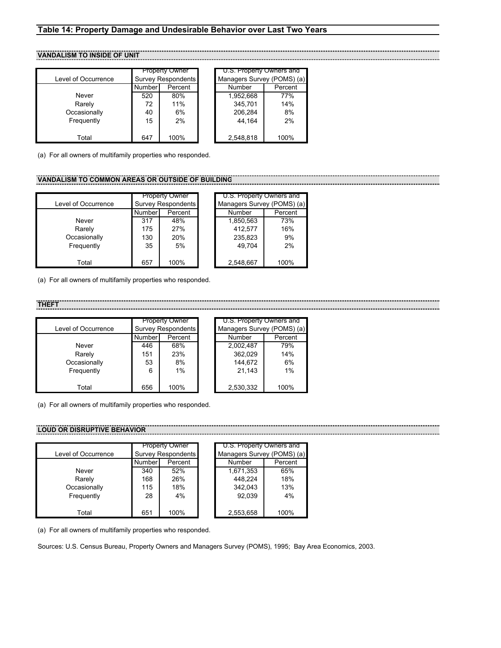# **Table 14: Property Damage and Undesirable Behavior over Last Two Years**

# **VANDALISM TO INSIDE OF UNIT**

|                     |        | <b>Property Owner</b>     | U.S. Property Owners and   |         |
|---------------------|--------|---------------------------|----------------------------|---------|
| Level of Occurrence |        | <b>Survey Respondents</b> | Managers Survey (POMS) (a) |         |
|                     | Number | Percent                   | Number                     | Percent |
| Never               | 520    | 80%                       | 1,952,668                  | 77%     |
| Rarely              | 72     | 11%                       | 345.701                    | 14%     |
| Occasionally        | 40     | 6%                        | 206,284                    | 8%      |
| Frequently          | 15     | 2%                        | 44.164                     | 2%      |
|                     |        |                           |                            |         |
| Total               | 647    | 100%                      | 2,548,818                  | 100%    |

(a) For all owners of multifamily properties who responded.

# **VANDALISM TO COMMON AREAS OR OUTSIDE OF BUILDING**

|                     |                           | <b>Property Owner</b> | U.S. Property Owners and   |         |
|---------------------|---------------------------|-----------------------|----------------------------|---------|
| Level of Occurrence | <b>Survey Respondents</b> |                       | Managers Survey (POMS) (a) |         |
|                     | Number                    | Percent               | Number                     | Percent |
| Never               | 317                       | 48%                   | 1,850,563                  | 73%     |
| Rarely              | 175                       | 27%                   | 412.577                    | 16%     |
| Occasionally        | 130                       | 20%                   | 235,823                    | 9%      |
| Frequently          | 35                        | 5%                    | 49.704                     | 2%      |
|                     |                           |                       |                            |         |
| Total               | 657                       | 100%                  | 2,548,667                  | 100%    |

(a) For all owners of multifamily properties who responded.

#### **THEFT**

|                     | <b>Property Owner</b> |                           | U.S. Property Owners and   |         |
|---------------------|-----------------------|---------------------------|----------------------------|---------|
| Level of Occurrence |                       | <b>Survey Respondents</b> | Managers Survey (POMS) (a) |         |
|                     | <b>Number</b>         | Percent                   | Number                     | Percent |
| Never               | 446                   | 68%                       | 2,002,487                  | 79%     |
| Rarely              | 151                   | 23%                       | 362,029                    | 14%     |
| Occasionally        | 53                    | 8%                        | 144.672                    | 6%      |
| Frequently          | 6                     | 1%                        | 21.143                     | 1%      |
|                     |                       |                           |                            |         |
| Total               | 656                   | 100%                      | 2,530,332                  | 100%    |

(a) For all owners of multifamily properties who responded.

#### **LOUD OR DISRUPTIVE BEHAVIOR**

|                     |                           | <b>Property Owner</b> | U.S. Property Owners and   |         |
|---------------------|---------------------------|-----------------------|----------------------------|---------|
| Level of Occurrence | <b>Survey Respondents</b> |                       | Managers Survey (POMS) (a) |         |
|                     | Numberl                   | Percent               | Number                     | Percent |
| Never               | 340                       | 52%                   | 1,671,353                  | 65%     |
| Rarely              | 168                       | 26%                   | 448.224                    | 18%     |
| Occasionally        | 115                       | 18%                   | 342.043                    | 13%     |
| Frequently          | 28                        | 4%                    | 92.039                     | 4%      |
|                     |                           |                       |                            |         |
| Total               | 651                       | 100%                  | 2,553,658                  | 100%    |

(a) For all owners of multifamily properties who responded.

Sources: U.S. Census Bureau, Property Owners and Managers Survey (POMS), 1995; Bay Area Economics, 2003.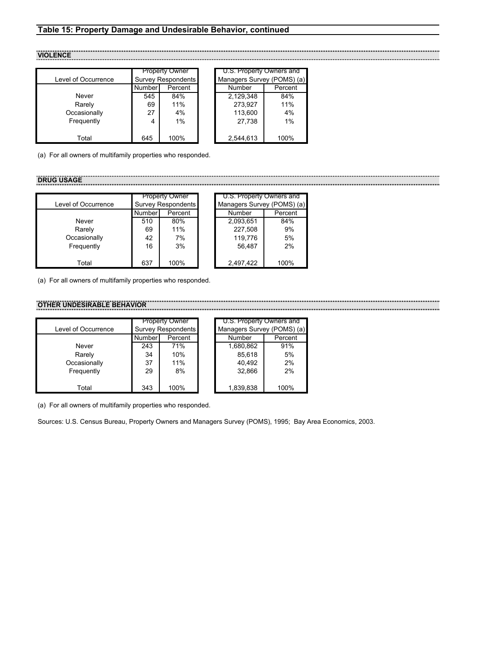# **Table 15: Property Damage and Undesirable Behavior, continued**

**VIOLENCE**

|                     |         | <b>Property Owner</b>     | U.S. Property Owners and   |         |
|---------------------|---------|---------------------------|----------------------------|---------|
| Level of Occurrence |         | <b>Survey Respondents</b> | Managers Survey (POMS) (a) |         |
|                     | Numberl | Percent                   | Number                     | Percent |
| Never               | 545     | 84%                       | 2.129.348                  | 84%     |
| Rarely              | 69      | 11%                       | 273,927                    | 11%     |
| Occasionally        | 27      | 4%                        | 113,600                    | 4%      |
| Frequently          | 4       | 1%                        | 27.738                     | 1%      |
|                     |         |                           |                            |         |
| Total               | 645     | 100%                      | 2,544,613                  | 100%    |

(a) For all owners of multifamily properties who responded.

#### **DRUG USAGE**

|                     | <b>Property Owner</b> |                           |  | U.S. Property Owners and   |         |  |
|---------------------|-----------------------|---------------------------|--|----------------------------|---------|--|
| Level of Occurrence |                       | <b>Survey Respondents</b> |  | Managers Survey (POMS) (a) |         |  |
|                     | Number                | Percent                   |  | Number                     | Percent |  |
| Never               | 510                   | 80%                       |  | 2,093,651                  | 84%     |  |
| Rarely              | 69                    | 11%                       |  | 227,508                    | 9%      |  |
| Occasionally        | 42                    | 7%                        |  | 119,776                    | 5%      |  |
| Frequently          | 16                    | 3%                        |  | 56.487                     | 2%      |  |
|                     |                       |                           |  |                            |         |  |
| Total               | 637                   | 100%                      |  | 2,497,422                  | 100%    |  |

(a) For all owners of multifamily properties who responded.

## **OTHER UNDESIRABLE BEHAVIOR**

|                     |                           | <b>Property Owner</b> | U.S. Property Owners and   |         |
|---------------------|---------------------------|-----------------------|----------------------------|---------|
| Level of Occurrence | <b>Survey Respondents</b> |                       | Managers Survey (POMS) (a) |         |
|                     | <b>Number</b>             | Percent               | Number                     | Percent |
| Never               | 243                       | 71%                   | 1,680,862                  | 91%     |
| Rarely              | 34                        | 10%                   | 85,618                     | 5%      |
| Occasionally        | 37                        | 11%                   | 40,492                     | 2%      |
| Frequently          | 29                        | 8%                    | 32.866                     | 2%      |
|                     |                           |                       |                            |         |
| Total               | 343                       | 100%                  | 1,839,838                  | 100%    |

(a) For all owners of multifamily properties who responded.

Sources: U.S. Census Bureau, Property Owners and Managers Survey (POMS), 1995; Bay Area Economics, 2003.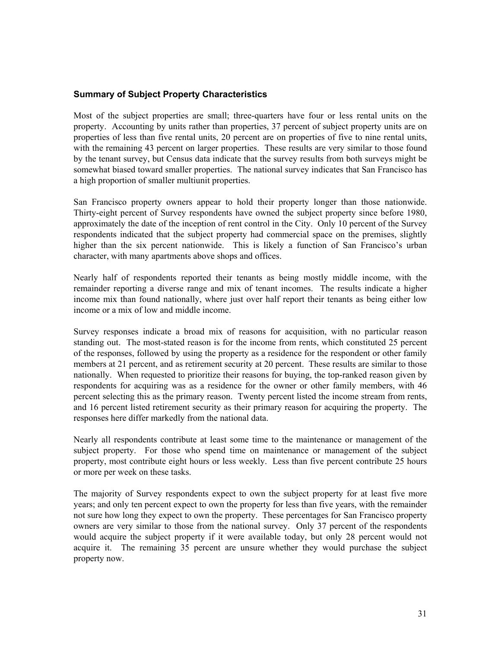# **Summary of Subject Property Characteristics**

Most of the subject properties are small; three-quarters have four or less rental units on the property. Accounting by units rather than properties, 37 percent of subject property units are on properties of less than five rental units, 20 percent are on properties of five to nine rental units, with the remaining 43 percent on larger properties. These results are very similar to those found by the tenant survey, but Census data indicate that the survey results from both surveys might be somewhat biased toward smaller properties. The national survey indicates that San Francisco has a high proportion of smaller multiunit properties.

San Francisco property owners appear to hold their property longer than those nationwide. Thirty-eight percent of Survey respondents have owned the subject property since before 1980, approximately the date of the inception of rent control in the City. Only 10 percent of the Survey respondents indicated that the subject property had commercial space on the premises, slightly higher than the six percent nationwide. This is likely a function of San Francisco's urban character, with many apartments above shops and offices.

Nearly half of respondents reported their tenants as being mostly middle income, with the remainder reporting a diverse range and mix of tenant incomes. The results indicate a higher income mix than found nationally, where just over half report their tenants as being either low income or a mix of low and middle income.

Survey responses indicate a broad mix of reasons for acquisition, with no particular reason standing out. The most-stated reason is for the income from rents, which constituted 25 percent of the responses, followed by using the property as a residence for the respondent or other family members at 21 percent, and as retirement security at 20 percent. These results are similar to those nationally. When requested to prioritize their reasons for buying, the top-ranked reason given by respondents for acquiring was as a residence for the owner or other family members, with 46 percent selecting this as the primary reason. Twenty percent listed the income stream from rents, and 16 percent listed retirement security as their primary reason for acquiring the property. The responses here differ markedly from the national data.

Nearly all respondents contribute at least some time to the maintenance or management of the subject property. For those who spend time on maintenance or management of the subject property, most contribute eight hours or less weekly. Less than five percent contribute 25 hours or more per week on these tasks.

The majority of Survey respondents expect to own the subject property for at least five more years; and only ten percent expect to own the property for less than five years, with the remainder not sure how long they expect to own the property. These percentages for San Francisco property owners are very similar to those from the national survey. Only 37 percent of the respondents would acquire the subject property if it were available today, but only 28 percent would not acquire it. The remaining 35 percent are unsure whether they would purchase the subject property now.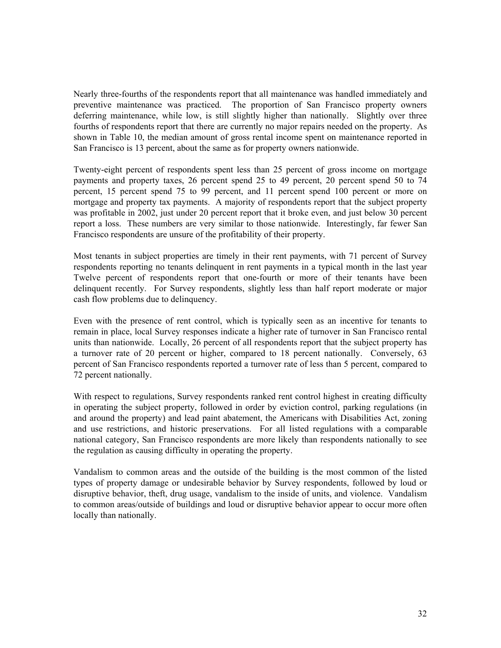Nearly three-fourths of the respondents report that all maintenance was handled immediately and preventive maintenance was practiced. The proportion of San Francisco property owners deferring maintenance, while low, is still slightly higher than nationally. Slightly over three fourths of respondents report that there are currently no major repairs needed on the property. As shown in Table 10, the median amount of gross rental income spent on maintenance reported in San Francisco is 13 percent, about the same as for property owners nationwide.

Twenty-eight percent of respondents spent less than 25 percent of gross income on mortgage payments and property taxes, 26 percent spend 25 to 49 percent, 20 percent spend 50 to 74 percent, 15 percent spend 75 to 99 percent, and 11 percent spend 100 percent or more on mortgage and property tax payments. A majority of respondents report that the subject property was profitable in 2002, just under 20 percent report that it broke even, and just below 30 percent report a loss. These numbers are very similar to those nationwide. Interestingly, far fewer San Francisco respondents are unsure of the profitability of their property.

Most tenants in subject properties are timely in their rent payments, with 71 percent of Survey respondents reporting no tenants delinquent in rent payments in a typical month in the last year Twelve percent of respondents report that one-fourth or more of their tenants have been delinquent recently. For Survey respondents, slightly less than half report moderate or major cash flow problems due to delinquency.

Even with the presence of rent control, which is typically seen as an incentive for tenants to remain in place, local Survey responses indicate a higher rate of turnover in San Francisco rental units than nationwide. Locally, 26 percent of all respondents report that the subject property has a turnover rate of 20 percent or higher, compared to 18 percent nationally. Conversely, 63 percent of San Francisco respondents reported a turnover rate of less than 5 percent, compared to 72 percent nationally.

With respect to regulations, Survey respondents ranked rent control highest in creating difficulty in operating the subject property, followed in order by eviction control, parking regulations (in and around the property) and lead paint abatement, the Americans with Disabilities Act, zoning and use restrictions, and historic preservations. For all listed regulations with a comparable national category, San Francisco respondents are more likely than respondents nationally to see the regulation as causing difficulty in operating the property.

Vandalism to common areas and the outside of the building is the most common of the listed types of property damage or undesirable behavior by Survey respondents, followed by loud or disruptive behavior, theft, drug usage, vandalism to the inside of units, and violence. Vandalism to common areas/outside of buildings and loud or disruptive behavior appear to occur more often locally than nationally.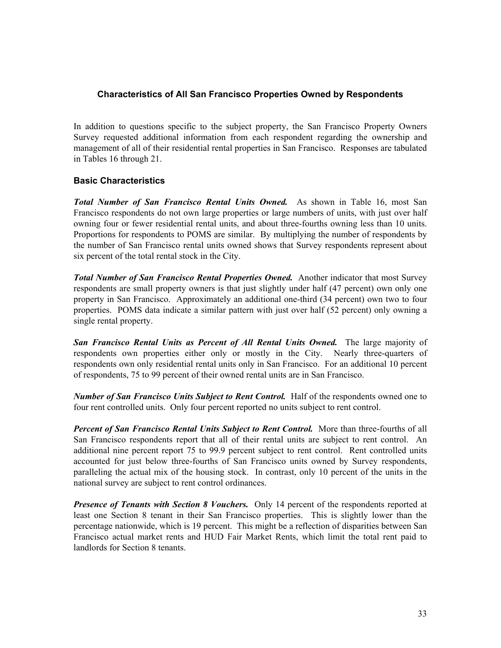# **Characteristics of All San Francisco Properties Owned by Respondents**

In addition to questions specific to the subject property, the San Francisco Property Owners Survey requested additional information from each respondent regarding the ownership and management of all of their residential rental properties in San Francisco. Responses are tabulated in Tables 16 through 21.

# **Basic Characteristics**

*Total Number of San Francisco Rental Units Owned.* As shown in Table 16, most San Francisco respondents do not own large properties or large numbers of units, with just over half owning four or fewer residential rental units, and about three-fourths owning less than 10 units. Proportions for respondents to POMS are similar. By multiplying the number of respondents by the number of San Francisco rental units owned shows that Survey respondents represent about six percent of the total rental stock in the City.

*Total Number of San Francisco Rental Properties Owned.* Another indicator that most Survey respondents are small property owners is that just slightly under half (47 percent) own only one property in San Francisco. Approximately an additional one-third (34 percent) own two to four properties. POMS data indicate a similar pattern with just over half (52 percent) only owning a single rental property.

**San Francisco Rental Units as Percent of All Rental Units Owned.** The large majority of respondents own properties either only or mostly in the City. Nearly three-quarters of respondents own only residential rental units only in San Francisco. For an additional 10 percent of respondents, 75 to 99 percent of their owned rental units are in San Francisco.

*Number of San Francisco Units Subject to Rent Control.* Half of the respondents owned one to four rent controlled units. Only four percent reported no units subject to rent control.

**Percent of San Francisco Rental Units Subject to Rent Control.** More than three-fourths of all San Francisco respondents report that all of their rental units are subject to rent control. An additional nine percent report 75 to 99.9 percent subject to rent control. Rent controlled units accounted for just below three-fourths of San Francisco units owned by Survey respondents, paralleling the actual mix of the housing stock. In contrast, only 10 percent of the units in the national survey are subject to rent control ordinances.

**Presence of Tenants with Section 8 Vouchers.** Only 14 percent of the respondents reported at least one Section 8 tenant in their San Francisco properties. This is slightly lower than the percentage nationwide, which is 19 percent. This might be a reflection of disparities between San Francisco actual market rents and HUD Fair Market Rents, which limit the total rent paid to landlords for Section 8 tenants.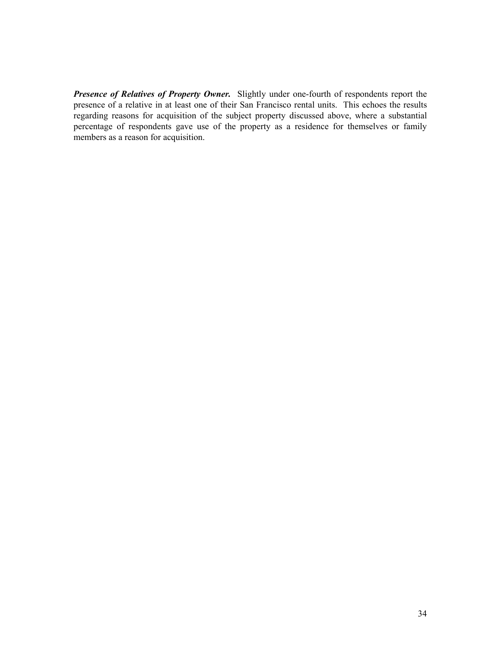*Presence of Relatives of Property Owner.* Slightly under one-fourth of respondents report the presence of a relative in at least one of their San Francisco rental units. This echoes the results regarding reasons for acquisition of the subject property discussed above, where a substantial percentage of respondents gave use of the property as a residence for themselves or family members as a reason for acquisition.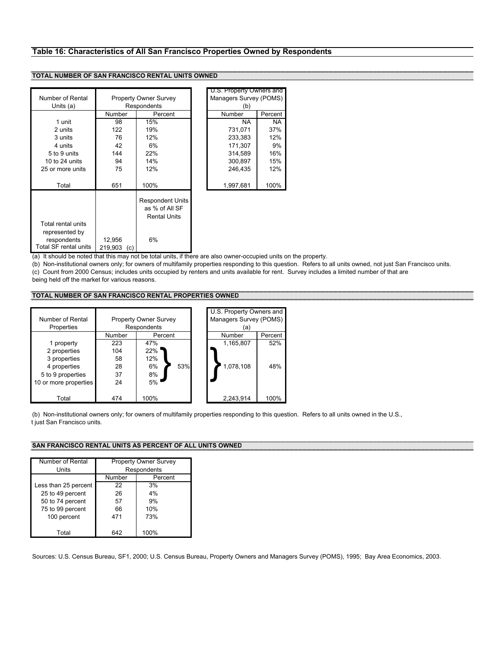## **Table 16: Characteristics of All San Francisco Properties Owned by Respondents**

#### **TOTAL NUMBER OF SAN FRANCISCO RENTAL UNITS OWNED**

|                                                                              |                              |                                                                  |  | U.S. Property Owners and |           |
|------------------------------------------------------------------------------|------------------------------|------------------------------------------------------------------|--|--------------------------|-----------|
| Number of Rental                                                             | <b>Property Owner Survey</b> |                                                                  |  | Managers Survey (POMS)   |           |
| Units (a)                                                                    |                              | Respondents                                                      |  | (b)                      |           |
|                                                                              | Number                       | Percent                                                          |  | Number                   | Percent   |
| 1 unit                                                                       | 98                           | 15%                                                              |  | NA.                      | <b>NA</b> |
| 2 units                                                                      | 122                          | 19%                                                              |  | 731,071                  | 37%       |
| 3 units                                                                      | 76                           | 12%                                                              |  | 233,383                  | 12%       |
| 4 units                                                                      | 42                           | 6%                                                               |  | 171.307                  | 9%        |
| 5 to 9 units                                                                 | 144                          | 22%                                                              |  | 314.589                  | 16%       |
| 10 to $24$ units                                                             | 94                           | 14%                                                              |  | 300.897                  | 15%       |
| 25 or more units                                                             | 75                           | 12%                                                              |  | 246,435                  | 12%       |
| Total                                                                        | 651                          | 100%                                                             |  | 1,997,681                | 100%      |
|                                                                              |                              | <b>Respondent Units</b><br>as % of All SF<br><b>Rental Units</b> |  |                          |           |
| Total rental units<br>represented by<br>respondents<br>Total SF rental units | 12,956<br>219,903<br>(c)     | 6%                                                               |  |                          |           |

| U.S. Property Owners and<br>Managers Survey (POMS) |               |  |  |  |
|----------------------------------------------------|---------------|--|--|--|
| (b)<br>Number                                      |               |  |  |  |
| <b>NA</b>                                          | Percent<br>ΝA |  |  |  |
| 731,071                                            | 37%           |  |  |  |
| 233,383                                            | 12%           |  |  |  |
| 171.307                                            | 9%            |  |  |  |
| 314.589                                            | 16%           |  |  |  |
| 300,897                                            | 15%           |  |  |  |
| 246.435                                            | 12%           |  |  |  |
| 1,997,681                                          | 100%          |  |  |  |
|                                                    |               |  |  |  |
|                                                    |               |  |  |  |
|                                                    |               |  |  |  |

(a) It should be noted that this may not be total units, if there are also owner-occupied units on the property.

(b) Non-institutional owners only; for owners of multifamily properties responding to this question. Refers to all units owned, not just San Francisco units. (c) Count from 2000 Census; includes units occupied by renters and units available for rent. Survey includes a limited number of that are

being held off the market for various reasons.

#### **TOTAL NUMBER OF SAN FRANCISCO RENTAL PROPERTIES OWNED**

| Number of Rental<br>Properties | <b>Property Owner Survey</b><br>Respondents |           |  | U.S. Property Owners and<br>Managers Survey (POMS)<br>'a) |         |
|--------------------------------|---------------------------------------------|-----------|--|-----------------------------------------------------------|---------|
|                                | Number                                      | Percent   |  | Number                                                    | Percent |
| 1 property                     | 223                                         | 47%       |  | 1,165,807                                                 | 52%     |
| 2 properties                   | 104                                         | 22%       |  |                                                           |         |
| 3 properties                   | 58                                          | 12%       |  |                                                           |         |
| 4 properties                   | 28                                          | 53%<br>6% |  | 1,078,108                                                 | 48%     |
| 5 to 9 properties              | 37                                          | 8%        |  |                                                           |         |
| 10 or more properties          | 24                                          | 5%        |  |                                                           |         |
|                                |                                             |           |  |                                                           |         |
| Total                          | 474                                         | 100%      |  | 2,243,914                                                 | 100%    |

(b) Non-institutional owners only; for owners of multifamily properties responding to this question. Refers to all units owned in the U.S., t just San Francisco units.

## **SAN FRANCISCO RENTAL UNITS AS PERCENT OF ALL UNITS OWNED**

| Number of Rental     |        | <b>Property Owner Survey</b> |
|----------------------|--------|------------------------------|
| Units                |        | Respondents                  |
|                      | Number | Percent                      |
| Less than 25 percent | 22     | 3%                           |
| 25 to 49 percent     | 26     | 4%                           |
| 50 to 74 percent     | 57     | 9%                           |
| 75 to 99 percent     | 66     | 10%                          |
| 100 percent          | 471    | 73%                          |
|                      |        |                              |
| Total                | 642    | 100%                         |

Sources: U.S. Census Bureau, SF1, 2000; U.S. Census Bureau, Property Owners and Managers Survey (POMS), 1995; Bay Area Economics, 2003.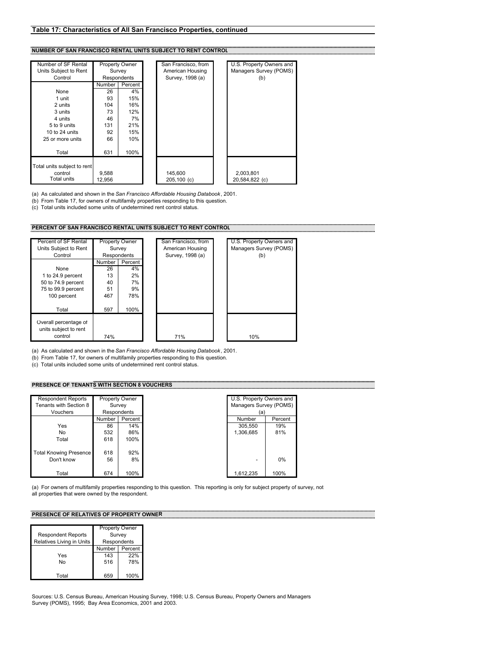# **NUMBER OF SAN FRANCISCO RENTAL UNITS SUBJECT TO RENT CONTROL**

| Number of SF Rental         |        | Property Owner | San Francisco, from | U.S. Property Owners and |
|-----------------------------|--------|----------------|---------------------|--------------------------|
| Units Subject to Rent       |        | Survey         | American Housing    | Managers Survey (POMS)   |
| Control                     |        | Respondents    | Survey, 1998 (a)    | (b)                      |
|                             | Number | Percent        |                     |                          |
| None                        | 26     | 4%             |                     |                          |
| 1 unit                      | 93     | 15%            |                     |                          |
| 2 units                     | 104    | 16%            |                     |                          |
| 3 units                     | 73     | 12%            |                     |                          |
| 4 units                     | 46     | 7%             |                     |                          |
| 5 to 9 units                | 131    | 21%            |                     |                          |
| 10 to $24$ units            | 92     | 15%            |                     |                          |
| 25 or more units            | 66     | 10%            |                     |                          |
|                             |        |                |                     |                          |
| Total                       | 631    | 100%           |                     |                          |
|                             |        |                |                     |                          |
| Total units subject to rent |        |                |                     |                          |
| control                     | 9.588  |                | 145,600             | 2,003,801                |
| Total units                 | 12.956 |                | $205,100$ (c)       | 20,584,822 (c)           |

(a) As calculated and shown in the *San Francisco Affordable Housing Databook*, 2001.

(b) From Table 17, for owners of multifamily properties responding to this question.

(c) Total units included some units of undetermined rent control status.

#### **PERCENT OF SAN FRANCISCO RENTAL UNITS SUBJECT TO RENT CONTROL**

| Percent of SF Rental                                      |        | Property Owner | San Francisco, from | U.S. Property Owners and |
|-----------------------------------------------------------|--------|----------------|---------------------|--------------------------|
| Units Subject to Rent                                     |        | Survey         | American Housing    | Managers Survey (POMS)   |
| Control                                                   |        | Respondents    | Survey, 1998 (a)    | (b)                      |
|                                                           | Number | Percent        |                     |                          |
| None                                                      | 26     | 4%             |                     |                          |
| 1 to 24.9 percent                                         | 13     | 2%             |                     |                          |
| 50 to 74.9 percent                                        | 40     | 7%             |                     |                          |
| 75 to 99.9 percent                                        | 51     | 9%             |                     |                          |
| 100 percent                                               | 467    | 78%            |                     |                          |
| Total                                                     | 597    | 100%           |                     |                          |
| Overall percentage of<br>units subject to rent<br>control | 74%    |                | 71%                 | 10%                      |
|                                                           |        |                |                     |                          |

(a) As calculated and shown in the *San Francisco Affordable Housing Databook*, 2001.

(b) From Table 17, for owners of multifamily properties responding to this question.

(c) Total units included some units of undetermined rent control status.

# **PRESENCE OF TENANTS WITH SECTION 8 VOUCHERS**

| <b>Respondent Reports</b>     |        | Property Owner |
|-------------------------------|--------|----------------|
|                               |        |                |
| Tenants with Section 8        |        | Survey         |
| Vouchers                      |        | Respondents    |
|                               | Number | Percent        |
| Yes                           | 86     | 14%            |
| No                            | 532    | 86%            |
| Total                         | 618    | 100%           |
| <b>Total Knowing Presence</b> | 618    | 92%            |
| Don't know                    | 56     | 8%             |
| Total                         | 674    | 100%           |

| Property Owner |             | U.S. Property Owners and |         |
|----------------|-------------|--------------------------|---------|
| Survey         |             | Managers Survey (POMS)   |         |
|                | Respondents | (a)                      |         |
| Number         | Percent     | Number                   | Percent |
| 86             | 14%         | 305,550                  | 19%     |
| 532            | 86%         | 1,306,685                | 81%     |
| 618            | 100%        |                          |         |
|                |             |                          |         |
| 618            | 92%         |                          |         |
| 56             | 8%          |                          | 0%      |
|                |             |                          |         |
| 674            | 100%        | 1,612,235                | 100%    |

(a) For owners of multifamily properties responding to this question. This reporting is only for subject property of survey, not all properties that were owned by the respondent.

# **PRESENCE OF RELATIVES OF PROPERTY OWNER**

|                           | Property Owner |         |
|---------------------------|----------------|---------|
| <b>Respondent Reports</b> | Survey         |         |
| Relatives Living in Units | Respondents    |         |
|                           | Number         | Percent |
| Yes                       | 143            | 22%     |
| Nο                        | 516            | 78%     |
|                           |                |         |
| Total                     | 659            | 100%    |

Sources: U.S. Census Bureau, American Housing Survey, 1998; U.S. Census Bureau, Property Owners and Managers Survey (POMS), 1995; Bay Area Economics, 2001 and 2003.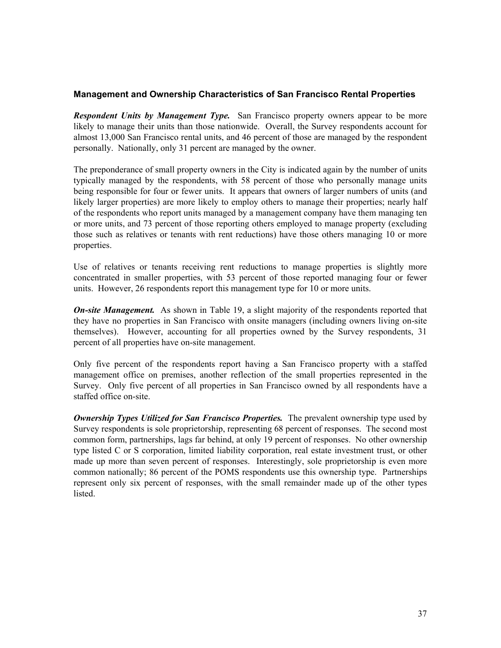# **Management and Ownership Characteristics of San Francisco Rental Properties**

*Respondent Units by Management Type.* San Francisco property owners appear to be more likely to manage their units than those nationwide. Overall, the Survey respondents account for almost 13,000 San Francisco rental units, and 46 percent of those are managed by the respondent personally. Nationally, only 31 percent are managed by the owner.

The preponderance of small property owners in the City is indicated again by the number of units typically managed by the respondents, with 58 percent of those who personally manage units being responsible for four or fewer units. It appears that owners of larger numbers of units (and likely larger properties) are more likely to employ others to manage their properties; nearly half of the respondents who report units managed by a management company have them managing ten or more units, and 73 percent of those reporting others employed to manage property (excluding those such as relatives or tenants with rent reductions) have those others managing 10 or more properties.

Use of relatives or tenants receiving rent reductions to manage properties is slightly more concentrated in smaller properties, with 53 percent of those reported managing four or fewer units. However, 26 respondents report this management type for 10 or more units.

*On-site Management.* As shown in Table 19, a slight majority of the respondents reported that they have no properties in San Francisco with onsite managers (including owners living on-site themselves). However, accounting for all properties owned by the Survey respondents, 31 percent of all properties have on-site management.

Only five percent of the respondents report having a San Francisco property with a staffed management office on premises, another reflection of the small properties represented in the Survey. Only five percent of all properties in San Francisco owned by all respondents have a staffed office on-site.

*Ownership Types Utilized for San Francisco Properties.* The prevalent ownership type used by Survey respondents is sole proprietorship, representing 68 percent of responses. The second most common form, partnerships, lags far behind, at only 19 percent of responses. No other ownership type listed C or S corporation, limited liability corporation, real estate investment trust, or other made up more than seven percent of responses. Interestingly, sole proprietorship is even more common nationally; 86 percent of the POMS respondents use this ownership type. Partnerships represent only six percent of responses, with the small remainder made up of the other types listed.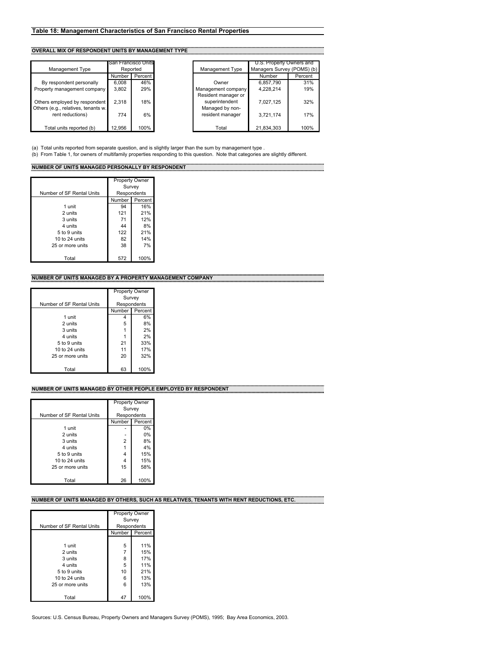# **OVERALL MIX OF RESPONDENT UNITS BY MANAGEMENT TYPE**

|                                                                                          | San Francisco Units |           |
|------------------------------------------------------------------------------------------|---------------------|-----------|
| Management Type                                                                          |                     | Reported  |
|                                                                                          | Number              | Percent   |
| By respondent personally                                                                 | 6,008               | 46%       |
| Property management company                                                              | 3,802               | 29%       |
| Others employed by respondent<br>Others (e.g., relatives, tenants w.<br>rent reductions) | 2,318<br>774        | 18%<br>6% |
| Total units reported (b)                                                                 | 12,956              | 100%      |

|                                                                      | San Francisco Units |           |                                           | U.S. Property Owners and   |         |
|----------------------------------------------------------------------|---------------------|-----------|-------------------------------------------|----------------------------|---------|
| Management Type                                                      | Reported            |           | Management Type                           | Managers Survey (POMS) (b) |         |
|                                                                      | Number              | Percent I |                                           | Number                     | Percent |
| By respondent personally                                             | 6.008               | 46%       | Owner                                     | 6.857.790                  | 31%     |
| Property management company                                          | 3.802               | 29%       | Management company<br>Resident manager or | 4.228.214                  | 19%     |
| Others employed by respondent<br>Others (e.g., relatives, tenants w. | 2.318               | 18%       | superintendent<br>Managed by non-         | 7.027.125                  | 32%     |
| rent reductions)                                                     | 774                 | 6%        | resident manager                          | 3.721.174                  | 17%     |
| Total units reported (b)                                             | 12.956              | 100%      | Total                                     | 21,834,303                 | 100%    |

(a) Total units reported from separate question, and is slightly larger than the sum by management type .

(b) From Table 1, for owners of multifamily properties responding to this question. Note that categories are slightly different.

r

# **NUMBER OF UNITS MANAGED PERSONALLY BY RESPONDENT**

|                           | <b>Property Owner</b> |         |
|---------------------------|-----------------------|---------|
| Number of SF Rental Units | Survey<br>Respondents |         |
|                           | Number                | Percent |
| 1 unit                    | 94                    | 16%     |
| 2 units                   | 121                   | 21%     |
| 3 units                   | 71                    | 12%     |
| 4 units                   | 44                    | 8%      |
| 5 to 9 units              | 122                   | 21%     |
| 10 to $24$ units          | 82                    | 14%     |
| 25 or more units          | 38                    | 7%      |
|                           |                       |         |
| Total                     | 572                   | 100%    |

#### **NUMBER OF UNITS MANAGED BY A PROPERTY MANAGEMENT COMPANY**

|                           | <b>Property Owner</b> |         |
|---------------------------|-----------------------|---------|
|                           | Survey                |         |
| Number of SF Rental Units | Respondents           |         |
|                           | Number                | Percent |
| 1 unit                    | 4                     | 6%      |
| 2 units                   | 5                     | 8%      |
| 3 units                   |                       | 2%      |
| 4 units                   |                       | 2%      |
| 5 to 9 units              | 21                    | 33%     |
| 10 to $24$ units          | 11                    | 17%     |
| 25 or more units          | 20                    | 32%     |
|                           |                       |         |
| Total                     | 63                    | 100%    |

#### **NUMBER OF UNITS MANAGED BY OTHER PEOPLE EMPLOYED BY RESPONDENT**

|                           | <b>Property Owner</b> |         |
|---------------------------|-----------------------|---------|
|                           | Survey                |         |
| Number of SF Rental Units | Respondents           |         |
|                           | <b>Number</b>         | Percent |
| 1 unit                    |                       | $0\%$   |
| 2 units                   |                       | 0%      |
| 3 units                   | 2                     | 8%      |
| 4 units                   |                       | 4%      |
| 5 to 9 units              | 4                     | 15%     |
| 10 to $24$ units          |                       | 15%     |
| 25 or more units          | 15                    | 58%     |
|                           |                       |         |
| Total                     | 26                    | 100%    |

# **NUMBER OF UNITS MANAGED BY OTHERS, SUCH AS RELATIVES, TENANTS WITH RENT REDUCTIONS, ETC.**

| Number of SF Rental Units                                                                       | <b>Property Owner</b><br>Survey<br>Respondents |                                               |
|-------------------------------------------------------------------------------------------------|------------------------------------------------|-----------------------------------------------|
|                                                                                                 | Number I                                       | Percent                                       |
| 1 unit<br>2 units<br>3 units<br>4 units<br>5 to 9 units<br>10 to $24$ units<br>25 or more units | 5<br>8<br>5<br>10<br>6<br>6                    | 11%<br>15%<br>17%<br>11%<br>21%<br>13%<br>13% |
| Total                                                                                           | 47                                             | 100%                                          |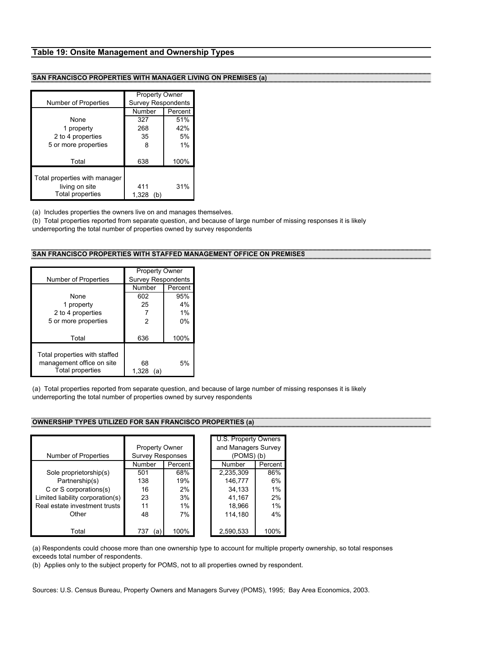#### **Table 19: Onsite Management and Ownership Types**

## **SAN FRANCISCO PROPERTIES WITH MANAGER LIVING ON PREMISES (a)**

|                               | <b>Property Owner</b><br><b>Survey Respondents</b> |         |
|-------------------------------|----------------------------------------------------|---------|
| Number of Properties          | Number                                             | Percent |
|                               |                                                    |         |
| None                          | 327                                                | 51%     |
| 1 property                    | 268                                                | 42%     |
| 2 to 4 properties             | 35                                                 | 5%      |
| 5 or more properties          | 8                                                  | 1%      |
|                               |                                                    |         |
| Total                         | 638                                                | 100%    |
|                               |                                                    |         |
| Total properties with manager |                                                    |         |
| living on site                | 411                                                | 31%     |
| <b>Total properties</b>       | 1,328<br>(b)                                       |         |

(a) Includes properties the owners live on and manages themselves.

(b) Total properties reported from separate question, and because of large number of missing responses it is likely underreporting the total number of properties owned by survey respondents

## **SAN FRANCISCO PROPERTIES WITH STAFFED MANAGEMENT OFFICE ON PREMISES**

| Number of Properties                                                                  | <b>Property Owner</b><br><b>Survey Respondents</b> |         |
|---------------------------------------------------------------------------------------|----------------------------------------------------|---------|
|                                                                                       | Number                                             | Percent |
| None                                                                                  | 602                                                | 95%     |
| 1 property                                                                            | 25                                                 | 4%      |
| 2 to 4 properties                                                                     |                                                    | $1\%$   |
| 5 or more properties                                                                  | 2                                                  | 0%      |
| Total                                                                                 | 636                                                | 100%    |
| Total properties with staffed<br>management office on site<br><b>Total properties</b> | 68<br>1.328<br>(a)                                 | 5%      |

(a) Total properties reported from separate question, and because of large number of missing responses it is likely underreporting the total number of properties owned by survey respondents

## **OWNERSHIP TYPES UTILIZED FOR SAN FRANCISCO PROPERTIES (a)**

| <b>Property Owner</b><br><b>Survey Responses</b> |           |      |           |                                               | U.S. Property Owners |  |
|--------------------------------------------------|-----------|------|-----------|-----------------------------------------------|----------------------|--|
| Number                                           | Percent   |      | Number    | Percent                                       |                      |  |
| 501                                              | 68%       |      | 2,235,309 | 86%                                           |                      |  |
| 138                                              | 19%       |      | 146,777   | 6%                                            |                      |  |
| 16                                               | 2%        |      | 34,133    | 1%                                            |                      |  |
| 23                                               | 3%        |      | 41,167    | 2%                                            |                      |  |
| 11                                               | $1\%$     |      | 18.966    | 1%                                            |                      |  |
| 48                                               | 7%        |      | 114.180   | 4%                                            |                      |  |
|                                                  |           |      |           | 100%                                          |                      |  |
|                                                  | 737<br>(a | 100% |           | and Managers Survey<br>(POMS)(b)<br>2,590,533 |                      |  |

(a) Respondents could choose more than one ownership type to account for multiple property ownership, so total responses exceeds total number of respondents.

(b) Applies only to the subject property for POMS, not to all properties owned by respondent.

Sources: U.S. Census Bureau, Property Owners and Managers Survey (POMS), 1995; Bay Area Economics, 2003.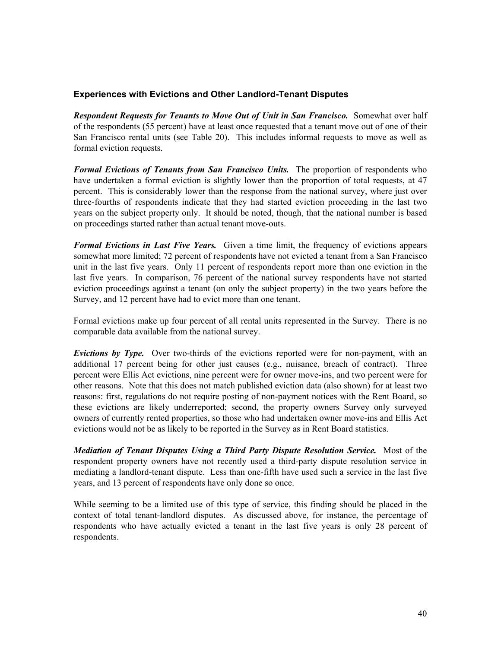# **Experiences with Evictions and Other Landlord-Tenant Disputes**

**Respondent Requests for Tenants to Move Out of Unit in San Francisco.** Somewhat over half of the respondents (55 percent) have at least once requested that a tenant move out of one of their San Francisco rental units (see Table 20). This includes informal requests to move as well as formal eviction requests.

*Formal Evictions of Tenants from San Francisco Units.* The proportion of respondents who have undertaken a formal eviction is slightly lower than the proportion of total requests, at 47 percent. This is considerably lower than the response from the national survey, where just over three-fourths of respondents indicate that they had started eviction proceeding in the last two years on the subject property only. It should be noted, though, that the national number is based on proceedings started rather than actual tenant move-outs.

*Formal Evictions in Last Five Years.* Given a time limit, the frequency of evictions appears somewhat more limited; 72 percent of respondents have not evicted a tenant from a San Francisco unit in the last five years. Only 11 percent of respondents report more than one eviction in the last five years. In comparison, 76 percent of the national survey respondents have not started eviction proceedings against a tenant (on only the subject property) in the two years before the Survey, and 12 percent have had to evict more than one tenant.

Formal evictions make up four percent of all rental units represented in the Survey. There is no comparable data available from the national survey.

*Evictions by Type.* Over two-thirds of the evictions reported were for non-payment, with an additional 17 percent being for other just causes (e.g., nuisance, breach of contract). Three percent were Ellis Act evictions, nine percent were for owner move-ins, and two percent were for other reasons. Note that this does not match published eviction data (also shown) for at least two reasons: first, regulations do not require posting of non-payment notices with the Rent Board, so these evictions are likely underreported; second, the property owners Survey only surveyed owners of currently rented properties, so those who had undertaken owner move-ins and Ellis Act evictions would not be as likely to be reported in the Survey as in Rent Board statistics.

*Mediation of Tenant Disputes Using a Third Party Dispute Resolution Service.* Most of the respondent property owners have not recently used a third-party dispute resolution service in mediating a landlord-tenant dispute. Less than one-fifth have used such a service in the last five years, and 13 percent of respondents have only done so once.

While seeming to be a limited use of this type of service, this finding should be placed in the context of total tenant-landlord disputes. As discussed above, for instance, the percentage of respondents who have actually evicted a tenant in the last five years is only 28 percent of respondents.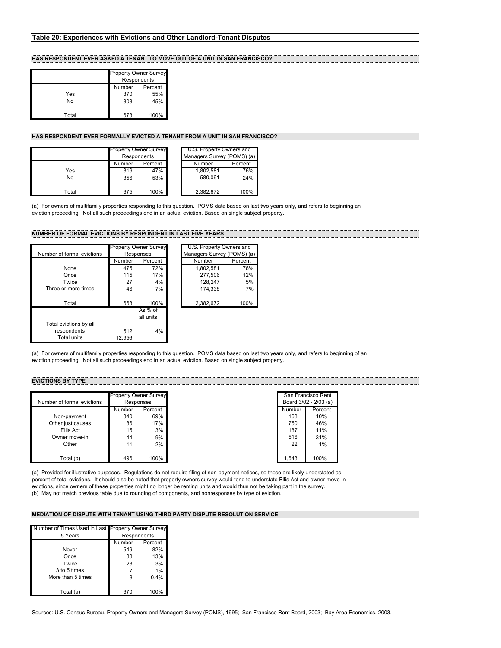#### **HAS RESPONDENT EVER ASKED A TENANT TO MOVE OUT OF A UNIT IN SAN FRANCISCO?**

|       | <b>Property Owner Survey</b>     |      |  |
|-------|----------------------------------|------|--|
|       | Respondents<br>Number<br>Percent |      |  |
| Yes   | 370                              | 55%  |  |
| No    | 303                              | 45%  |  |
|       |                                  |      |  |
| Total | 673                              | 100% |  |

#### **HAS RESPONDENT EVER FORMALLY EVICTED A TENANT FROM A UNIT IN SAN FRANCISCO?**

|       |        | <b>Property Owner Survey</b> |  | U.S. Property Owners and   |         |  |
|-------|--------|------------------------------|--|----------------------------|---------|--|
|       |        | <b>Respondents</b>           |  | Managers Survey (POMS) (a) |         |  |
|       | Number | Percent                      |  | Number                     | Percent |  |
| Yes   | 319    | 47%                          |  | 1,802,581                  | 76%     |  |
| No    | 356    | 53%                          |  | 580.091                    | 24%     |  |
| Total | 675    | 100%                         |  | 2,382,672                  | 100%    |  |

(a) For owners of multifamily properties responding to this question. POMS data based on last two years only, and refers to beginning an eviction proceeding. Not all such proceedings end in an actual eviction. Based on single subject property.

#### **NUMBER OF FORMAL EVICTIONS BY RESPONDENT IN LAST FIVE YEARS**

|                            | <b>Property Owner Survey</b> |           | U.S. Property Owners and   |           |         |
|----------------------------|------------------------------|-----------|----------------------------|-----------|---------|
| Number of formal evictions | Responses                    |           | Managers Survey (POMS) (a) |           |         |
|                            | Number                       | Percent   |                            | Number    | Percent |
| None                       | 475                          | 72%       |                            | 1,802,581 | 76%     |
| Once                       | 115                          | 17%       |                            | 277.506   | 12%     |
| Twice                      | 27                           | 4%        |                            | 128.247   | 5%      |
| Three or more times        | 46                           | 7%        |                            | 174.338   | 7%      |
| Total                      | 663                          | 100%      |                            | 2,382,672 | 100%    |
|                            |                              | As % of   |                            |           |         |
|                            |                              | all units |                            |           |         |
| Total evictions by all     |                              |           |                            |           |         |
| respondents                | 512                          | 4%        |                            |           |         |
| Total units                | 12,956                       |           |                            |           |         |

(a) For owners of multifamily properties responding to this question. POMS data based on last two years only, and refers to beginning of an eviction proceeding. Not all such proceedings end in an actual eviction. Based on single subject property.

#### **EVICTIONS BY TYPE**

|                            | <b>Property Owner Survey</b> |           | San Francisco Rent    |         |
|----------------------------|------------------------------|-----------|-----------------------|---------|
| Number of formal evictions |                              | Responses | Board 3/02 - 2/03 (a) |         |
|                            | Number                       | Percent   | Number                | Percent |
| Non-payment                | 340                          | 69%       | 168                   |         |
| Other just causes          | 86                           | 17%       | 750                   |         |
| Ellis Act                  | 15                           | 3%        | 187                   |         |
| Owner move-in              | 44                           | 9%        | 516                   |         |
| Other                      | 11                           | 2%        | 22                    |         |
| Total (b)                  | 496                          | 100%      | 1.643                 | 100%    |

(a) Provided for illustrative purposes. Regulations do not require filing of non-payment notices, so these are likely understated as percent of total evictions. It should also be noted that property owners survey would tend to understate Ellis Act and owner move-in evictions, since owners of these properties might no longer be renting units and would thus not be taking part in the survey. (b) May not match previous table due to rounding of components, and nonresponses by type of eviction.

#### **MEDIATION OF DISPUTE WITH TENANT USING THIRD PARTY DISPUTE RESOLUTION SERVICE**

| Number of Times Used in Last Property Owner Survey |             |         |  |
|----------------------------------------------------|-------------|---------|--|
| 5 Years                                            | Respondents |         |  |
|                                                    | Number      | Percent |  |
| Never                                              | 549         | 82%     |  |
| Once                                               | 88          | 13%     |  |
| Twice                                              | 23          | 3%      |  |
| 3 to 5 times                                       |             | 1%      |  |
| More than 5 times                                  | 3           | 0.4%    |  |
|                                                    |             |         |  |
| Total (a)                                          | 670         | 100%    |  |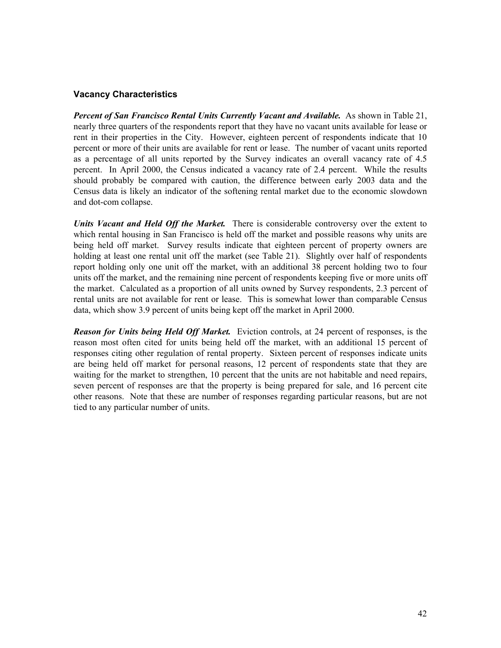# **Vacancy Characteristics**

*Percent of San Francisco Rental Units Currently Vacant and Available.* As shown in Table 21, nearly three quarters of the respondents report that they have no vacant units available for lease or rent in their properties in the City. However, eighteen percent of respondents indicate that 10 percent or more of their units are available for rent or lease. The number of vacant units reported as a percentage of all units reported by the Survey indicates an overall vacancy rate of 4.5 percent. In April 2000, the Census indicated a vacancy rate of 2.4 percent. While the results should probably be compared with caution, the difference between early 2003 data and the Census data is likely an indicator of the softening rental market due to the economic slowdown and dot-com collapse.

*Units Vacant and Held Off the Market.* There is considerable controversy over the extent to which rental housing in San Francisco is held off the market and possible reasons why units are being held off market. Survey results indicate that eighteen percent of property owners are holding at least one rental unit off the market (see Table 21). Slightly over half of respondents report holding only one unit off the market, with an additional 38 percent holding two to four units off the market, and the remaining nine percent of respondents keeping five or more units off the market. Calculated as a proportion of all units owned by Survey respondents, 2.3 percent of rental units are not available for rent or lease. This is somewhat lower than comparable Census data, which show 3.9 percent of units being kept off the market in April 2000.

*Reason for Units being Held Off Market.* Eviction controls, at 24 percent of responses, is the reason most often cited for units being held off the market, with an additional 15 percent of responses citing other regulation of rental property. Sixteen percent of responses indicate units are being held off market for personal reasons, 12 percent of respondents state that they are waiting for the market to strengthen, 10 percent that the units are not habitable and need repairs, seven percent of responses are that the property is being prepared for sale, and 16 percent cite other reasons. Note that these are number of responses regarding particular reasons, but are not tied to any particular number of units.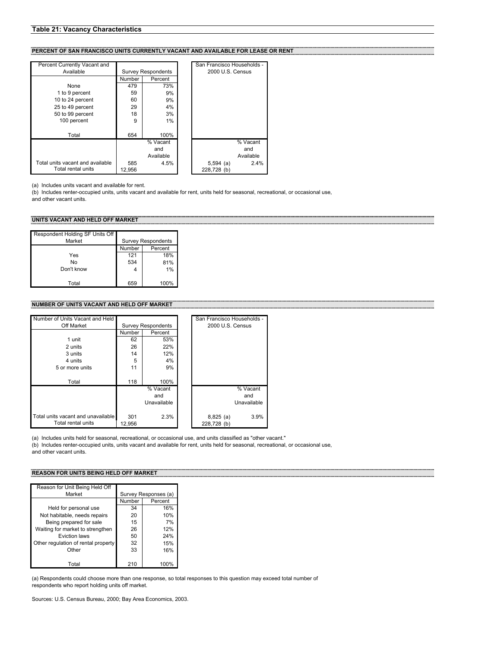#### **Table 21: Vacancy Characteristics**

#### **PERCENT OF SAN FRANCISCO UNITS CURRENTLY VACANT AND AVAILABLE FOR LEASE OR RENT**

| Percent Currently Vacant and     |        |                           | San Francisco Households - |           |
|----------------------------------|--------|---------------------------|----------------------------|-----------|
| Available                        |        | <b>Survey Respondents</b> | 2000 U.S. Census           |           |
|                                  | Number | Percent                   |                            |           |
| None                             | 479    | 73%                       |                            |           |
| 1 to 9 percent                   | 59     | 9%                        |                            |           |
| 10 to 24 percent                 | 60     | 9%                        |                            |           |
| 25 to 49 percent                 | 29     | 4%                        |                            |           |
| 50 to 99 percent                 | 18     | 3%                        |                            |           |
| 100 percent                      | 9      | 1%                        |                            |           |
| Total                            | 654    | 100%                      |                            |           |
|                                  |        | % Vacant                  |                            | % Vacant  |
|                                  |        | and                       |                            | and       |
|                                  |        | Available                 |                            | Available |
| Total units vacant and available | 585    | 4.5%                      | $5,594$ (a)                | 2.4%      |
| Total rental units               | 12.956 |                           | 228.728 (b)                |           |

(a) Includes units vacant and available for rent.

(b) Includes renter-occupied units, units vacant and available for rent, units held for seasonal, recreational, or occasional use, and other vacant units.

#### **UNITS VACANT AND HELD OFF MARKET**

| Respondent Holding SF Units Off |        |                           |
|---------------------------------|--------|---------------------------|
| Market                          |        | <b>Survey Respondents</b> |
|                                 | Number | Percent                   |
| Yes                             | 121    | 18%                       |
| No                              | 534    | 81%                       |
| Don't know                      |        | 1%                        |
|                                 |        |                           |
| Total                           | 659    | 100%                      |

#### **NUMBER OF UNITS VACANT AND HELD OFF MARKET**

| Number of Units Vacant and Held    |        |                           | San Francisco Households - |             |
|------------------------------------|--------|---------------------------|----------------------------|-------------|
| Off Market                         |        | <b>Survey Respondents</b> | 2000 U.S. Census           |             |
|                                    | Number | Percent                   |                            |             |
| 1 unit                             | 62     | 53%                       |                            |             |
| 2 units                            | 26     | 22%                       |                            |             |
| 3 units                            | 14     | 12%                       |                            |             |
| 4 units                            | 5      | 4%                        |                            |             |
| 5 or more units                    | 11     | 9%                        |                            |             |
|                                    |        |                           |                            |             |
| Total                              | 118    | 100%                      |                            |             |
|                                    |        | % Vacant                  |                            | % Vacant    |
|                                    |        | and                       |                            | and         |
|                                    |        | Unavailable               |                            | Unavailable |
|                                    |        |                           |                            |             |
| Total units vacant and unavailable | 301    | 2.3%                      | $8,825$ (a)                | 3.9%        |
| Total rental units                 | 12,956 |                           | 228,728 (b)                |             |

(a) Includes units held for seasonal, recreational, or occasional use, and units classified as "other vacant." (b) Includes renter-occupied units, units vacant and available for rent, units held for seasonal, recreational, or occasional use, and other vacant units.

#### **REASON FOR UNITS BEING HELD OFF MARKET**

| Reason for Unit Being Held Off      |                      |         |  |
|-------------------------------------|----------------------|---------|--|
| Market                              | Survey Responses (a) |         |  |
|                                     | Number               | Percent |  |
| Held for personal use               | 34                   | 16%     |  |
| Not habitable, needs repairs        | 20                   | 10%     |  |
| Being prepared for sale             | 15                   | 7%      |  |
| Waiting for market to strengthen    | 26                   | 12%     |  |
| Eviction laws                       | 50                   | 24%     |  |
| Other regulation of rental property | 32                   | 15%     |  |
| Other                               | 33                   | 16%     |  |
|                                     |                      |         |  |
| Total                               | 210                  | 100%    |  |

(a) Respondents could choose more than one response, so total responses to this question may exceed total number of respondents who report holding units off market.

Sources: U.S. Census Bureau, 2000; Bay Area Economics, 2003.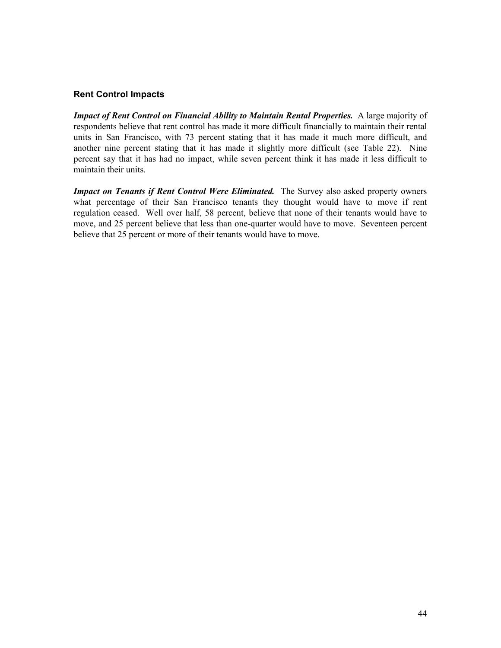# **Rent Control Impacts**

**Impact of Rent Control on Financial Ability to Maintain Rental Properties.** A large majority of respondents believe that rent control has made it more difficult financially to maintain their rental units in San Francisco, with 73 percent stating that it has made it much more difficult, and another nine percent stating that it has made it slightly more difficult (see Table 22). Nine percent say that it has had no impact, while seven percent think it has made it less difficult to maintain their units.

*Impact on Tenants if Rent Control Were Eliminated.* The Survey also asked property owners what percentage of their San Francisco tenants they thought would have to move if rent regulation ceased. Well over half, 58 percent, believe that none of their tenants would have to move, and 25 percent believe that less than one-quarter would have to move. Seventeen percent believe that 25 percent or more of their tenants would have to move.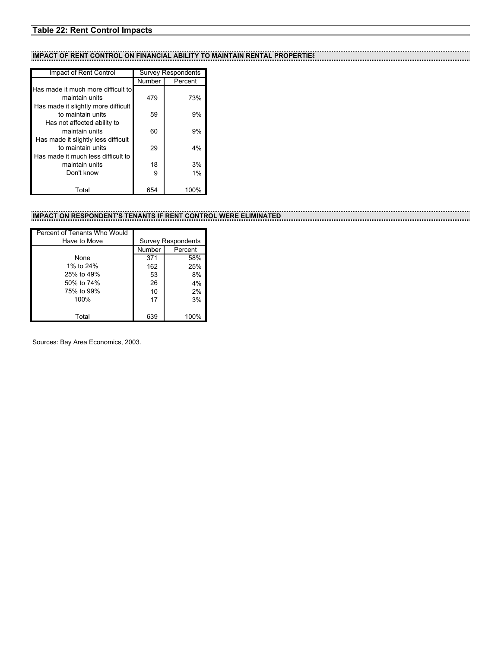# **Table 22: Rent Control Impacts**

# **IMPACT OF RENT CONTROL ON FINANCIAL ABILITY TO MAINTAIN RENTAL PROPERTIES**

| Impact of Rent Control              | <b>Survey Respondents</b> |         |  |
|-------------------------------------|---------------------------|---------|--|
|                                     | Number                    | Percent |  |
| Has made it much more difficult to  |                           |         |  |
| maintain units                      | 479                       | 73%     |  |
| Has made it slightly more difficult |                           |         |  |
| to maintain units                   | 59                        | 9%      |  |
| Has not affected ability to         |                           |         |  |
| maintain units                      | 60                        | 9%      |  |
| Has made it slightly less difficult |                           |         |  |
| to maintain units                   | 29                        | 4%      |  |
| Has made it much less difficult to  |                           |         |  |
| maintain units                      | 18                        | 3%      |  |
| Don't know                          | 9                         | 1%      |  |
|                                     |                           |         |  |
| Total                               | 654                       | 100%    |  |

# **IMPACT ON RESPONDENT'S TENANTS IF RENT CONTROL WERE ELIMINATED**

| Percent of Tenants Who Would |                           |         |  |
|------------------------------|---------------------------|---------|--|
| Have to Move                 | <b>Survey Respondents</b> |         |  |
|                              | Number                    | Percent |  |
| None                         | 371                       | 58%     |  |
| 1% to 24%                    | 162                       | 25%     |  |
| 25% to 49%                   | 53                        | 8%      |  |
| 50% to 74%                   | 26                        | 4%      |  |
| 75% to 99%                   | 10                        | 2%      |  |
| 100%                         | 17                        | 3%      |  |
|                              |                           |         |  |
| Total                        | 639                       | 100%    |  |

Sources: Bay Area Economics, 2003.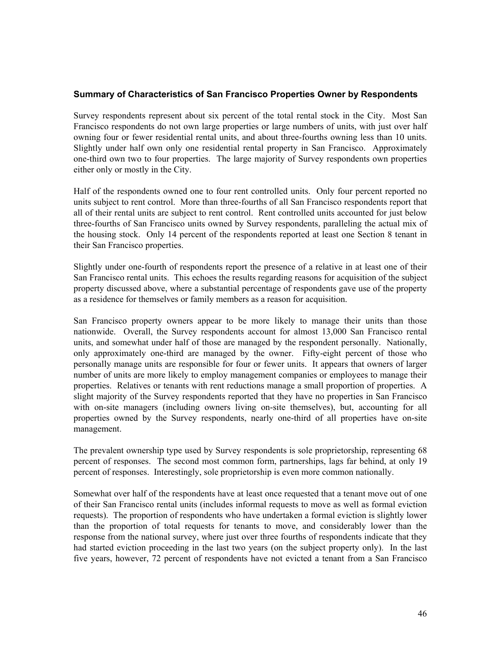# **Summary of Characteristics of San Francisco Properties Owner by Respondents**

Survey respondents represent about six percent of the total rental stock in the City. Most San Francisco respondents do not own large properties or large numbers of units, with just over half owning four or fewer residential rental units, and about three-fourths owning less than 10 units. Slightly under half own only one residential rental property in San Francisco. Approximately one-third own two to four properties. The large majority of Survey respondents own properties either only or mostly in the City.

Half of the respondents owned one to four rent controlled units. Only four percent reported no units subject to rent control. More than three-fourths of all San Francisco respondents report that all of their rental units are subject to rent control. Rent controlled units accounted for just below three-fourths of San Francisco units owned by Survey respondents, paralleling the actual mix of the housing stock. Only 14 percent of the respondents reported at least one Section 8 tenant in their San Francisco properties.

Slightly under one-fourth of respondents report the presence of a relative in at least one of their San Francisco rental units. This echoes the results regarding reasons for acquisition of the subject property discussed above, where a substantial percentage of respondents gave use of the property as a residence for themselves or family members as a reason for acquisition.

San Francisco property owners appear to be more likely to manage their units than those nationwide. Overall, the Survey respondents account for almost 13,000 San Francisco rental units, and somewhat under half of those are managed by the respondent personally. Nationally, only approximately one-third are managed by the owner. Fifty-eight percent of those who personally manage units are responsible for four or fewer units. It appears that owners of larger number of units are more likely to employ management companies or employees to manage their properties. Relatives or tenants with rent reductions manage a small proportion of properties. A slight majority of the Survey respondents reported that they have no properties in San Francisco with on-site managers (including owners living on-site themselves), but, accounting for all properties owned by the Survey respondents, nearly one-third of all properties have on-site management.

The prevalent ownership type used by Survey respondents is sole proprietorship, representing 68 percent of responses. The second most common form, partnerships, lags far behind, at only 19 percent of responses. Interestingly, sole proprietorship is even more common nationally.

Somewhat over half of the respondents have at least once requested that a tenant move out of one of their San Francisco rental units (includes informal requests to move as well as formal eviction requests). The proportion of respondents who have undertaken a formal eviction is slightly lower than the proportion of total requests for tenants to move, and considerably lower than the response from the national survey, where just over three fourths of respondents indicate that they had started eviction proceeding in the last two years (on the subject property only). In the last five years, however, 72 percent of respondents have not evicted a tenant from a San Francisco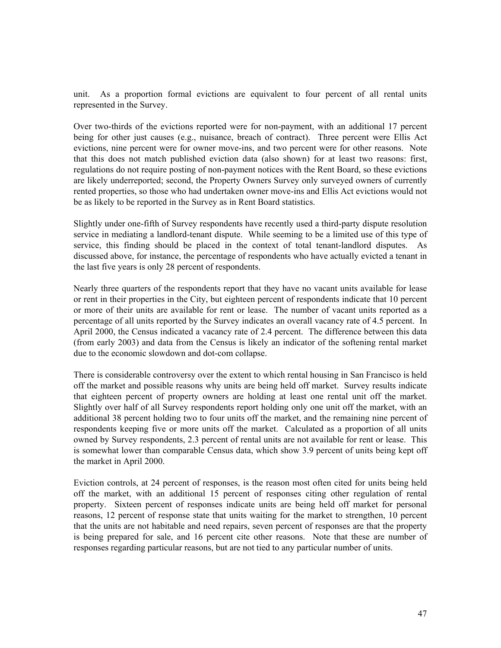unit. As a proportion formal evictions are equivalent to four percent of all rental units represented in the Survey.

Over two-thirds of the evictions reported were for non-payment, with an additional 17 percent being for other just causes (e.g., nuisance, breach of contract). Three percent were Ellis Act evictions, nine percent were for owner move-ins, and two percent were for other reasons. Note that this does not match published eviction data (also shown) for at least two reasons: first, regulations do not require posting of non-payment notices with the Rent Board, so these evictions are likely underreported; second, the Property Owners Survey only surveyed owners of currently rented properties, so those who had undertaken owner move-ins and Ellis Act evictions would not be as likely to be reported in the Survey as in Rent Board statistics.

Slightly under one-fifth of Survey respondents have recently used a third-party dispute resolution service in mediating a landlord-tenant dispute. While seeming to be a limited use of this type of service, this finding should be placed in the context of total tenant-landlord disputes. As discussed above, for instance, the percentage of respondents who have actually evicted a tenant in the last five years is only 28 percent of respondents.

Nearly three quarters of the respondents report that they have no vacant units available for lease or rent in their properties in the City, but eighteen percent of respondents indicate that 10 percent or more of their units are available for rent or lease. The number of vacant units reported as a percentage of all units reported by the Survey indicates an overall vacancy rate of 4.5 percent. In April 2000, the Census indicated a vacancy rate of 2.4 percent. The difference between this data (from early 2003) and data from the Census is likely an indicator of the softening rental market due to the economic slowdown and dot-com collapse.

There is considerable controversy over the extent to which rental housing in San Francisco is held off the market and possible reasons why units are being held off market. Survey results indicate that eighteen percent of property owners are holding at least one rental unit off the market. Slightly over half of all Survey respondents report holding only one unit off the market, with an additional 38 percent holding two to four units off the market, and the remaining nine percent of respondents keeping five or more units off the market. Calculated as a proportion of all units owned by Survey respondents, 2.3 percent of rental units are not available for rent or lease. This is somewhat lower than comparable Census data, which show 3.9 percent of units being kept off the market in April 2000.

Eviction controls, at 24 percent of responses, is the reason most often cited for units being held off the market, with an additional 15 percent of responses citing other regulation of rental property. Sixteen percent of responses indicate units are being held off market for personal reasons, 12 percent of response state that units waiting for the market to strengthen, 10 percent that the units are not habitable and need repairs, seven percent of responses are that the property is being prepared for sale, and 16 percent cite other reasons. Note that these are number of responses regarding particular reasons, but are not tied to any particular number of units.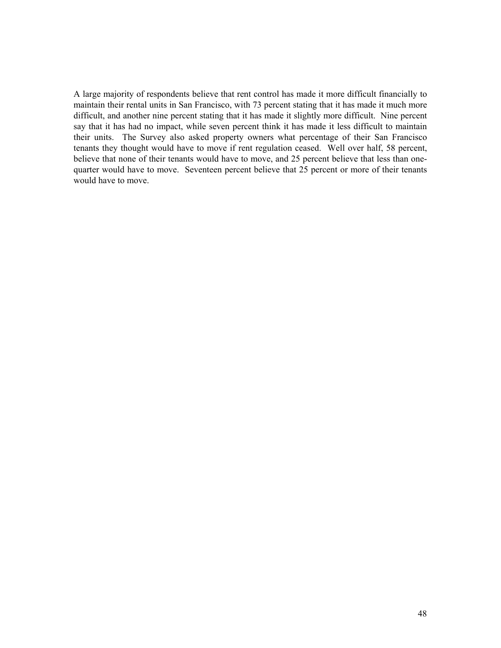A large majority of respondents believe that rent control has made it more difficult financially to maintain their rental units in San Francisco, with 73 percent stating that it has made it much more difficult, and another nine percent stating that it has made it slightly more difficult. Nine percent say that it has had no impact, while seven percent think it has made it less difficult to maintain their units. The Survey also asked property owners what percentage of their San Francisco tenants they thought would have to move if rent regulation ceased. Well over half, 58 percent, believe that none of their tenants would have to move, and 25 percent believe that less than onequarter would have to move. Seventeen percent believe that 25 percent or more of their tenants would have to move.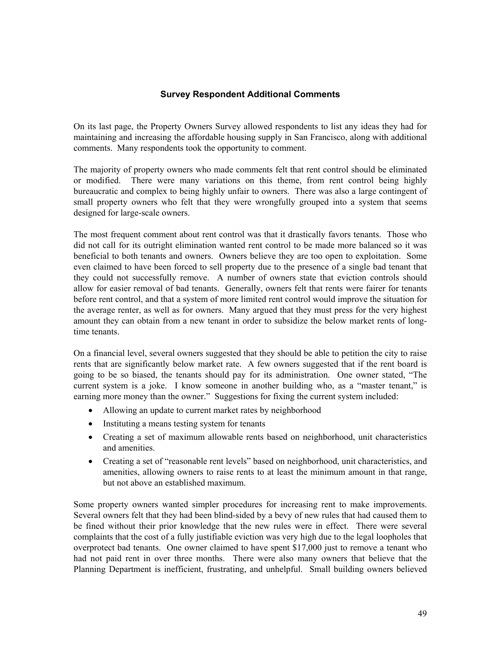# **Survey Respondent Additional Comments**

On its last page, the Property Owners Survey allowed respondents to list any ideas they had for maintaining and increasing the affordable housing supply in San Francisco, along with additional comments. Many respondents took the opportunity to comment.

The majority of property owners who made comments felt that rent control should be eliminated or modified. There were many variations on this theme, from rent control being highly bureaucratic and complex to being highly unfair to owners. There was also a large contingent of small property owners who felt that they were wrongfully grouped into a system that seems designed for large-scale owners.

The most frequent comment about rent control was that it drastically favors tenants. Those who did not call for its outright elimination wanted rent control to be made more balanced so it was beneficial to both tenants and owners. Owners believe they are too open to exploitation. Some even claimed to have been forced to sell property due to the presence of a single bad tenant that they could not successfully remove. A number of owners state that eviction controls should allow for easier removal of bad tenants. Generally, owners felt that rents were fairer for tenants before rent control, and that a system of more limited rent control would improve the situation for the average renter, as well as for owners. Many argued that they must press for the very highest amount they can obtain from a new tenant in order to subsidize the below market rents of longtime tenants.

On a financial level, several owners suggested that they should be able to petition the city to raise rents that are significantly below market rate. A few owners suggested that if the rent board is going to be so biased, the tenants should pay for its administration. One owner stated, "The current system is a joke. I know someone in another building who, as a "master tenant," is earning more money than the owner." Suggestions for fixing the current system included:

- Allowing an update to current market rates by neighborhood
- Instituting a means testing system for tenants
- Creating a set of maximum allowable rents based on neighborhood, unit characteristics and amenities.
- Creating a set of "reasonable rent levels" based on neighborhood, unit characteristics, and amenities, allowing owners to raise rents to at least the minimum amount in that range, but not above an established maximum.

Some property owners wanted simpler procedures for increasing rent to make improvements. Several owners felt that they had been blind-sided by a bevy of new rules that had caused them to be fined without their prior knowledge that the new rules were in effect. There were several complaints that the cost of a fully justifiable eviction was very high due to the legal loopholes that overprotect bad tenants. One owner claimed to have spent \$17,000 just to remove a tenant who had not paid rent in over three months. There were also many owners that believe that the Planning Department is inefficient, frustrating, and unhelpful. Small building owners believed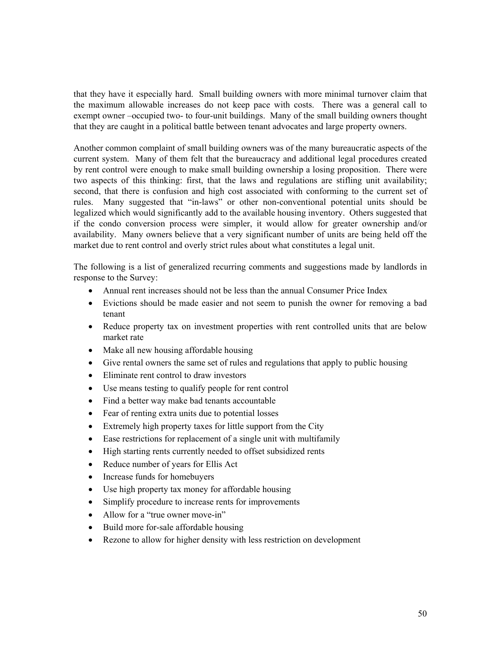that they have it especially hard. Small building owners with more minimal turnover claim that the maximum allowable increases do not keep pace with costs. There was a general call to exempt owner –occupied two- to four-unit buildings. Many of the small building owners thought that they are caught in a political battle between tenant advocates and large property owners.

Another common complaint of small building owners was of the many bureaucratic aspects of the current system. Many of them felt that the bureaucracy and additional legal procedures created by rent control were enough to make small building ownership a losing proposition. There were two aspects of this thinking: first, that the laws and regulations are stifling unit availability; second, that there is confusion and high cost associated with conforming to the current set of rules. Many suggested that "in-laws" or other non-conventional potential units should be legalized which would significantly add to the available housing inventory. Others suggested that if the condo conversion process were simpler, it would allow for greater ownership and/or availability. Many owners believe that a very significant number of units are being held off the market due to rent control and overly strict rules about what constitutes a legal unit.

The following is a list of generalized recurring comments and suggestions made by landlords in response to the Survey:

- Annual rent increases should not be less than the annual Consumer Price Index
- Evictions should be made easier and not seem to punish the owner for removing a bad tenant
- Reduce property tax on investment properties with rent controlled units that are below market rate
- Make all new housing affordable housing
- Give rental owners the same set of rules and regulations that apply to public housing
- Eliminate rent control to draw investors
- Use means testing to qualify people for rent control
- Find a better way make bad tenants accountable
- Fear of renting extra units due to potential losses
- Extremely high property taxes for little support from the City
- Ease restrictions for replacement of a single unit with multifamily
- High starting rents currently needed to offset subsidized rents
- Reduce number of years for Ellis Act
- Increase funds for homebuyers
- Use high property tax money for affordable housing
- Simplify procedure to increase rents for improvements
- Allow for a "true owner move-in"
- Build more for-sale affordable housing
- Rezone to allow for higher density with less restriction on development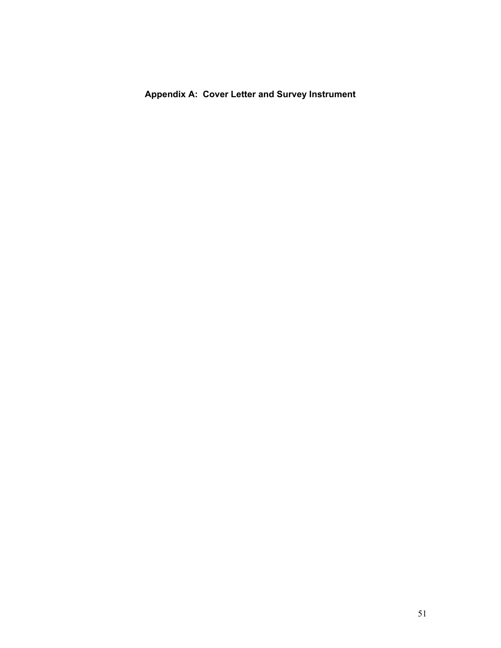**Appendix A: Cover Letter and Survey Instrument**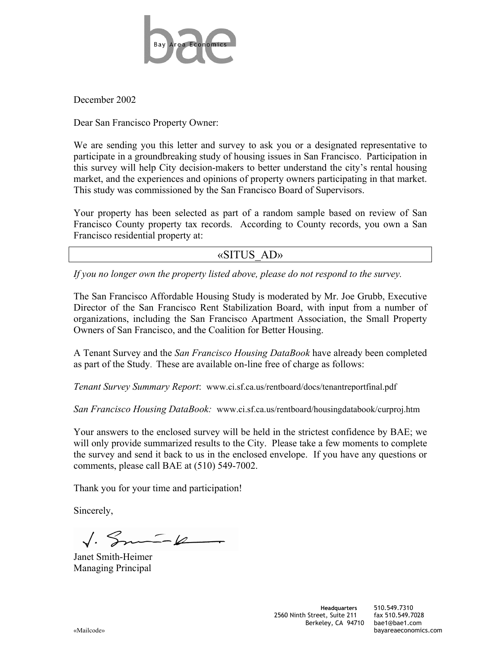

December 2002

Dear San Francisco Property Owner:

We are sending you this letter and survey to ask you or a designated representative to participate in a groundbreaking study of housing issues in San Francisco. Participation in this survey will help City decision-makers to better understand the city's rental housing market, and the experiences and opinions of property owners participating in that market. This study was commissioned by the San Francisco Board of Supervisors.

Your property has been selected as part of a random sample based on review of San Francisco County property tax records. According to County records, you own a San Francisco residential property at:

«SITUS\_AD»

*If you no longer own the property listed above, please do not respond to the survey.*

The San Francisco Affordable Housing Study is moderated by Mr. Joe Grubb, Executive Director of the San Francisco Rent Stabilization Board, with input from a number of organizations, including the San Francisco Apartment Association, the Small Property Owners of San Francisco, and the Coalition for Better Housing.

A Tenant Survey and the *San Francisco Housing DataBook* have already been completed as part of the Study. These are available on-line free of charge as follows:

*Tenant Survey Summary Report*: www.ci.sf.ca.us/rentboard/docs/tenantreportfinal.pdf

*San Francisco Housing DataBook:* www.ci.sf.ca.us/rentboard/housingdatabook/curproj.htm

Your answers to the enclosed survey will be held in the strictest confidence by BAE; we will only provide summarized results to the City. Please take a few moments to complete the survey and send it back to us in the enclosed envelope. If you have any questions or comments, please call BAE at (510) 549-7002.

Thank you for your time and participation!

Sincerely,

 $\sqrt{3}$ 

Janet Smith-Heimer Managing Principal

«Mailcode» bayareaeconomics.com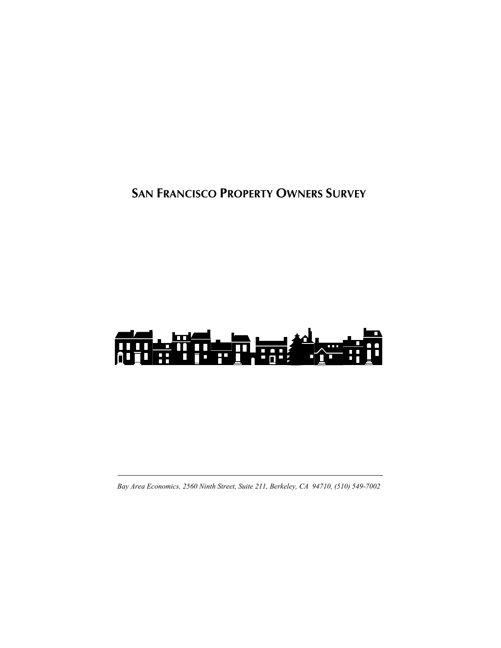**SAN FRANCISCO PROPERTY OWNERS SURVEY**



*Bay Area Economics, 2560 Ninth Street, Suite 211, Berkeley, CA 94710, (510) 549-7002*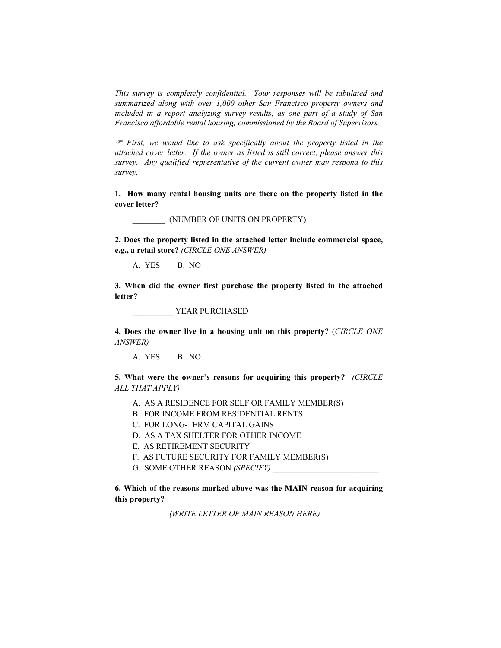*This survey is completely confidential. Your responses will be tabulated and summarized along with over 1,000 other San Francisco property owners and included in a report analyzing survey results, as one part of a study of San Francisco affordable rental housing, commissioned by the Board of Supervisors.* 

) *First, we would like to ask specifically about the property listed in the attached cover letter. If the owner as listed is still correct, please answer this survey. Any qualified representative of the current owner may respond to this survey.* 

**1. How many rental housing units are there on the property listed in the cover letter?** 

\_\_\_\_\_\_\_\_ (NUMBER OF UNITS ON PROPERTY)

**2. Does the property listed in the attached letter include commercial space, e.g., a retail store?** *(CIRCLE ONE ANSWER)*

A. YES B. NO

**3. When did the owner first purchase the property listed in the attached letter?** 

\_\_\_\_\_\_\_\_\_\_ YEAR PURCHASED

**4. Does the owner live in a housing unit on this property?** (*CIRCLE ONE ANSWER)*

A. YES B. NO

**5. What were the owner's reasons for acquiring this property?** *(CIRCLE ALL THAT APPLY)*

- A. AS A RESIDENCE FOR SELF OR FAMILY MEMBER(S)
- B. FOR INCOME FROM RESIDENTIAL RENTS
- C. FOR LONG-TERM CAPITAL GAINS
- D. AS A TAX SHELTER FOR OTHER INCOME
- E. AS RETIREMENT SECURITY
- F. AS FUTURE SECURITY FOR FAMILY MEMBER(S)
- G. SOME OTHER REASON *(SPECIFY)*

**6. Which of the reasons marked above was the MAIN reason for acquiring this property?** 

\_\_\_\_\_\_\_\_ *(WRITE LETTER OF MAIN REASON HERE)*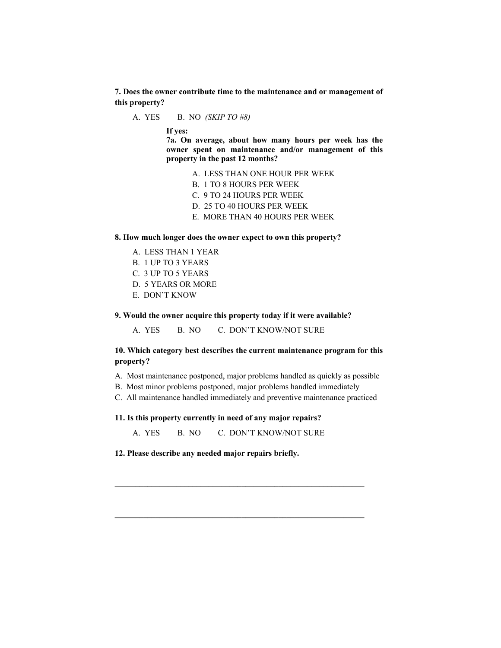**7. Does the owner contribute time to the maintenance and or management of this property?** 

A. YES B. NO *(SKIP TO #8)* 

**If yes:** 

**7a. On average, about how many hours per week has the owner spent on maintenance and/or management of this property in the past 12 months?** 

- A. LESS THAN ONE HOUR PER WEEK
- B. 1 TO 8 HOURS PER WEEK
- C. 9 TO 24 HOURS PER WEEK
- D. 25 TO 40 HOURS PER WEEK
- E. MORE THAN 40 HOURS PER WEEK

#### **8. How much longer does the owner expect to own this property?**

- A. LESS THAN 1 YEAR
- B. 1 UP TO 3 YEARS
- C. 3 UP TO 5 YEARS
- D. 5 YEARS OR MORE
- E. DON'T KNOW

## **9. Would the owner acquire this property today if it were available?**

A. YES B. NO C. DON'T KNOW/NOT SURE

# **10. Which category best describes the current maintenance program for this property?**

- A. Most maintenance postponed, major problems handled as quickly as possible
- B. Most minor problems postponed, major problems handled immediately
- C. All maintenance handled immediately and preventive maintenance practiced

#### **11. Is this property currently in need of any major repairs?**

A. YES B. NO C. DON'T KNOW/NOT SURE

 $\_$  , and the set of the set of the set of the set of the set of the set of the set of the set of the set of the set of the set of the set of the set of the set of the set of the set of the set of the set of the set of th

**12. Please describe any needed major repairs briefly.**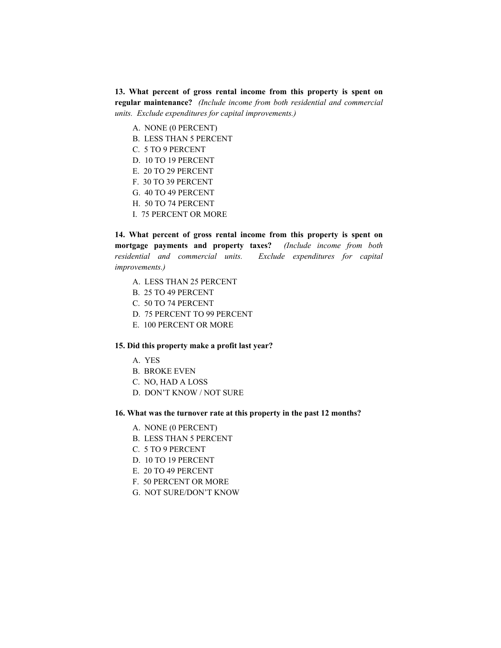**13. What percent of gross rental income from this property is spent on regular maintenance?** *(Include income from both residential and commercial units. Exclude expenditures for capital improvements.)*

- A. NONE (0 PERCENT)
- B. LESS THAN 5 PERCENT
- C. 5 TO 9 PERCENT
- D. 10 TO 19 PERCENT
- E. 20 TO 29 PERCENT
- F. 30 TO 39 PERCENT
- G. 40 TO 49 PERCENT
- H. 50 TO 74 PERCENT
- I. 75 PERCENT OR MORE

**14. What percent of gross rental income from this property is spent on mortgage payments and property taxes?** *(Include income from both residential and commercial units. Exclude expenditures for capital improvements.)*

- A. LESS THAN 25 PERCENT
- B. 25 TO 49 PERCENT
- C. 50 TO 74 PERCENT
- D. 75 PERCENT TO 99 PERCENT
- E. 100 PERCENT OR MORE

#### **15. Did this property make a profit last year?**

- A. YES
- B. BROKE EVEN
- C. NO, HAD A LOSS
- D. DON'T KNOW / NOT SURE

#### **16. What was the turnover rate at this property in the past 12 months?**

- A. NONE (0 PERCENT)
- B. LESS THAN 5 PERCENT
- C. 5 TO 9 PERCENT
- D. 10 TO 19 PERCENT
- E. 20 TO 49 PERCENT
- F. 50 PERCENT OR MORE
- G. NOT SURE/DON'T KNOW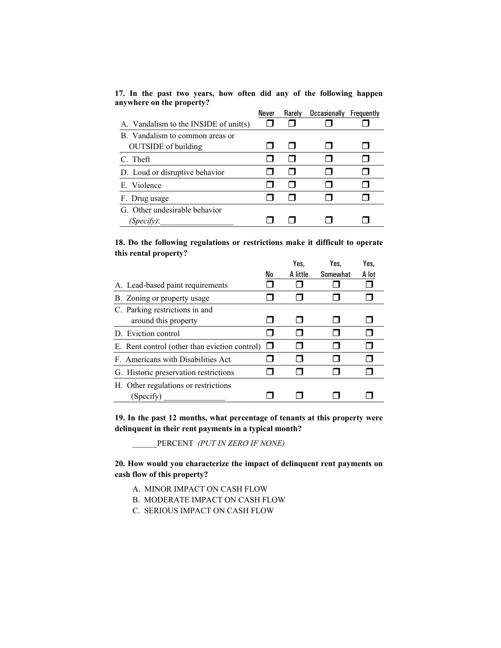**17. In the past two years, how often did any of the following happen anywhere on the property?** 

|                                       | Never | Rarely | <b>Occasionally</b> | Frequently |
|---------------------------------------|-------|--------|---------------------|------------|
| A. Vandalism to the INSIDE of unit(s) |       |        |                     |            |
| B. Vandalism to common areas or       |       |        |                     |            |
| <b>OUTSIDE</b> of building            |       |        |                     |            |
| C. Theft                              |       |        |                     |            |
| D. Loud or disruptive behavior        |       |        |                     |            |
| E. Violence                           |       |        |                     |            |
| F. Drug usage                         |       |        |                     |            |
| G. Other undesirable behavior         |       |        |                     |            |
| (Specify):                            |       |        |                     |            |

**18. Do the following regulations or restrictions make it difficult to operate this rental property?** 

|                                               | Yes,     | Yes.     | Yes.  |  |
|-----------------------------------------------|----------|----------|-------|--|
| No                                            | A little | Somewhat | A lot |  |
|                                               |          |          |       |  |
|                                               |          |          |       |  |
|                                               |          |          |       |  |
|                                               |          |          |       |  |
|                                               |          |          |       |  |
| E. Rent control (other than eviction control) |          |          |       |  |
|                                               |          |          |       |  |
|                                               |          |          |       |  |
|                                               |          |          |       |  |
|                                               |          |          |       |  |

**19. In the past 12 months, what percentage of tenants at this property were delinquent in their rent payments in a typical month?** 

\_\_\_\_\_\_PERCENT *(PUT IN ZERO IF NONE)*

**20. How would you characterize the impact of delinquent rent payments on cash flow of this property?** 

- A. MINOR IMPACT ON CASH FLOW
- B. MODERATE IMPACT ON CASH FLOW
- C. SERIOUS IMPACT ON CASH FLOW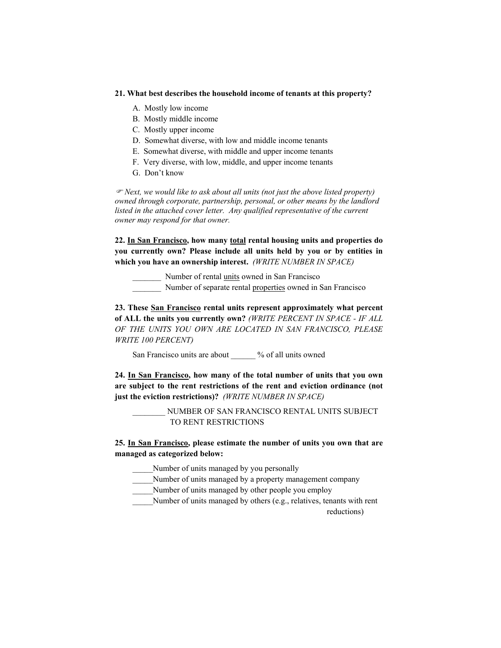#### **21. What best describes the household income of tenants at this property?**

- A. Mostly low income
- B. Mostly middle income
- C. Mostly upper income
- D. Somewhat diverse, with low and middle income tenants
- E. Somewhat diverse, with middle and upper income tenants
- F. Very diverse, with low, middle, and upper income tenants
- G. Don't know

) *Next, we would like to ask about all units (not just the above listed property) owned through corporate, partnership, personal, or other means by the landlord listed in the attached cover letter. Any qualified representative of the current owner may respond for that owner.* 

**22. In San Francisco, how many total rental housing units and properties do you currently own? Please include all units held by you or by entities in which you have an ownership interest.** *(WRITE NUMBER IN SPACE)* 

\_\_\_\_\_\_\_ Number of rental units owned in San Francisco

\_\_\_\_\_\_\_ Number of separate rental properties owned in San Francisco

**23. These San Francisco rental units represent approximately what percent of ALL the units you currently own?** *(WRITE PERCENT IN SPACE - IF ALL OF THE UNITS YOU OWN ARE LOCATED IN SAN FRANCISCO, PLEASE WRITE 100 PERCENT)*

San Francisco units are about \_\_\_\_\_\_ % of all units owned

**24. In San Francisco, how many of the total number of units that you own are subject to the rent restrictions of the rent and eviction ordinance (not just the eviction restrictions)?** *(WRITE NUMBER IN SPACE)*

> \_\_\_\_\_\_\_\_ NUMBER OF SAN FRANCISCO RENTAL UNITS SUBJECT TO RENT RESTRICTIONS

**25. In San Francisco, please estimate the number of units you own that are managed as categorized below:** 

\_\_\_\_\_Number of units managed by you personally

Number of units managed by a property management company

Number of units managed by other people you employ

Number of units managed by others (e.g., relatives, tenants with rent

reductions)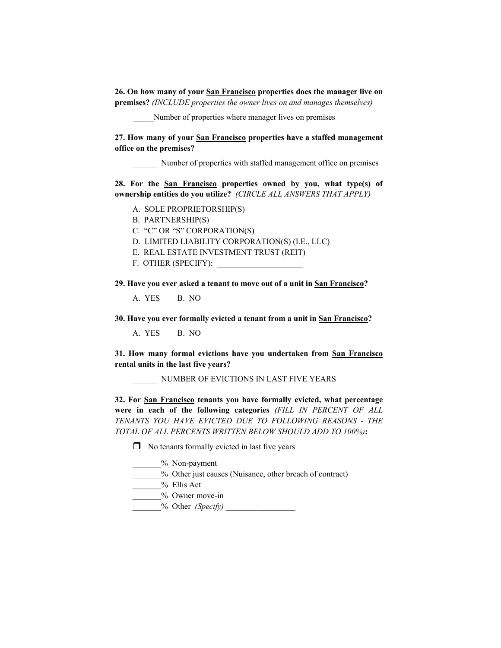**26. On how many of your San Francisco properties does the manager live on premises?** *(INCLUDE properties the owner lives on and manages themselves)*

\_\_\_\_\_Number of properties where manager lives on premises

**27. How many of your San Francisco properties have a staffed management office on the premises?** 

Number of properties with staffed management office on premises

**28. For the San Francisco properties owned by you, what type(s) of ownership entities do you utilize?** *(CIRCLE ALL ANSWERS THAT APPLY)*

- A. SOLE PROPRIETORSHIP(S)
- B. PARTNERSHIP(S)
- C. "C" OR "S" CORPORATION(S)
- D. LIMITED LIABILITY CORPORATION(S) (I.E., LLC)
- E. REAL ESTATE INVESTMENT TRUST (REIT)
- F. OTHER (SPECIFY):

**29. Have you ever asked a tenant to move out of a unit in San Francisco?** 

A. YES B. NO

**30. Have you ever formally evicted a tenant from a unit in San Francisco?** 

A. YES B. NO

**31. How many formal evictions have you undertaken from San Francisco rental units in the last five years?** 

\_\_\_\_\_\_ NUMBER OF EVICTIONS IN LAST FIVE YEARS

**32. For San Francisco tenants you have formally evicted, what percentage were in each of the following categories** *(FILL IN PERCENT OF ALL TENANTS YOU HAVE EVICTED DUE TO FOLLOWING REASONS - THE TOTAL OF ALL PERCENTS WRITTEN BELOW SHOULD ADD TO 100%)***:** 

 $\Box$  No tenants formally evicted in last five years

\_\_\_\_\_\_\_% Non-payment

\_\_\_\_\_\_\_% Other just causes (Nuisance, other breach of contract)

 $\%$  Ellis Act

\_\_\_\_\_\_\_% Owner move-in

\_\_\_\_\_\_\_% Other *(Specify)* \_\_\_\_\_\_\_\_\_\_\_\_\_\_\_\_\_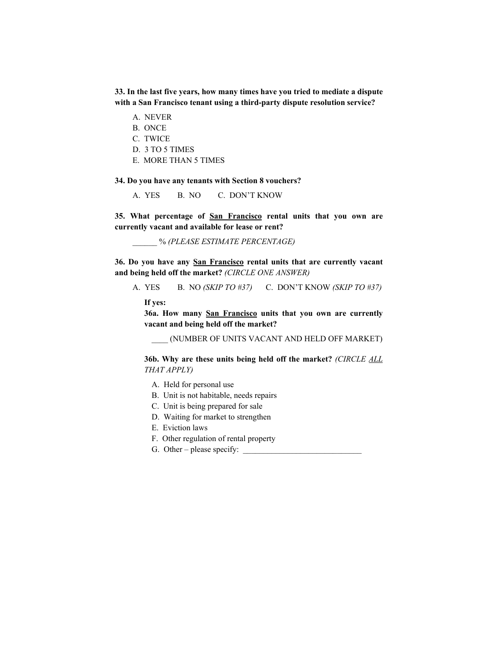**33. In the last five years, how many times have you tried to mediate a dispute with a San Francisco tenant using a third-party dispute resolution service?** 

- A. NEVER
- B. ONCE
- C. TWICE
- D. 3 TO 5 TIMES
- E. MORE THAN 5 TIMES

**34. Do you have any tenants with Section 8 vouchers?** 

A. YES B. NO C. DON'T KNOW

**35. What percentage of San Francisco rental units that you own are currently vacant and available for lease or rent?** 

\_\_\_\_\_\_ % *(PLEASE ESTIMATE PERCENTAGE)*

**36. Do you have any San Francisco rental units that are currently vacant and being held off the market?** *(CIRCLE ONE ANSWER)*

A. YES B. NO *(SKIP TO #37)* C. DON'T KNOW *(SKIP TO #37)*

**If yes:** 

**36a. How many San Francisco units that you own are currently vacant and being held off the market?** 

\_\_\_\_ (NUMBER OF UNITS VACANT AND HELD OFF MARKET)

**36b. Why are these units being held off the market?** *(CIRCLE ALL THAT APPLY)*

- A. Held for personal use
- B. Unit is not habitable, needs repairs
- C. Unit is being prepared for sale
- D. Waiting for market to strengthen
- E. Eviction laws
- F. Other regulation of rental property
- G. Other please specify:  $\qquad \qquad$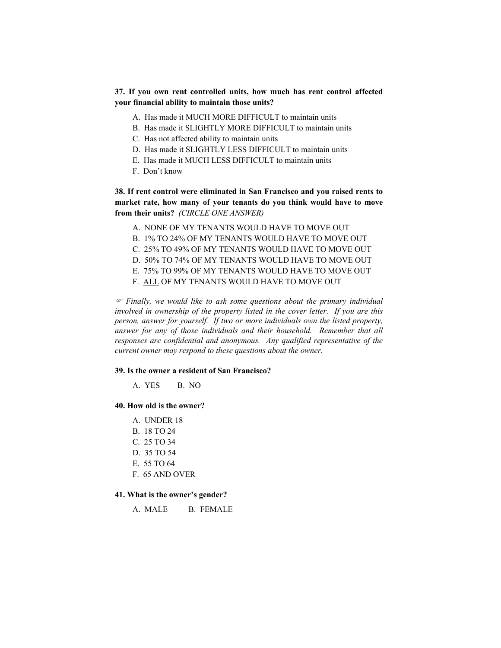# **37. If you own rent controlled units, how much has rent control affected your financial ability to maintain those units?**

- A. Has made it MUCH MORE DIFFICULT to maintain units
- B. Has made it SLIGHTLY MORE DIFFICULT to maintain units
- C. Has not affected ability to maintain units
- D. Has made it SLIGHTLY LESS DIFFICULT to maintain units
- E. Has made it MUCH LESS DIFFICULT to maintain units
- F. Don't know

**38. If rent control were eliminated in San Francisco and you raised rents to market rate, how many of your tenants do you think would have to move from their units?** *(CIRCLE ONE ANSWER)*

- A. NONE OF MY TENANTS WOULD HAVE TO MOVE OUT
- B. 1% TO 24% OF MY TENANTS WOULD HAVE TO MOVE OUT
- C. 25% TO 49% OF MY TENANTS WOULD HAVE TO MOVE OUT
- D. 50% TO 74% OF MY TENANTS WOULD HAVE TO MOVE OUT
- E. 75% TO 99% OF MY TENANTS WOULD HAVE TO MOVE OUT
- F. ALL OF MY TENANTS WOULD HAVE TO MOVE OUT

) *Finally, we would like to ask some questions about the primary individual involved in ownership of the property listed in the cover letter. If you are this person, answer for yourself. If two or more individuals own the listed property, answer for any of those individuals and their household. Remember that all responses are confidential and anonymous. Any qualified representative of the current owner may respond to these questions about the owner.* 

#### **39. Is the owner a resident of San Francisco?**

A YES B NO

#### **40. How old is the owner?**

- A. UNDER 18
- B. 18 TO 24
- C. 25 TO 34
- D. 35 TO 54
- E. 55 TO 64
- F. 65 AND OVER

#### **41. What is the owner's gender?**

A. MALE B. FEMALE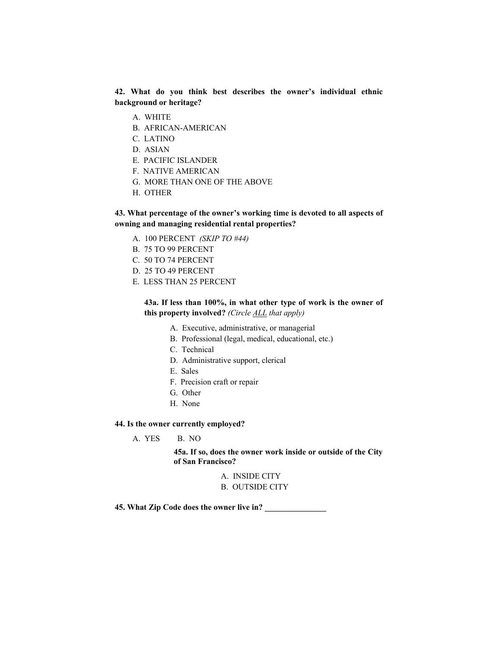**42. What do you think best describes the owner's individual ethnic background or heritage?** 

- A. WHITE
- B. AFRICAN-AMERICAN
- C. LATINO
- D. ASIAN
- E. PACIFIC ISLANDER
- F. NATIVE AMERICAN
- G. MORE THAN ONE OF THE ABOVE
- H. OTHER

# **43. What percentage of the owner's working time is devoted to all aspects of owning and managing residential rental properties?**

- A. 100 PERCENT *(SKIP TO #44)*
- B. 75 TO 99 PERCENT
- C. 50 TO 74 PERCENT
- D. 25 TO 49 PERCENT
- E. LESS THAN 25 PERCENT

# **43a. If less than 100%, in what other type of work is the owner of this property involved?** *(Circle ALL that apply)*

- A. Executive, administrative, or managerial
- B. Professional (legal, medical, educational, etc.)
- C. Technical
- D. Administrative support, clerical
- E. Sales
- F. Precision craft or repair
- G. Other
- H. None

#### **44. Is the owner currently employed?**

A. YES B. NO

**45a. If so, does the owner work inside or outside of the City of San Francisco?** 

- A. INSIDE CITY
- B. OUTSIDE CITY

**45. What Zip Code does the owner live in? \_\_\_\_\_\_\_\_\_\_\_\_\_\_\_**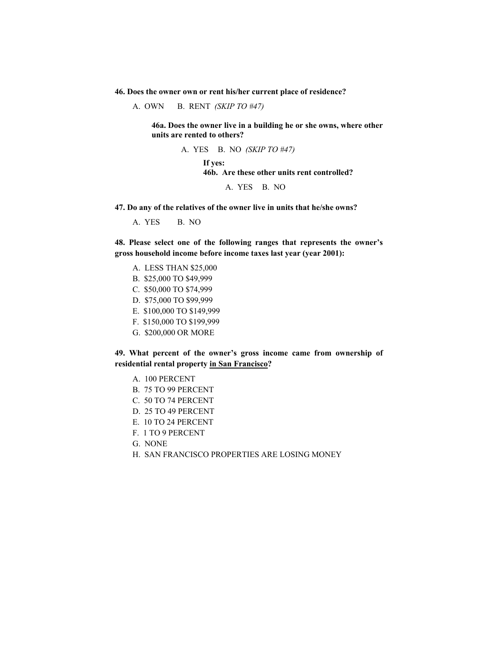**46. Does the owner own or rent his/her current place of residence?** 

A. OWN B. RENT *(SKIP TO #47)*

**46a. Does the owner live in a building he or she owns, where other units are rented to others?** 

> A. YES B. NO *(SKIP TO #47)* **If yes: 46b. Are these other units rent controlled?**  A. YES B. NO

**47. Do any of the relatives of the owner live in units that he/she owns?** 

A. YES B. NO

**48. Please select one of the following ranges that represents the owner's gross household income before income taxes last year (year 2001):** 

- A. LESS THAN \$25,000
- B. \$25,000 TO \$49,999
- C. \$50,000 TO \$74,999
- D. \$75,000 TO \$99,999
- E. \$100,000 TO \$149,999
- F. \$150,000 TO \$199,999
- G. \$200,000 OR MORE

**49. What percent of the owner's gross income came from ownership of residential rental property in San Francisco?** 

- A. 100 PERCENT
- B. 75 TO 99 PERCENT
- C. 50 TO 74 PERCENT
- D. 25 TO 49 PERCENT
- E. 10 TO 24 PERCENT
- F. 1 TO 9 PERCENT
- G. NONE
- H. SAN FRANCISCO PROPERTIES ARE LOSING MONEY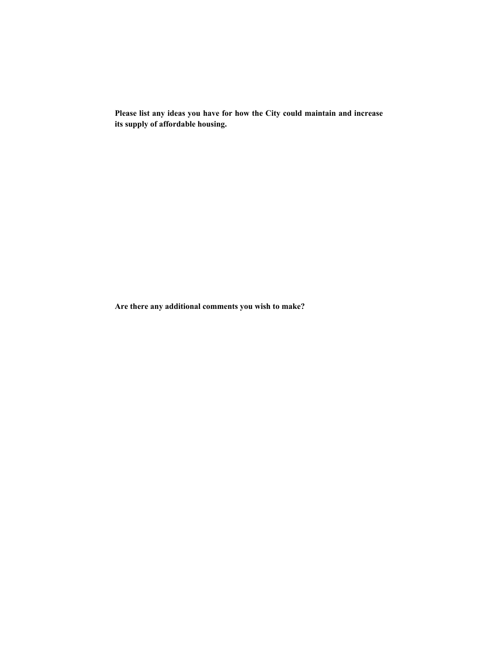**Please list any ideas you have for how the City could maintain and increase its supply of affordable housing.** 

**Are there any additional comments you wish to make?**